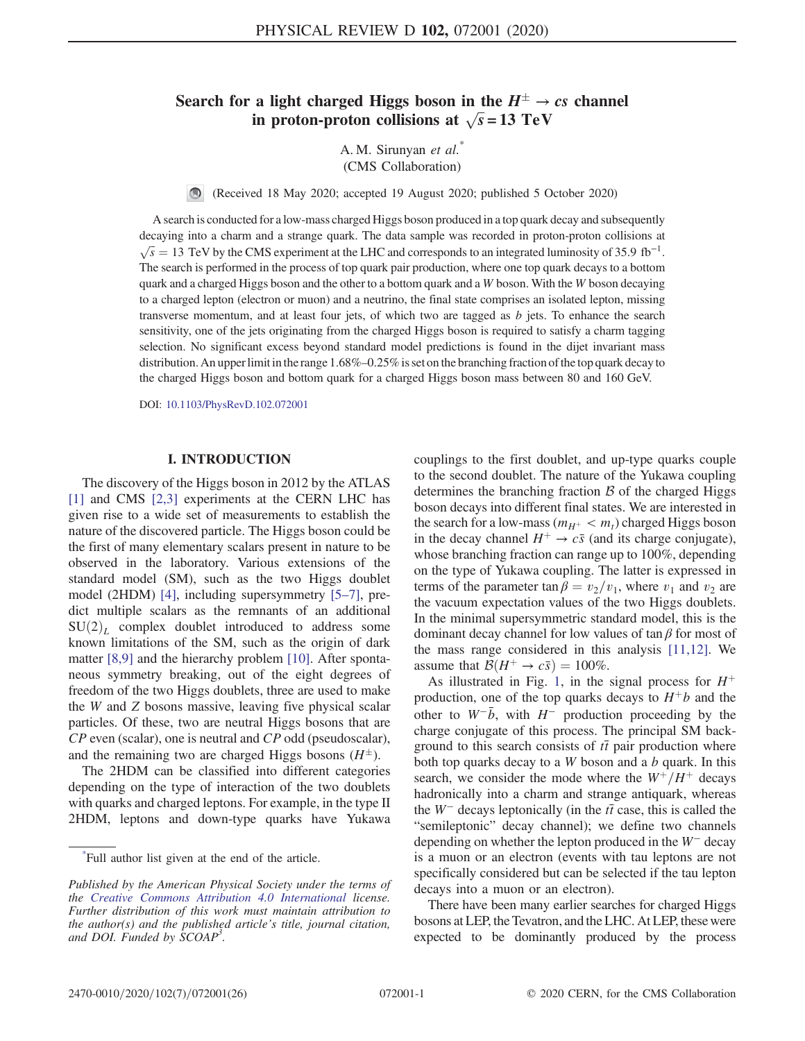# Search for a light charged Higgs boson in the  $H^{\pm} \rightarrow cs$  channel in proton-proton collisions at  $\sqrt{s} = 13 \text{ TeV}$

A. M. Sirunyan et al.<sup>\*</sup> (CMS Collaboration)

 $\bigcirc$ (Received 18 May 2020; accepted 19 August 2020; published 5 October 2020)

A search is conducted for a low-mass charged Higgs boson produced in a top quark decay and subsequently decaying into a charm and a strange quark. The data sample was recorded in proton-proton collisions at  $\sqrt{s}$  = 13 TeV by the CMS experiment at the LHC and corresponds to an integrated luminosity of 35.9 fb<sup>-1</sup>. The search is performed in the process of top quark pair production, where one top quark decays to a bottom quark and a charged Higgs boson and the other to a bottom quark and a W boson. With the W boson decaying to a charged lepton (electron or muon) and a neutrino, the final state comprises an isolated lepton, missing transverse momentum, and at least four jets, of which two are tagged as  $b$  jets. To enhance the search sensitivity, one of the jets originating from the charged Higgs boson is required to satisfy a charm tagging selection. No significant excess beyond standard model predictions is found in the dijet invariant mass distribution. An upper limit in the range 1.68%–0.25% is set on the branching fraction of the top quark decay to the charged Higgs boson and bottom quark for a charged Higgs boson mass between 80 and 160 GeV.

DOI: [10.1103/PhysRevD.102.072001](https://doi.org/10.1103/PhysRevD.102.072001)

#### I. INTRODUCTION

The discovery of the Higgs boson in 2012 by the ATLAS [\[1\]](#page-11-0) and CMS [\[2,3\]](#page-11-1) experiments at the CERN LHC has given rise to a wide set of measurements to establish the nature of the discovered particle. The Higgs boson could be the first of many elementary scalars present in nature to be observed in the laboratory. Various extensions of the standard model (SM), such as the two Higgs doublet model (2HDM) [\[4\]](#page-11-2), including supersymmetry [5–[7\],](#page-11-3) predict multiple scalars as the remnants of an additional  $SU(2)_I$  complex doublet introduced to address some known limitations of the SM, such as the origin of dark matter [\[8,9\]](#page-11-4) and the hierarchy problem [\[10\].](#page-11-5) After spontaneous symmetry breaking, out of the eight degrees of freedom of the two Higgs doublets, three are used to make the W and Z bosons massive, leaving five physical scalar particles. Of these, two are neutral Higgs bosons that are CP even (scalar), one is neutral and CP odd (pseudoscalar), and the remaining two are charged Higgs bosons  $(H^{\pm})$ .

The 2HDM can be classified into different categories depending on the type of interaction of the two doublets with quarks and charged leptons. For example, in the type II 2HDM, leptons and down-type quarks have Yukawa couplings to the first doublet, and up-type quarks couple to the second doublet. The nature of the Yukawa coupling determines the branching fraction  $\beta$  of the charged Higgs boson decays into different final states. We are interested in the search for a low-mass ( $m_{H^+} < m_t$ ) charged Higgs boson in the decay channel  $H^+ \rightarrow c\bar{s}$  (and its charge conjugate), whose branching fraction can range up to 100%, depending on the type of Yukawa coupling. The latter is expressed in terms of the parameter tan  $\beta = v_2/v_1$ , where  $v_1$  and  $v_2$  are the vacuum expectation values of the two Higgs doublets. In the minimal supersymmetric standard model, this is the dominant decay channel for low values of tan  $\beta$  for most of the mass range considered in this analysis [\[11,12\].](#page-11-6) We assume that  $\mathcal{B}(H^+ \to c\bar{s}) = 100\%$ .

As illustrated in Fig. [1,](#page-1-0) in the signal process for  $H^+$ production, one of the top quarks decays to  $H^+b$  and the other to  $W^-\bar{b}$ , with  $H^-$  production proceeding by the charge conjugate of this process. The principal SM background to this search consists of  $t\bar{t}$  pair production where both top quarks decay to a  $W$  boson and a  $b$  quark. In this search, we consider the mode where the  $W^+/H^+$  decays hadronically into a charm and strange antiquark, whereas the W<sup>−</sup> decays leptonically (in the  $t\bar{t}$  case, this is called the "semileptonic" decay channel); we define two channels depending on whether the lepton produced in the W<sup>−</sup> decay is a muon or an electron (events with tau leptons are not specifically considered but can be selected if the tau lepton decays into a muon or an electron).

There have been many earlier searches for charged Higgs bosons at LEP, the Tevatron, and the LHC. At LEP, these were expected to be dominantly produced by the process

<sup>\*</sup> Full author list given at the end of the article.

Published by the American Physical Society under the terms of the [Creative Commons Attribution 4.0 International](https://creativecommons.org/licenses/by/4.0/) license. Further distribution of this work must maintain attribution to the author(s) and the published article's title, journal citation, and DOI. Funded by SCOAP<sup>3</sup>.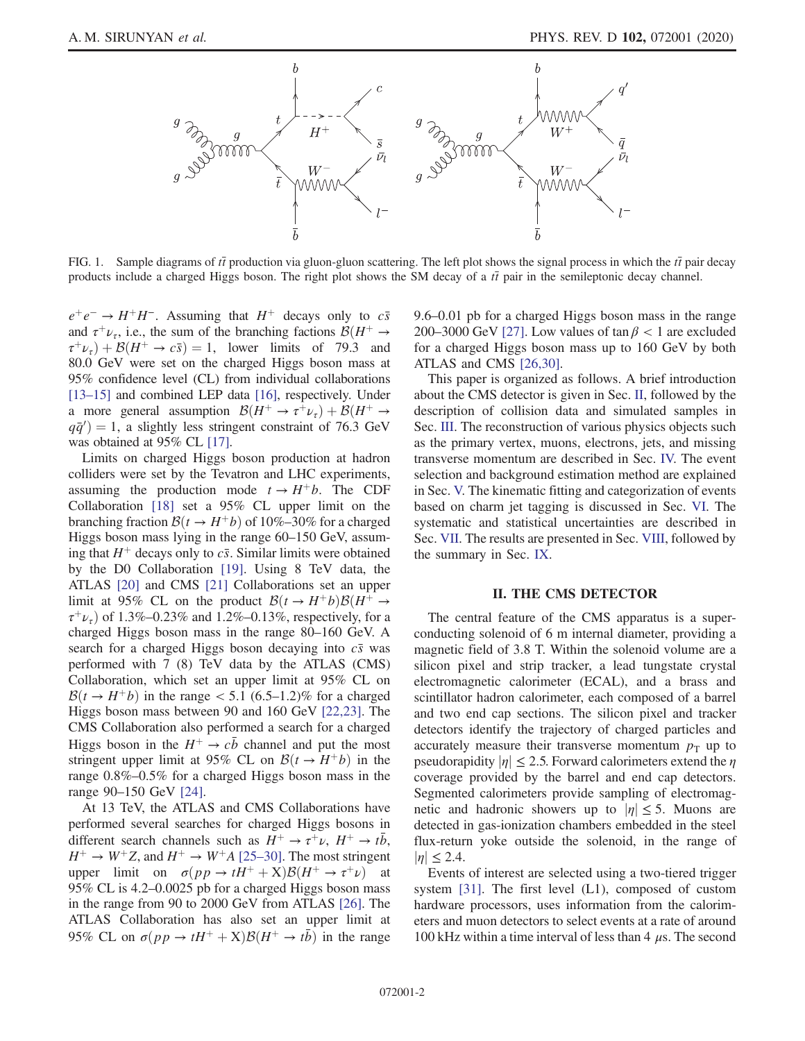<span id="page-1-0"></span>

FIG. 1. Sample diagrams of  $t\bar{t}$  production via gluon-gluon scattering. The left plot shows the signal process in which the  $t\bar{t}$  pair decay products include a charged Higgs boson. The right plot shows the SM decay of a  $t\bar{t}$  pair in the semileptonic decay channel.

 $e^+e^- \rightarrow H^+H^-$ . Assuming that  $H^+$  decays only to  $c\bar{s}$ and  $\tau^+ \nu_\tau$ , i.e., the sum of the branching factions  $\mathcal{B}(H^+ \to$  $\tau^+\nu_\tau$ ) +  $\mathcal{B}(H^+ \to c\bar{s}) = 1$ , lower limits of 79.3 and 80.0 GeV were set on the charged Higgs boson mass at 95% confidence level (CL) from individual collaborations [\[13](#page-11-7)–15] and combined LEP data [\[16\],](#page-11-8) respectively. Under a more general assumption  $\mathcal{B}(H^+ \to \tau^+ \nu_{\tau}) + \mathcal{B}(H^+ \to$  $q\bar{q}'$ ) = 1, a slightly less stringent constraint of 76.3 GeV was obtained at 95% CL [\[17\].](#page-11-9)

Limits on charged Higgs boson production at hadron colliders were set by the Tevatron and LHC experiments, assuming the production mode  $t \rightarrow H^+b$ . The CDF Collaboration [\[18\]](#page-12-0) set a 95% CL upper limit on the branching fraction  $\mathcal{B}(t \to H^+b)$  of 10%–30% for a charged Higgs boson mass lying in the range 60–150 GeV, assuming that  $H^+$  decays only to  $c\bar{s}$ . Similar limits were obtained by the D0 Collaboration [\[19\]](#page-12-1). Using 8 TeV data, the ATLAS [\[20\]](#page-12-2) and CMS [\[21\]](#page-12-3) Collaborations set an upper limit at 95% CL on the product  $\mathcal{B}(t \to H^+b)\mathcal{B}(H^+ \to$  $\tau^+\nu_{\tau}$ ) of 1.3%–0.23% and 1.2%–0.13%, respectively, for a charged Higgs boson mass in the range 80–160 GeV. A search for a charged Higgs boson decaying into  $c\bar{s}$  was performed with 7 (8) TeV data by the ATLAS (CMS) Collaboration, which set an upper limit at 95% CL on  $B(t \rightarrow H^+b)$  in the range < 5.1 (6.5–1.2)% for a charged Higgs boson mass between 90 and 160 GeV [\[22,23\].](#page-12-4) The CMS Collaboration also performed a search for a charged Higgs boson in the  $H^+ \rightarrow c\bar{b}$  channel and put the most stringent upper limit at 95% CL on  $\mathcal{B}(t \to H^+b)$  in the range 0.8%–0.5% for a charged Higgs boson mass in the range 90–150 GeV [\[24\]](#page-12-5).

At 13 TeV, the ATLAS and CMS Collaborations have performed several searches for charged Higgs bosons in different search channels such as  $H^+ \rightarrow \tau^+ \nu$ ,  $H^+ \rightarrow t\bar{b}$ ,  $H^+ \rightarrow W^+Z$ , and  $H^+ \rightarrow W^+A$  [25–[30\].](#page-12-6) The most stringent upper limit on  $\sigma(p p \to t H^+ + X) \mathcal{B}(H^+ \to \tau^+ \nu)$  at 95% CL is 4.2–0.0025 pb for a charged Higgs boson mass in the range from 90 to 2000 GeV from ATLAS [\[26\]](#page-12-7). The ATLAS Collaboration has also set an upper limit at 95% CL on  $\sigma(pp \to tH^+ + X)\mathcal{B}(H^+ \to t\bar{b})$  in the range 9.6–0.01 pb for a charged Higgs boson mass in the range 200–3000 GeV [\[27\]](#page-12-8). Low values of  $\tan \beta < 1$  are excluded for a charged Higgs boson mass up to 160 GeV by both ATLAS and CMS [\[26,30\].](#page-12-7)

This paper is organized as follows. A brief introduction about the CMS detector is given in Sec. [II,](#page-1-1) followed by the description of collision data and simulated samples in Sec. [III](#page-2-0). The reconstruction of various physics objects such as the primary vertex, muons, electrons, jets, and missing transverse momentum are described in Sec. [IV.](#page-2-1) The event selection and background estimation method are explained in Sec. [V.](#page-3-0) The kinematic fitting and categorization of events based on charm jet tagging is discussed in Sec. [VI](#page-6-0). The systematic and statistical uncertainties are described in Sec. [VII](#page-7-0). The results are presented in Sec. [VIII,](#page-8-0) followed by the summary in Sec. [IX.](#page-10-0)

## II. THE CMS DETECTOR

<span id="page-1-1"></span>The central feature of the CMS apparatus is a superconducting solenoid of 6 m internal diameter, providing a magnetic field of 3.8 T. Within the solenoid volume are a silicon pixel and strip tracker, a lead tungstate crystal electromagnetic calorimeter (ECAL), and a brass and scintillator hadron calorimeter, each composed of a barrel and two end cap sections. The silicon pixel and tracker detectors identify the trajectory of charged particles and accurately measure their transverse momentum  $p_T$  up to pseudorapidity  $|\eta| \le 2.5$ . Forward calorimeters extend the  $\eta$ coverage provided by the barrel and end cap detectors. Segmented calorimeters provide sampling of electromagnetic and hadronic showers up to  $|\eta| \leq 5$ . Muons are detected in gas-ionization chambers embedded in the steel flux-return yoke outside the solenoid, in the range of  $|\eta| \leq 2.4$ .

Events of interest are selected using a two-tiered trigger system [\[31\]](#page-12-9). The first level (L1), composed of custom hardware processors, uses information from the calorimeters and muon detectors to select events at a rate of around 100 kHz within a time interval of less than 4  $\mu$ s. The second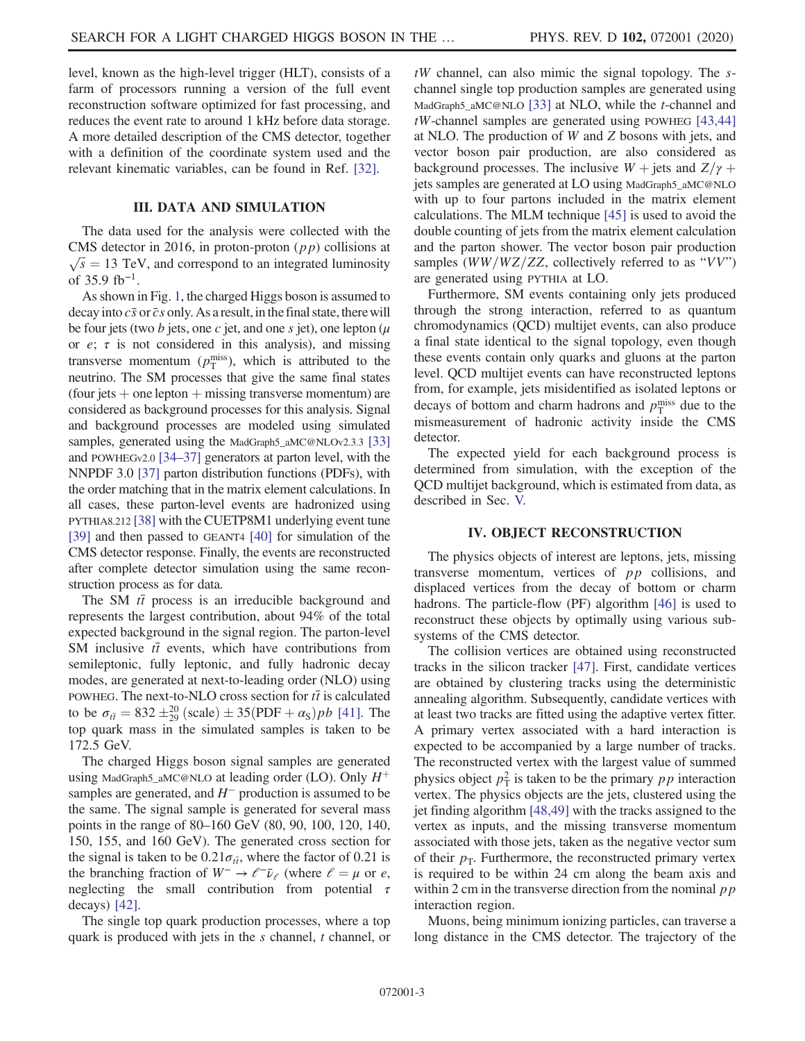level, known as the high-level trigger (HLT), consists of a farm of processors running a version of the full event reconstruction software optimized for fast processing, and reduces the event rate to around 1 kHz before data storage. A more detailed description of the CMS detector, together with a definition of the coordinate system used and the relevant kinematic variables, can be found in Ref. [\[32\]](#page-12-10).

## III. DATA AND SIMULATION

<span id="page-2-0"></span>The data used for the analysis were collected with the CMS detector in 2016, in proton-proton  $(pp)$  collisions at  $\sqrt{s}$  = 13 TeV, and correspond to an integrated luminosity of  $35.9$  fb<sup>-1</sup>.

As shown in Fig. [1,](#page-1-0) the charged Higgs boson is assumed to decay into  $c\bar{s}$  or  $\bar{c}s$  only. As a result, in the final state, there will be four jets (two b jets, one c jet, and one s jet), one lepton  $(\mu)$ or  $e$ ;  $\tau$  is not considered in this analysis), and missing transverse momentum ( $p_T^{\text{miss}}$ ), which is attributed to the neutrino. The SM processes that give the same final states (four jets  $+$  one lepton  $+$  missing transverse momentum) are considered as background processes for this analysis. Signal and background processes are modeled using simulated samples, generated using the MadGraph5\_aMC@NLOv2.3.3 [\[33\]](#page-12-11) and POWHEGv2.0 [34–[37\]](#page-12-12) generators at parton level, with the NNPDF 3.0 [\[37\]](#page-12-13) parton distribution functions (PDFs), with the order matching that in the matrix element calculations. In all cases, these parton-level events are hadronized using PYTHIA8.212 [\[38\]](#page-12-14) with the CUETP8M1 underlying event tune [\[39\]](#page-12-15) and then passed to GEANT4 [\[40\]](#page-12-16) for simulation of the CMS detector response. Finally, the events are reconstructed after complete detector simulation using the same reconstruction process as for data.

The SM  $t\bar{t}$  process is an irreducible background and represents the largest contribution, about 94% of the total expected background in the signal region. The parton-level SM inclusive  $t\bar{t}$  events, which have contributions from semileptonic, fully leptonic, and fully hadronic decay modes, are generated at next-to-leading order (NLO) using POWHEG. The next-to-NLO cross section for  $t\bar{t}$  is calculated to be  $\sigma_{t\bar{t}} = 832 \pm_{29}^{20} \text{ (scale)} \pm 35 \text{(PDF + } \alpha_{\rm S}) pb$  [\[41\]](#page-12-17). The top quark mass in the simulated samples is taken to be 172.5 GeV.

The charged Higgs boson signal samples are generated using MadGraph5\_aMC@NLO at leading order (LO). Only  $H^+$ samples are generated, and  $H^-$  production is assumed to be the same. The signal sample is generated for several mass points in the range of 80–160 GeV (80, 90, 100, 120, 140, 150, 155, and 160 GeV). The generated cross section for the signal is taken to be  $0.21\sigma_{\bar{t}}$ , where the factor of 0.21 is the branching fraction of  $W^- \to \ell^- \bar{\nu}_\ell$  (where  $\ell = \mu$  or  $e$ , neglecting the small contribution from potential  $\tau$ decays) [\[42\].](#page-12-18)

The single top quark production processes, where a top quark is produced with jets in the  $s$  channel,  $t$  channel, or  $tW$  channel, can also mimic the signal topology. The schannel single top production samples are generated using MadGraph5\_aMC@NLO [\[33\]](#page-12-11) at NLO, while the *t*-channel and  $tW$ -channel samples are generated using POWHEG [\[43,44\]](#page-12-19) at NLO. The production of W and Z bosons with jets, and vector boson pair production, are also considered as background processes. The inclusive  $W + j$  jets and  $Z/\gamma + j$ jets samples are generated at LO using MadGraph5\_aMC@NLO with up to four partons included in the matrix element calculations. The MLM technique [\[45\]](#page-12-20) is used to avoid the double counting of jets from the matrix element calculation and the parton shower. The vector boson pair production samples  $(WW/WZ/ZZ$ , collectively referred to as "VV") are generated using PYTHIA at LO.

Furthermore, SM events containing only jets produced through the strong interaction, referred to as quantum chromodynamics (QCD) multijet events, can also produce a final state identical to the signal topology, even though these events contain only quarks and gluons at the parton level. QCD multijet events can have reconstructed leptons from, for example, jets misidentified as isolated leptons or decays of bottom and charm hadrons and  $p_T^{\text{miss}}$  due to the mismeasurement of hadronic activity inside the CMS detector.

The expected yield for each background process is determined from simulation, with the exception of the QCD multijet background, which is estimated from data, as described in Sec. [V.](#page-3-0)

#### IV. OBJECT RECONSTRUCTION

<span id="page-2-1"></span>The physics objects of interest are leptons, jets, missing transverse momentum, vertices of pp collisions, and displaced vertices from the decay of bottom or charm hadrons. The particle-flow (PF) algorithm [\[46\]](#page-12-21) is used to reconstruct these objects by optimally using various subsystems of the CMS detector.

The collision vertices are obtained using reconstructed tracks in the silicon tracker [\[47\].](#page-12-22) First, candidate vertices are obtained by clustering tracks using the deterministic annealing algorithm. Subsequently, candidate vertices with at least two tracks are fitted using the adaptive vertex fitter. A primary vertex associated with a hard interaction is expected to be accompanied by a large number of tracks. The reconstructed vertex with the largest value of summed physics object  $p_{\rm T}^2$  is taken to be the primary  $pp$  interaction vertex. The physics objects are the jets, clustered using the jet finding algorithm [\[48,49\]](#page-12-23) with the tracks assigned to the vertex as inputs, and the missing transverse momentum associated with those jets, taken as the negative vector sum of their  $p_T$ . Furthermore, the reconstructed primary vertex is required to be within 24 cm along the beam axis and within 2 cm in the transverse direction from the nominal  $pp$ interaction region.

Muons, being minimum ionizing particles, can traverse a long distance in the CMS detector. The trajectory of the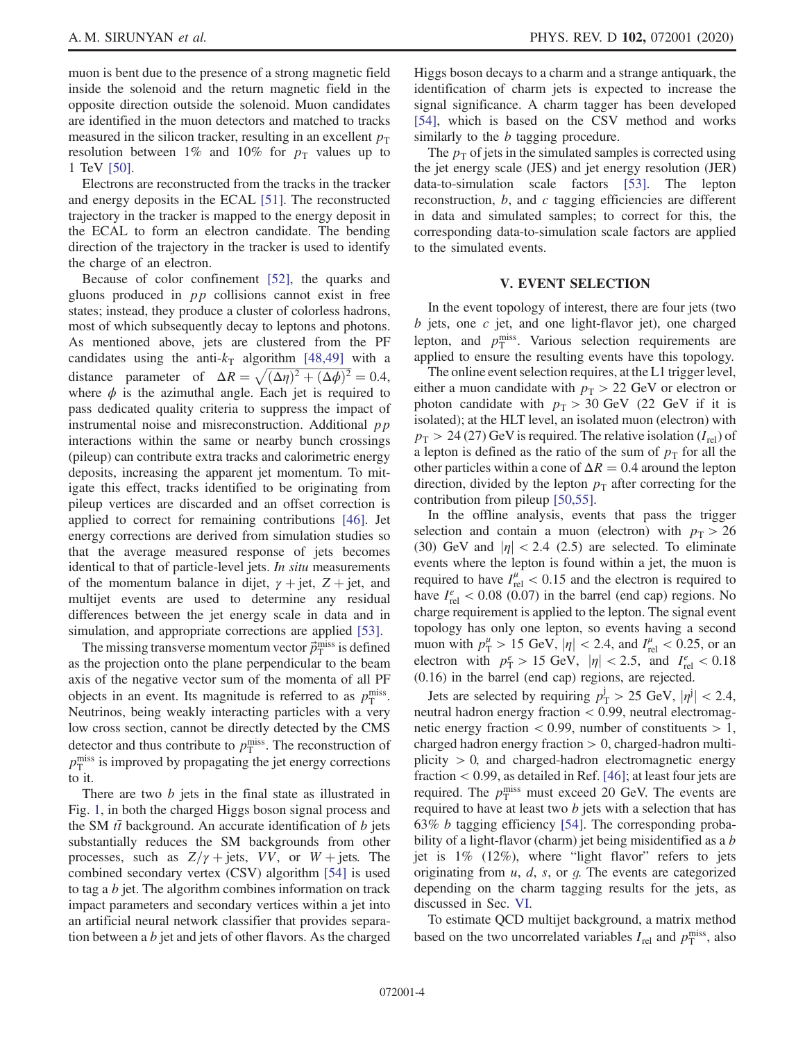muon is bent due to the presence of a strong magnetic field inside the solenoid and the return magnetic field in the opposite direction outside the solenoid. Muon candidates are identified in the muon detectors and matched to tracks measured in the silicon tracker, resulting in an excellent  $p<sub>T</sub>$ resolution between 1% and 10% for  $p_T$  values up to 1 TeV [\[50\].](#page-12-24)

Electrons are reconstructed from the tracks in the tracker and energy deposits in the ECAL [\[51\]](#page-12-25). The reconstructed trajectory in the tracker is mapped to the energy deposit in the ECAL to form an electron candidate. The bending direction of the trajectory in the tracker is used to identify the charge of an electron.

Because of color confinement [\[52\],](#page-12-26) the quarks and gluons produced in  $pp$  collisions cannot exist in free states; instead, they produce a cluster of colorless hadrons, most of which subsequently decay to leptons and photons. As mentioned above, jets are clustered from the PF candidates using the anti- $k_T$  algorithm [\[48,49\]](#page-12-23) with a distance parameter of  $\Delta R = \sqrt{(\Delta \eta)^2 + (\Delta \phi)^2} = 0.4$ , where  $\phi$  is the azimuthal angle. Each jet is required to pass dedicated quality criteria to suppress the impact of instrumental noise and misreconstruction. Additional  $pp$ interactions within the same or nearby bunch crossings (pileup) can contribute extra tracks and calorimetric energy deposits, increasing the apparent jet momentum. To mitigate this effect, tracks identified to be originating from pileup vertices are discarded and an offset correction is applied to correct for remaining contributions [\[46\].](#page-12-21) Jet energy corrections are derived from simulation studies so that the average measured response of jets becomes identical to that of particle-level jets. *In situ* measurements of the momentum balance in dijet,  $\gamma$  + jet, Z + jet, and multijet events are used to determine any residual differences between the jet energy scale in data and in simulation, and appropriate corrections are applied [\[53\].](#page-12-27)

The missing transverse momentum vector  $\vec{p}_{\text{T}}^{\text{miss}}$  is defined as the projection onto the plane perpendicular to the beam axis of the negative vector sum of the momenta of all PF objects in an event. Its magnitude is referred to as  $p_T^{\text{miss}}$ . Neutrinos, being weakly interacting particles with a very low cross section, cannot be directly detected by the CMS detector and thus contribute to  $p_T^{\text{miss}}$ . The reconstruction of  $p_{\rm T}^{\rm miss}$  is improved by propagating the jet energy corrections to it.

There are two *b* jets in the final state as illustrated in Fig. [1,](#page-1-0) in both the charged Higgs boson signal process and the SM  $t\bar{t}$  background. An accurate identification of b jets substantially reduces the SM backgrounds from other processes, such as  $Z/\gamma$  + jets, VV, or W + jets. The combined secondary vertex (CSV) algorithm [\[54\]](#page-13-0) is used to tag a  $b$  jet. The algorithm combines information on track impact parameters and secondary vertices within a jet into an artificial neural network classifier that provides separation between a  $b$  jet and jets of other flavors. As the charged Higgs boson decays to a charm and a strange antiquark, the identification of charm jets is expected to increase the signal significance. A charm tagger has been developed [\[54\]](#page-13-0), which is based on the CSV method and works similarly to the *b* tagging procedure.

The  $p<sub>T</sub>$  of jets in the simulated samples is corrected using the jet energy scale (JES) and jet energy resolution (JER) data-to-simulation scale factors [\[53\].](#page-12-27) The lepton reconstruction,  $b$ , and  $c$  tagging efficiencies are different in data and simulated samples; to correct for this, the corresponding data-to-simulation scale factors are applied to the simulated events.

## V. EVENT SELECTION

<span id="page-3-0"></span>In the event topology of interest, there are four jets (two  $b$  jets, one  $c$  jet, and one light-flavor jet), one charged lepton, and  $p_T^{\text{miss}}$ . Various selection requirements are applied to ensure the resulting events have this topology.

The online event selection requires, at the L1 trigger level, either a muon candidate with  $p_T > 22$  GeV or electron or photon candidate with  $p_T > 30$  GeV (22 GeV if it is isolated); at the HLT level, an isolated muon (electron) with  $p_T > 24$  (27) GeV is required. The relative isolation ( $I_{rel}$ ) of a lepton is defined as the ratio of the sum of  $p<sub>T</sub>$  for all the other particles within a cone of  $\Delta R = 0.4$  around the lepton direction, divided by the lepton  $p<sub>T</sub>$  after correcting for the contribution from pileup [\[50,55\].](#page-12-24)

In the offline analysis, events that pass the trigger selection and contain a muon (electron) with  $p_T > 26$ (30) GeV and  $|\eta|$  < 2.4 (2.5) are selected. To eliminate events where the lepton is found within a jet, the muon is required to have  $I_{rel}^{\mu}$  < 0.15 and the electron is required to have  $I_{rel}^e < 0.08$  (0.07) in the barrel (end cap) regions. No charge requirement is applied to the lepton. The signal event topology has only one lepton, so events having a second muon with  $p_T^{\mu} > 15$  GeV,  $|\eta| < 2.4$ , and  $I_{rel}^{\mu} < 0.25$ , or an electron with  $p_T^e > 15$  GeV,  $|\eta| < 2.5$ , and  $I_{rel}^e < 0.18$ (0.16) in the barrel (end cap) regions, are rejected.

Jets are selected by requiring  $p_T^j > 25$  GeV,  $|\eta^j| < 2.4$ , neutral hadron energy fraction < 0.99, neutral electromagnetic energy fraction  $< 0.99$ , number of constituents  $> 1$ , charged hadron energy fraction > 0, charged-hadron multiplicity  $> 0$ , and charged-hadron electromagnetic energy fraction < 0.99, as detailed in Ref. [\[46\]](#page-12-21); at least four jets are required. The  $p_T^{\text{miss}}$  must exceed 20 GeV. The events are required to have at least two  $b$  jets with a selection that has 63% b tagging efficiency [\[54\].](#page-13-0) The corresponding probability of a light-flavor (charm) jet being misidentified as a b jet is  $1\%$  ( $12\%$ ), where "light flavor" refers to jets originating from  $u$ ,  $d$ ,  $s$ , or  $g$ . The events are categorized depending on the charm tagging results for the jets, as discussed in Sec. [VI](#page-6-0).

To estimate QCD multijet background, a matrix method based on the two uncorrelated variables  $I_{rel}$  and  $p_T^{\text{miss}}$ , also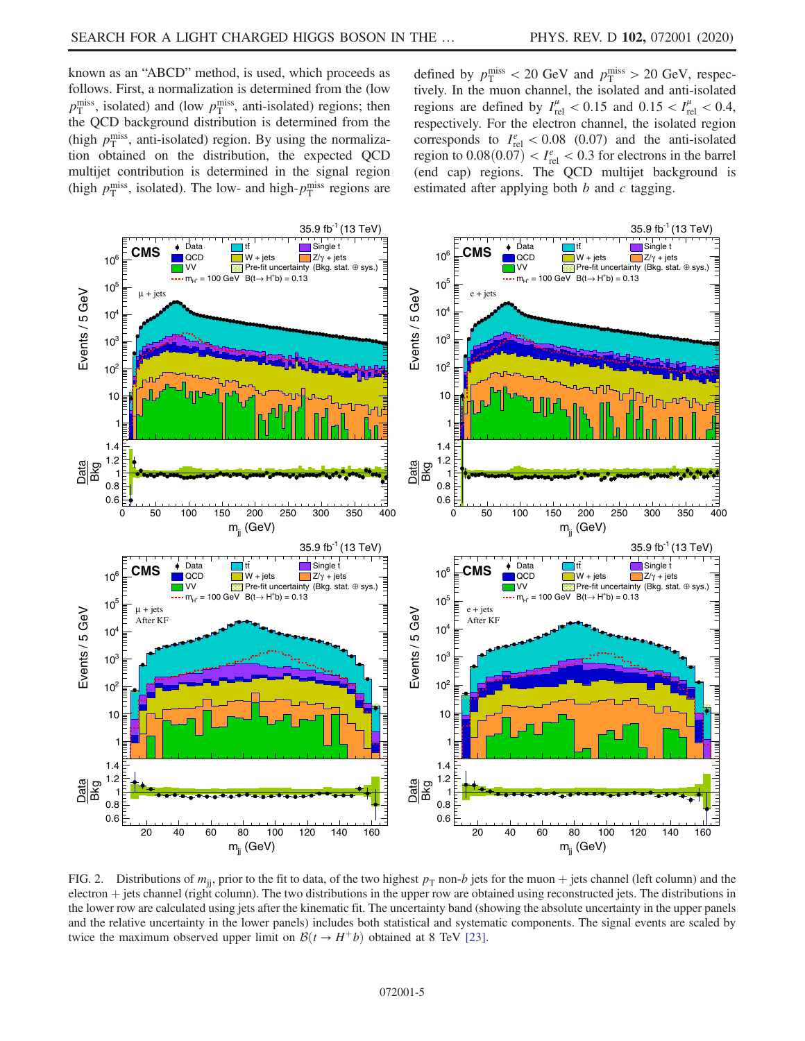known as an "ABCD" method, is used, which proceeds as follows. First, a normalization is determined from the (low  $p_{\rm T}^{\rm miss}$ , isolated) and (low  $p_{\rm T}^{\rm miss}$ , anti-isolated) regions; then the QCD background distribution is determined from the (high  $p_T^{\text{miss}}$ , anti-isolated) region. By using the normalization obtained on the distribution, the expected QCD multijet contribution is determined in the signal region (high  $p_T^{\text{miss}}$ , isolated). The low- and high- $p_T^{\text{miss}}$  regions are

defined by  $p_T^{\text{miss}} < 20 \text{ GeV}$  and  $p_T^{\text{miss}} > 20 \text{ GeV}$ , respectively. In the muon channel, the isolated and anti-isolated regions are defined by  $I_{rel}^{\mu} < 0.15$  and  $0.15 < I_{rel}^{\mu} < 0.4$ , respectively. For the electron channel, the isolated region corresponds to  $I_{rel}^e < 0.08$  (0.07) and the anti-isolated region to  $0.08(0.07) < I_{rel}^e < 0.3$  for electrons in the barrel (end cap) regions. The QCD multijet background is estimated after applying both  $b$  and  $c$  tagging.

<span id="page-4-0"></span>

FIG. 2. Distributions of  $m_{ij}$ , prior to the fit to data, of the two highest  $p_T$  non-b jets for the muon + jets channel (left column) and the electron + jets channel (right column). The two distributions in the upper row are obtained using reconstructed jets. The distributions in the lower row are calculated using jets after the kinematic fit. The uncertainty band (showing the absolute uncertainty in the upper panels and the relative uncertainty in the lower panels) includes both statistical and systematic components. The signal events are scaled by twice the maximum observed upper limit on  $\mathcal{B}(t \to H^+b)$  obtained at 8 TeV [\[23\].](#page-12-28)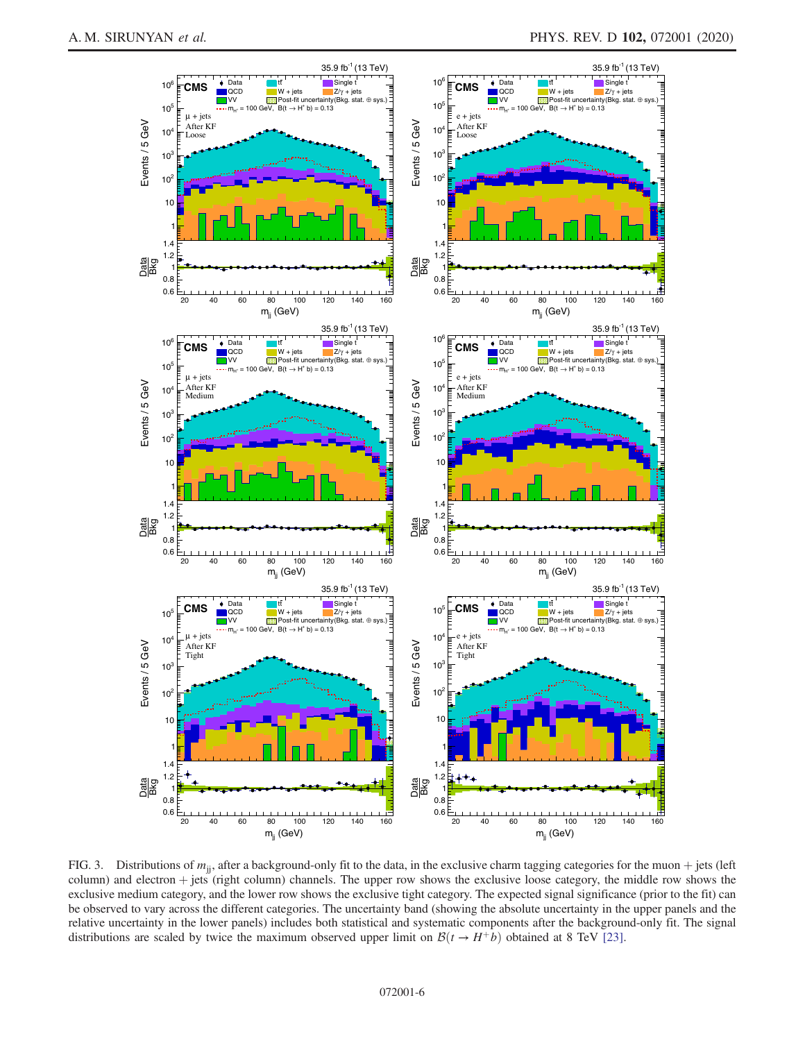<span id="page-5-0"></span>

FIG. 3. Distributions of  $m_{ii}$ , after a background-only fit to the data, in the exclusive charm tagging categories for the muon + jets (left column) and electron  $+$  jets (right column) channels. The upper row shows the exclusive loose category, the middle row shows the exclusive medium category, and the lower row shows the exclusive tight category. The expected signal significance (prior to the fit) can be observed to vary across the different categories. The uncertainty band (showing the absolute uncertainty in the upper panels and the relative uncertainty in the lower panels) includes both statistical and systematic components after the background-only fit. The signal distributions are scaled by twice the maximum observed upper limit on  $\mathcal{B}(t \to H^+b)$  obtained at 8 TeV [\[23\]](#page-12-28).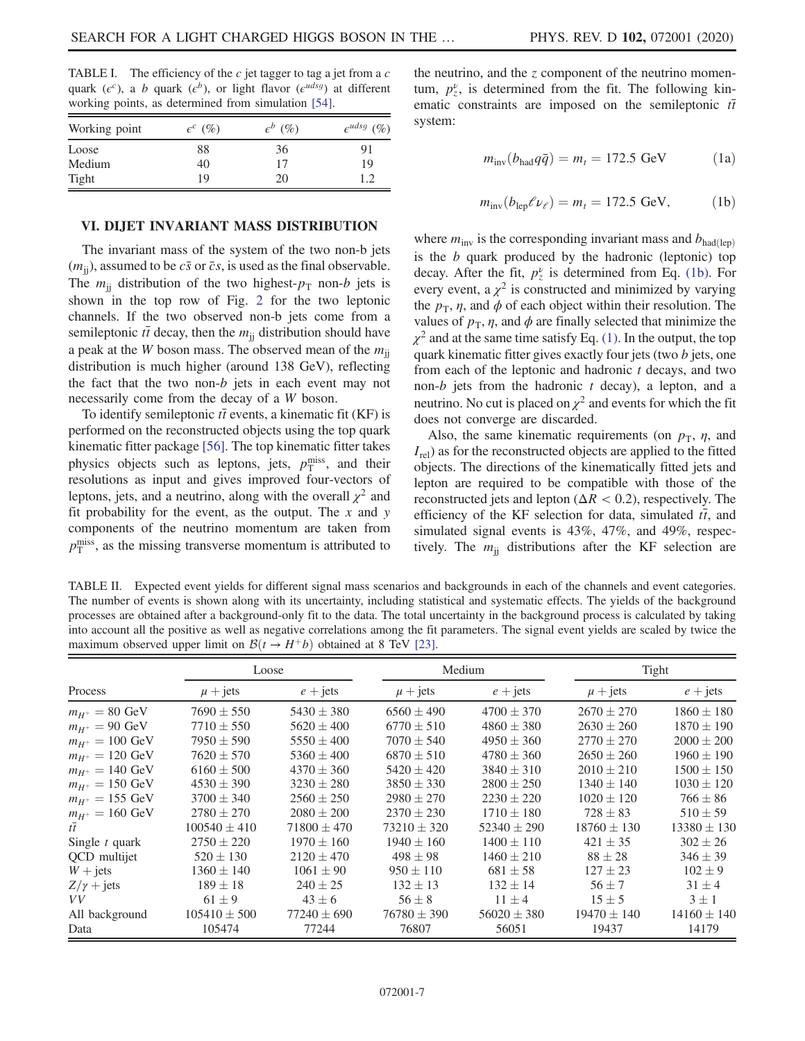<span id="page-6-3"></span>TABLE I. The efficiency of the  $c$  jet tagger to tag a jet from a  $c$ quark  $(\epsilon^c)$ , a b quark  $(\epsilon^b)$ , or light flavor  $(\epsilon^{udsg})$  at different working points, as determined from simulation [\[54\].](#page-13-0)

| Working point | $\epsilon^c$ (%) | $\epsilon^{b}$ (%) | $\epsilon^{udsg}$ (%) |
|---------------|------------------|--------------------|-----------------------|
| Loose         | 88               | 36                 | 91                    |
| Medium        | 40               | 17                 | 19                    |
| Tight         | 19               | 20                 | 1.2                   |

#### <span id="page-6-0"></span>VI. DIJET INVARIANT MASS DISTRIBUTION

The invariant mass of the system of the two non-b jets  $(m_{ij})$ , assumed to be  $c\bar{s}$  or  $\bar{c}s$ , is used as the final observable. The  $m_{ij}$  distribution of the two highest- $p_T$  non-b jets is shown in the top row of Fig. [2](#page-4-0) for the two leptonic channels. If the two observed non-b jets come from a semileptonic  $t\bar{t}$  decay, then the  $m_{ij}$  distribution should have a peak at the *W* boson mass. The observed mean of the  $m_{ii}$ distribution is much higher (around 138 GeV), reflecting the fact that the two non-b jets in each event may not necessarily come from the decay of a W boson.

To identify semileptonic  $t\bar{t}$  events, a kinematic fit (KF) is performed on the reconstructed objects using the top quark kinematic fitter package [\[56\]](#page-13-1). The top kinematic fitter takes physics objects such as leptons, jets,  $p_T^{\text{miss}}$ , and their resolutions as input and gives improved four-vectors of leptons, jets, and a neutrino, along with the overall  $\chi^2$  and fit probability for the event, as the output. The  $x$  and  $y$ components of the neutrino momentum are taken from  $p_{\rm T}^{\rm miss}$ , as the missing transverse momentum is attributed to <span id="page-6-2"></span>the neutrino, and the  $\zeta$  component of the neutrino momentum,  $p_z^{\nu}$ , is determined from the fit. The following kinematic constraints are imposed on the semileptonic  $t\bar{t}$ system:

$$
m_{\text{inv}}(b_{\text{had}}q\bar{q}) = m_t = 172.5 \text{ GeV} \tag{1a}
$$

$$
m_{\rm inv}(b_{\rm lep} \ell \nu_\ell) = m_t = 172.5 \text{ GeV}, \tag{1b}
$$

<span id="page-6-1"></span>where  $m_{\text{inv}}$  is the corresponding invariant mass and  $b_{\text{had}(lep)}$ is the  $b$  quark produced by the hadronic (leptonic) top decay. After the fit,  $p_z^{\nu}$  is determined from Eq. [\(1b\)](#page-6-1). For every event, a  $\chi^2$  is constructed and minimized by varying the  $p_T$ ,  $\eta$ , and  $\phi$  of each object within their resolution. The values of  $p<sub>T</sub>$ ,  $\eta$ , and  $\phi$  are finally selected that minimize the  $\chi^2$  and at the same time satisfy Eq. [\(1\).](#page-6-2) In the output, the top quark kinematic fitter gives exactly four jets (two b jets, one from each of the leptonic and hadronic  $t$  decays, and two non- $b$  jets from the hadronic  $t$  decay), a lepton, and a neutrino. No cut is placed on  $\chi^2$  and events for which the fit does not converge are discarded.

Also, the same kinematic requirements (on  $p_T$ ,  $\eta$ , and  $I_{\text{rel}}$ ) as for the reconstructed objects are applied to the fitted objects. The directions of the kinematically fitted jets and lepton are required to be compatible with those of the reconstructed jets and lepton ( $\Delta R < 0.2$ ), respectively. The efficiency of the KF selection for data, simulated  $t\bar{t}$ , and simulated signal events is 43%, 47%, and 49%, respectively. The  $m_{ij}$  distributions after the KF selection are

<span id="page-6-4"></span>TABLE II. Expected event yields for different signal mass scenarios and backgrounds in each of the channels and event categories. The number of events is shown along with its uncertainty, including statistical and systematic effects. The yields of the background processes are obtained after a background-only fit to the data. The total uncertainty in the background process is calculated by taking into account all the positive as well as negative correlations among the fit parameters. The signal event yields are scaled by twice the maximum observed upper limit on  $\mathcal{B}(t \to H^+b)$  obtained at 8 TeV [\[23\]](#page-12-28).

|                             | Loose            |                   |                 | Medium          | Tight           |                   |
|-----------------------------|------------------|-------------------|-----------------|-----------------|-----------------|-------------------|
| Process                     | $\mu$ + jets     | $e + \text{jets}$ | $\mu$ + jets    | $e +$ jets      | $\mu$ + jets    | $e + \text{jets}$ |
| $m_{H^+} = 80 \text{ GeV}$  | $7690 \pm 550$   | $5430 \pm 380$    | $6560 \pm 490$  | $4700 \pm 370$  | $2670 \pm 270$  | $1860 \pm 180$    |
| $m_{H^+} = 90 \text{ GeV}$  | $7710 \pm 550$   | $5620 \pm 400$    | $6770 \pm 510$  | $4860 \pm 380$  | $2630 \pm 260$  | $1870 \pm 190$    |
| $m_{H^+} = 100 \text{ GeV}$ | $7950 \pm 590$   | $5550 \pm 400$    | $7070 \pm 540$  | $4950 \pm 360$  | $2770 \pm 270$  | $2000 \pm 200$    |
| $m_{H^+} = 120 \text{ GeV}$ | $7620 \pm 570$   | $5360 \pm 400$    | $6870 \pm 510$  | $4780 \pm 360$  | $2650 \pm 260$  | $1960 \pm 190$    |
| $m_{H^+} = 140 \text{ GeV}$ | $6160 \pm 500$   | $4370 \pm 360$    | $5420 \pm 420$  | $3840 \pm 310$  | $2010 \pm 210$  | $1500 \pm 150$    |
| $m_{H^+} = 150 \text{ GeV}$ | $4530 \pm 390$   | $3230 \pm 280$    | $3850 \pm 330$  | $2800 \pm 250$  | $1340 \pm 140$  | $1030 \pm 120$    |
| $m_{H^+} = 155 \text{ GeV}$ | $3700 \pm 340$   | $2560 \pm 250$    | $2980 \pm 270$  | $2230 \pm 220$  | $1020 \pm 120$  | $766 \pm 86$      |
| $m_{H^+} = 160 \text{ GeV}$ | $2780 \pm 270$   | $2080 \pm 200$    | $2370 \pm 230$  | $1710 \pm 180$  | $728 \pm 83$    | $510 \pm 59$      |
| $t\overline{t}$             | $100540 \pm 410$ | $71800 \pm 470$   | $73210 \pm 320$ | $52340 \pm 290$ | $18760 \pm 130$ | $13380 \pm 130$   |
| Single $t$ quark            | $2750 \pm 220$   | $1970 \pm 160$    | $1940 \pm 160$  | $1400 \pm 110$  | $421 \pm 35$    | $302 \pm 26$      |
| QCD multijet                | $520 \pm 130$    | $2120 \pm 470$    | $498 \pm 98$    | $1460 \pm 210$  | $88 \pm 28$     | $346 \pm 39$      |
| $W + jets$                  | $1360 \pm 140$   | $1061 \pm 90$     | $950 \pm 110$   | $681 \pm 58$    | $127 \pm 23$    | $102 \pm 9$       |
| $Z/\gamma$ + jets           | $189 \pm 18$     | $240 \pm 25$      | $132 \pm 13$    | $132 \pm 14$    | $56 \pm 7$      | $31 \pm 4$        |
| VV.                         | $61 \pm 9$       | $43 \pm 6$        | $56 \pm 8$      | $11 \pm 4$      | $15 \pm 5$      | $3 \pm 1$         |
| All background              | $105410 \pm 500$ | $77240 \pm 690$   | $76780 \pm 390$ | $56020 \pm 380$ | $19470 \pm 140$ | $14160 \pm 140$   |
| Data                        | 105474           | 77244             | 76807           | 56051           | 19437           | 14179             |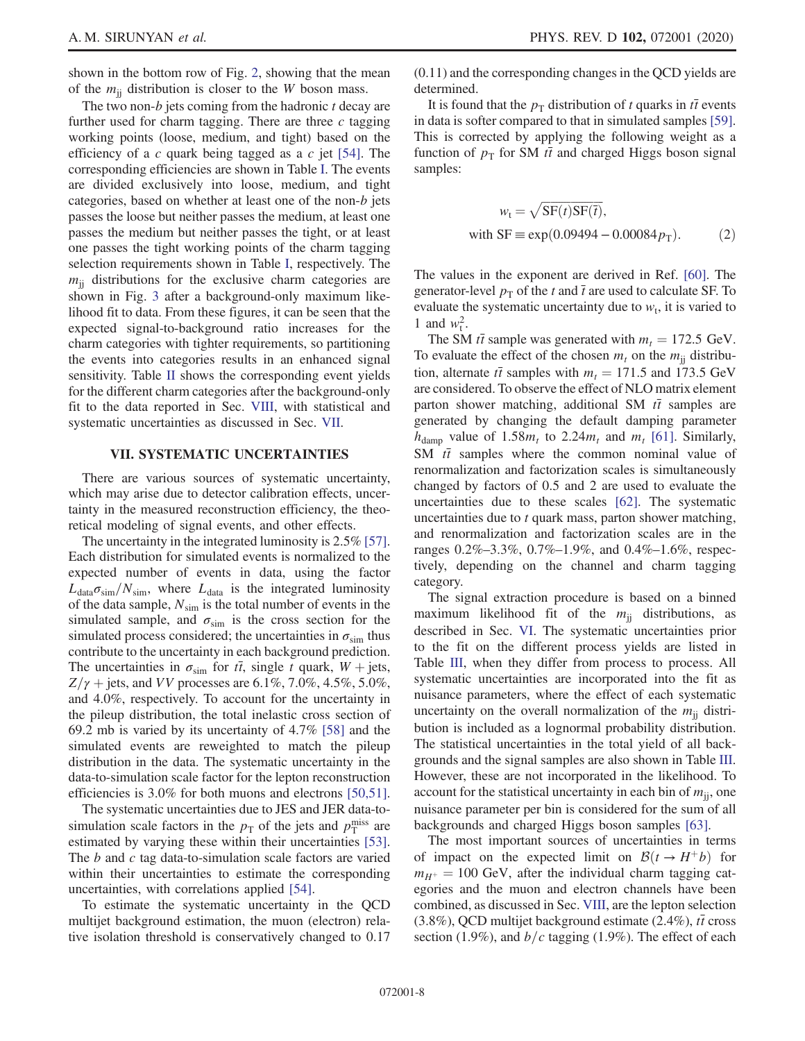shown in the bottom row of Fig. [2,](#page-4-0) showing that the mean of the  $m_{ij}$  distribution is closer to the W boson mass.

The two non- $b$  jets coming from the hadronic  $t$  decay are further used for charm tagging. There are three  $c$  tagging working points (loose, medium, and tight) based on the efficiency of a  $c$  quark being tagged as a  $c$  jet [\[54\]](#page-13-0). The corresponding efficiencies are shown in Table [I](#page-6-3). The events are divided exclusively into loose, medium, and tight categories, based on whether at least one of the non-b jets passes the loose but neither passes the medium, at least one passes the medium but neither passes the tight, or at least one passes the tight working points of the charm tagging selection requirements shown in Table [I](#page-6-3), respectively. The  $m_{ij}$  distributions for the exclusive charm categories are shown in Fig. [3](#page-5-0) after a background-only maximum likelihood fit to data. From these figures, it can be seen that the expected signal-to-background ratio increases for the charm categories with tighter requirements, so partitioning the events into categories results in an enhanced signal sensitivity. Table [II](#page-6-4) shows the corresponding event yields for the different charm categories after the background-only fit to the data reported in Sec. [VIII](#page-8-0), with statistical and systematic uncertainties as discussed in Sec. [VII.](#page-7-0)

## VII. SYSTEMATIC UNCERTAINTIES

<span id="page-7-0"></span>There are various sources of systematic uncertainty, which may arise due to detector calibration effects, uncertainty in the measured reconstruction efficiency, the theoretical modeling of signal events, and other effects.

The uncertainty in the integrated luminosity is 2.5% [\[57\]](#page-13-2). Each distribution for simulated events is normalized to the expected number of events in data, using the factor  $L_{data}\sigma_{sim}/N_{sim}$ , where  $L_{data}$  is the integrated luminosity of the data sample,  $N_{sim}$  is the total number of events in the simulated sample, and  $\sigma_{sim}$  is the cross section for the simulated process considered; the uncertainties in  $\sigma_{sim}$  thus contribute to the uncertainty in each background prediction. The uncertainties in  $\sigma_{sim}$  for  $t\bar{t}$ , single t quark,  $W + \text{jets}$ ,  $Z/\gamma$  + jets, and VV processes are 6.1%, 7.0%, 4.5%, 5.0%, and 4.0%, respectively. To account for the uncertainty in the pileup distribution, the total inelastic cross section of 69.2 mb is varied by its uncertainty of 4.7% [\[58\]](#page-13-3) and the simulated events are reweighted to match the pileup distribution in the data. The systematic uncertainty in the data-to-simulation scale factor for the lepton reconstruction efficiencies is 3.0% for both muons and electrons [\[50,51\]](#page-12-24).

The systematic uncertainties due to JES and JER data-tosimulation scale factors in the  $p_T$  of the jets and  $p_T^{\text{miss}}$  are estimated by varying these within their uncertainties [\[53\]](#page-12-27). The  $b$  and  $c$  tag data-to-simulation scale factors are varied within their uncertainties to estimate the corresponding uncertainties, with correlations applied [\[54\]](#page-13-0).

To estimate the systematic uncertainty in the QCD multijet background estimation, the muon (electron) relative isolation threshold is conservatively changed to 0.17 (0.11) and the corresponding changes in the QCD yields are determined.

It is found that the  $p_T$  distribution of t quarks in  $t\bar{t}$  events in data is softer compared to that in simulated samples [\[59\]](#page-13-4). This is corrected by applying the following weight as a function of  $p_T$  for SM  $t\bar{t}$  and charged Higgs boson signal samples:

$$
w_t = \sqrt{\text{SF}(t)\text{SF}(\bar{t})},
$$
  
with SF = exp(0.09494 - 0.00084 $p_T$ ). (2)

The values in the exponent are derived in Ref. [\[60\]](#page-13-5). The generator-level  $p_T$  of the t and  $\bar{t}$  are used to calculate SF. To evaluate the systematic uncertainty due to  $w_t$ , it is varied to 1 and  $w_t^2$ .

The SM  $t\bar{t}$  sample was generated with  $m_t = 172.5$  GeV. To evaluate the effect of the chosen  $m_t$  on the  $m_{ii}$  distribution, alternate  $t\bar{t}$  samples with  $m_t = 171.5$  and 173.5 GeV are considered. To observe the effect of NLO matrix element parton shower matching, additional SM  $t\bar{t}$  samples are generated by changing the default damping parameter  $h_{\text{damp}}$  value of 1.58 $m_t$  to 2.24 $m_t$  and  $m_t$  [\[61\].](#page-13-6) Similarly, SM  $t\bar{t}$  samples where the common nominal value of renormalization and factorization scales is simultaneously changed by factors of 0.5 and 2 are used to evaluate the uncertainties due to these scales [\[62\]](#page-13-7). The systematic uncertainties due to  $t$  quark mass, parton shower matching, and renormalization and factorization scales are in the ranges 0.2%–3.3%, 0.7%–1.9%, and 0.4%–1.6%, respectively, depending on the channel and charm tagging category.

The signal extraction procedure is based on a binned maximum likelihood fit of the  $m_{ij}$  distributions, as described in Sec. [VI.](#page-6-0) The systematic uncertainties prior to the fit on the different process yields are listed in Table [III](#page-8-1), when they differ from process to process. All systematic uncertainties are incorporated into the fit as nuisance parameters, where the effect of each systematic uncertainty on the overall normalization of the  $m_{ij}$  distribution is included as a lognormal probability distribution. The statistical uncertainties in the total yield of all backgrounds and the signal samples are also shown in Table [III](#page-8-1). However, these are not incorporated in the likelihood. To account for the statistical uncertainty in each bin of  $m_{ii}$ , one nuisance parameter per bin is considered for the sum of all backgrounds and charged Higgs boson samples [\[63\].](#page-13-8)

The most important sources of uncertainties in terms of impact on the expected limit on  $\mathcal{B}(t \to H^+b)$  for  $m_{H^+} = 100$  GeV, after the individual charm tagging categories and the muon and electron channels have been combined, as discussed in Sec. [VIII](#page-8-0), are the lepton selection  $(3.8\%)$ , QCD multijet background estimate  $(2.4\%)$ ,  $t\bar{t}$  cross section (1.9%), and  $b/c$  tagging (1.9%). The effect of each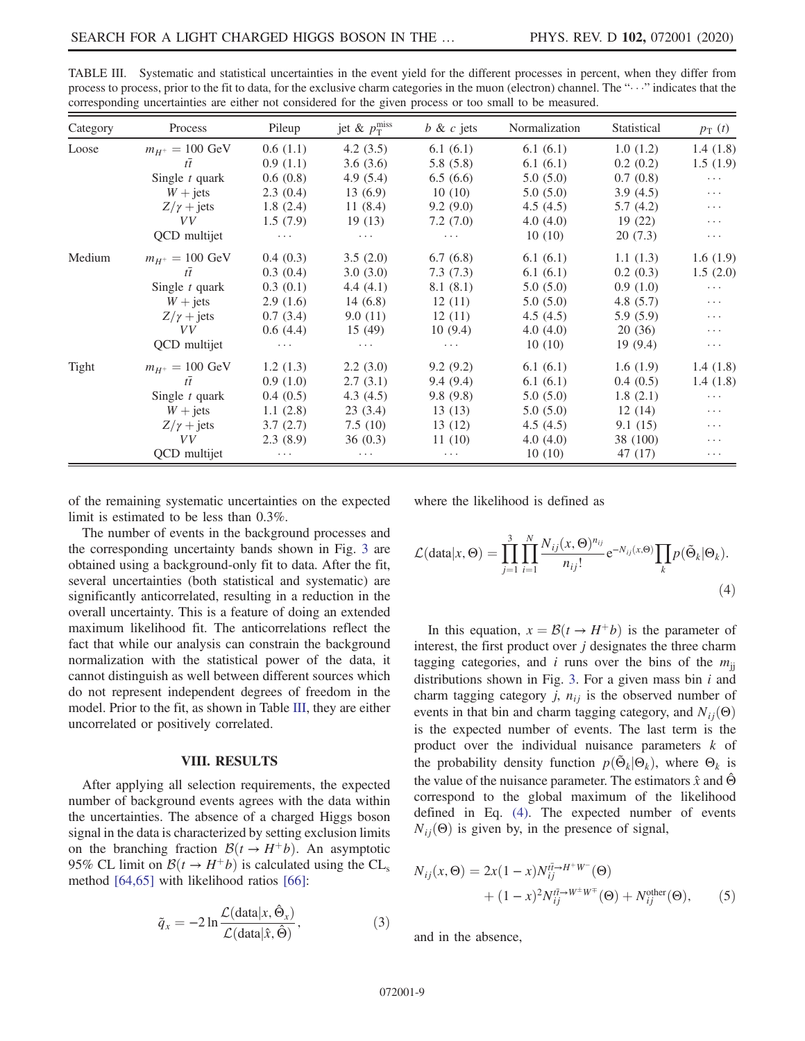| Category | Process                     | Pileup     | jet & $p_T^{\text{miss}}$ | $b \& c$ jets | Normalization | Statistical | $p_{\rm T}(t)$       |
|----------|-----------------------------|------------|---------------------------|---------------|---------------|-------------|----------------------|
| Loose    | $m_{H^+} = 100 \text{ GeV}$ | 0.6(1.1)   | 4.2 $(3.5)$               | 6.1 $(6.1)$   | 6.1(6.1)      | 1.0(1.2)    | 1.4(1.8)             |
|          | $t\bar{t}$                  | 0.9(1.1)   | 3.6(3.6)                  | 5.8(5.8)      | 6.1(6.1)      | 0.2(0.2)    | 1.5(1.9)             |
|          | Single $t$ quark            | 0.6(0.8)   | 4.9(5.4)                  | 6.5(6.6)      | 5.0(5.0)      | 0.7(0.8)    | $\ldots$ .           |
|          | $W + \text{jets}$           | 2.3(0.4)   | 13(6.9)                   | 10(10)        | 5.0(5.0)      | 3.9(4.5)    | $\ldots$             |
|          | $Z/\gamma$ + jets           | 1.8(2.4)   | 11(8.4)                   | 9.2(9.0)      | 4.5 $(4.5)$   | 5.7(4.2)    | $\cdots$             |
|          | VV                          | 1.5(7.9)   | 19(13)                    | 7.2(7.0)      | 4.0(4.0)      | 19(22)      | $\cdots$             |
|          | QCD multijet                | $\ldots$ . | $\ldots$                  | $\cdots$      | 10(10)        | 20(7.3)     | $\cdots$             |
| Medium   | $m_{H^+} = 100 \text{ GeV}$ | 0.4(0.3)   | 3.5(2.0)                  | 6.7(6.8)      | 6.1(6.1)      | 1.1(1.3)    | 1.6(1.9)             |
|          | $t\bar{t}$                  | 0.3(0.4)   | 3.0(3.0)                  | 7.3(7.3)      | 6.1(6.1)      | 0.2(0.3)    | 1.5(2.0)             |
|          | Single $t$ quark            | 0.3(0.1)   | 4.4 $(4.1)$               | 8.1(8.1)      | 5.0(5.0)      | 0.9(1.0)    | $\sim$ $\sim$ $\sim$ |
|          | $W + \text{jets}$           | 2.9(1.6)   | 14(6.8)                   | 12(11)        | 5.0(5.0)      | 4.8 $(5.7)$ | $\cdots$             |
|          | $Z/\gamma$ + jets           | 0.7(3.4)   | 9.0(11)                   | 12(11)        | 4.5(4.5)      | 5.9(5.9)    | $\cdots$             |
|          | VV                          | 0.6(4.4)   | 15(49)                    | 10(9.4)       | 4.0(4.0)      | 20(36)      | $\cdots$             |
|          | QCD multijet                | $\ldots$   | $\ldots$                  | $\cdots$      | 10(10)        | 19(9.4)     | $\cdots$             |
| Tight    | $m_{H^+} = 100 \text{ GeV}$ | 1.2(1.3)   | 2.2(3.0)                  | 9.2(9.2)      | 6.1 $(6.1)$   | 1.6(1.9)    | 1.4(1.8)             |
|          | $t\overline{t}$             | 0.9(1.0)   | 2.7(3.1)                  | 9.4(9.4)      | 6.1(6.1)      | 0.4(0.5)    | 1.4(1.8)             |
|          | Single $t$ quark            | 0.4(0.5)   | 4.3 $(4.5)$               | 9.8(9.8)      | 5.0(5.0)      | 1.8(2.1)    | $\sim$ $\sim$ $\sim$ |
|          | $W + jets$                  | 1.1(2.8)   | 23(3.4)                   | 13(13)        | 5.0(5.0)      | 12(14)      | $\cdots$             |
|          | $Z/\gamma$ + jets           | 3.7(2.7)   | 7.5(10)                   | 13(12)        | 4.5(4.5)      | 9.1(15)     | $\cdots$             |
|          | VV.                         | 2.3(8.9)   | 36(0.3)                   | 11(10)        | 4.0(4.0)      | 38 (100)    | $\cdots$             |
|          | QCD multijet                | $\ldots$ . | $\cdots$                  | $\cdots$      | 10(10)        | 47(17)      | $\cdots$             |

<span id="page-8-1"></span>TABLE III. Systematic and statistical uncertainties in the event yield for the different processes in percent, when they differ from process to process, prior to the fit to data, for the exclusive charm categories in the muon (electron) channel. The "..." indicates that the corresponding uncertainties are either not considered for the given process or too small to be measured.

of the remaining systematic uncertainties on the expected limit is estimated to be less than 0.3%.

The number of events in the background processes and the corresponding uncertainty bands shown in Fig. [3](#page-5-0) are obtained using a background-only fit to data. After the fit, several uncertainties (both statistical and systematic) are significantly anticorrelated, resulting in a reduction in the overall uncertainty. This is a feature of doing an extended maximum likelihood fit. The anticorrelations reflect the fact that while our analysis can constrain the background normalization with the statistical power of the data, it cannot distinguish as well between different sources which do not represent independent degrees of freedom in the model. Prior to the fit, as shown in Table [III](#page-8-1), they are either uncorrelated or positively correlated.

#### VIII. RESULTS

<span id="page-8-0"></span>After applying all selection requirements, the expected number of background events agrees with the data within the uncertainties. The absence of a charged Higgs boson signal in the data is characterized by setting exclusion limits on the branching fraction  $\mathcal{B}(t \to H^+b)$ . An asymptotic 95% CL limit on  $\mathcal{B}(t \to H^+b)$  is calculated using the CL<sub>s</sub> method [\[64,65\]](#page-13-9) with likelihood ratios [\[66\]:](#page-13-10)

$$
\tilde{q}_x = -2 \ln \frac{\mathcal{L}(\text{data}|x, \hat{\Theta}_x)}{\mathcal{L}(\text{data}|\hat{x}, \hat{\Theta})},\tag{3}
$$

<span id="page-8-2"></span>where the likelihood is defined as

$$
\mathcal{L}(\text{data}|x,\Theta) = \prod_{j=1}^{3} \prod_{i=1}^{N} \frac{N_{ij}(x,\Theta)^{n_{ij}}}{n_{ij}!} e^{-N_{ij}(x,\Theta)} \prod_{k} p(\tilde{\Theta}_k | \Theta_k).
$$
\n(4)

In this equation,  $x = \mathcal{B}(t \rightarrow H^+b)$  is the parameter of interest, the first product over  $j$  designates the three charm tagging categories, and i runs over the bins of the  $m_{ij}$ distributions shown in Fig. [3](#page-5-0). For a given mass bin  $i$  and charm tagging category *j*,  $n_{ij}$  is the observed number of events in that bin and charm tagging category, and  $N_{ij}(\Theta)$ is the expected number of events. The last term is the product over the individual nuisance parameters  $k$  of the probability density function  $p(\tilde{\Theta}_k|\Theta_k)$ , where  $\Theta_k$  is the value of the nuisance parameter. The estimators  $\hat{x}$  and  $\hat{\Theta}$ correspond to the global maximum of the likelihood defined in Eq. [\(4\).](#page-8-2) The expected number of events  $N_{ii}(\Theta)$  is given by, in the presence of signal,

<span id="page-8-3"></span>
$$
N_{ij}(x,\Theta) = 2x(1-x)N_{ij}^{i\overline{j}\rightarrow H^+W^-}(\Theta)
$$
  
+  $(1-x)^2N_{ij}^{i\overline{j}\rightarrow W^+W^+}(\Theta) + N_{ij}^{\text{other}}(\Theta),$  (5)

and in the absence,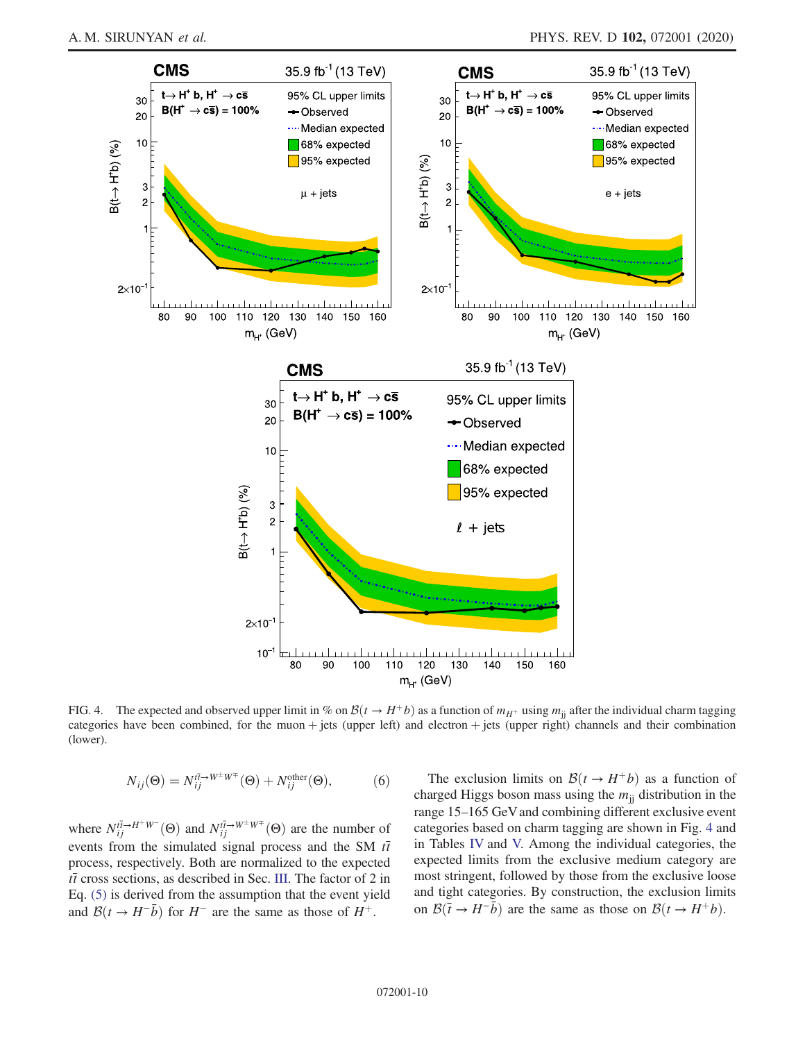<span id="page-9-0"></span>

FIG. 4. The expected and observed upper limit in % on  $\mathcal{B}(t \to H^+b)$  as a function of  $m_{H^+}$  using  $m_{ii}$  after the individual charm tagging categories have been combined, for the muon  $+$  jets (upper left) and electron  $+$  jets (upper right) channels and their combination (lower).

$$
N_{ij}(\Theta) = N_{ij}^{i\bar{i}\to W^{\pm}W^{\mp}}(\Theta) + N_{ij}^{\text{other}}(\Theta),\tag{6}
$$

where  $N_{ij}^{i\bar{i}\to H^+W^-}(\Theta)$  and  $N_{ij}^{i\bar{i}\to W^+W^+}(\Theta)$  are the number of events from the simulated signal process and the SM  $t\bar{t}$ process, respectively. Both are normalized to the expected  $t\bar{t}$  cross sections, as described in Sec. [III.](#page-2-0) The factor of 2 in Eq. [\(5\)](#page-8-3) is derived from the assumption that the event yield and  $\mathcal{B}(t \to H^-\bar{b})$  for  $H^-$  are the same as those of  $H^+$ .

The exclusion limits on  $\mathcal{B}(t \to H^+b)$  as a function of charged Higgs boson mass using the  $m_{ij}$  distribution in the range 15–165 GeV and combining different exclusive event categories based on charm tagging are shown in Fig. [4](#page-9-0) and in Tables [IV](#page-10-1) and [V.](#page-10-2) Among the individual categories, the expected limits from the exclusive medium category are most stringent, followed by those from the exclusive loose and tight categories. By construction, the exclusion limits on  $\mathcal{B}(\bar{t} \to H^-\bar{b})$  are the same as those on  $\mathcal{B}(t \to H^+b)$ .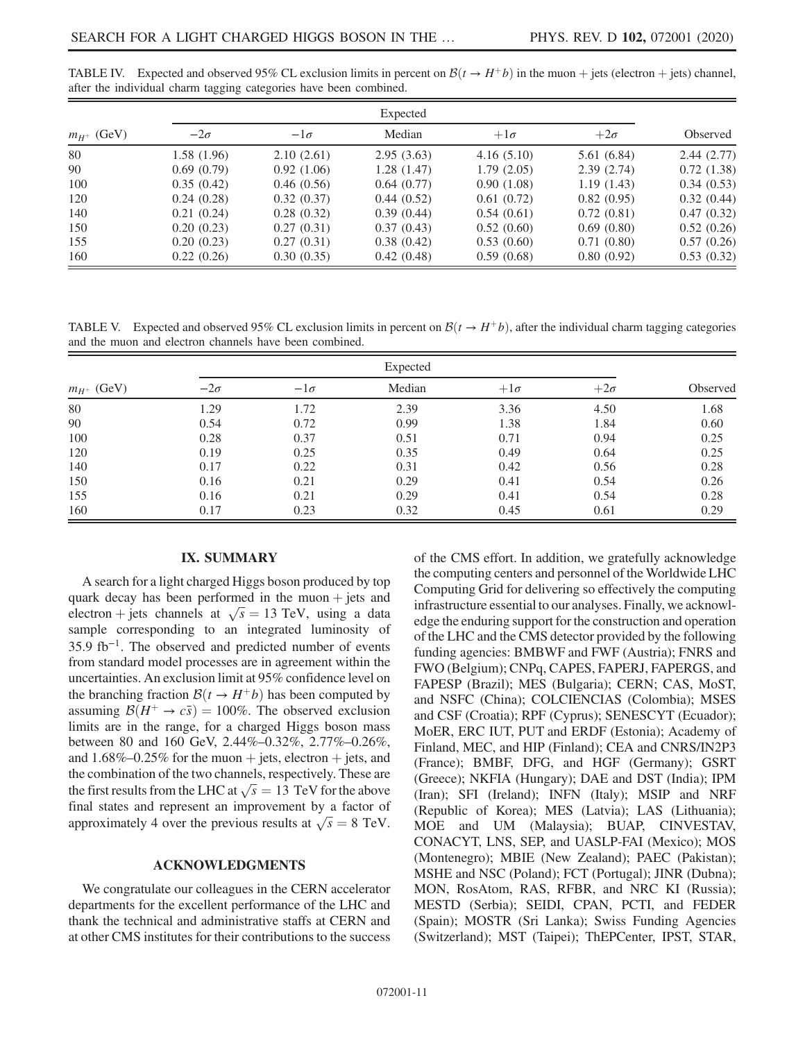|                 | Expected   |            |            |            |            |            |
|-----------------|------------|------------|------------|------------|------------|------------|
| $m_{H^+}$ (GeV) | $-2\sigma$ | $-1\sigma$ | Median     | $+1\sigma$ | $+2\sigma$ | Observed   |
| 80              | 1.58(1.96) | 2.10(2.61) | 2.95(3.63) | 4.16(5.10) | 5.61(6.84) | 2.44(2.77) |
| 90              | 0.69(0.79) | 0.92(1.06) | 1.28(1.47) | 1.79(2.05) | 2.39(2.74) | 0.72(1.38) |
| 100             | 0.35(0.42) | 0.46(0.56) | 0.64(0.77) | 0.90(1.08) | 1.19(1.43) | 0.34(0.53) |
| 120             | 0.24(0.28) | 0.32(0.37) | 0.44(0.52) | 0.61(0.72) | 0.82(0.95) | 0.32(0.44) |
| 140             | 0.21(0.24) | 0.28(0.32) | 0.39(0.44) | 0.54(0.61) | 0.72(0.81) | 0.47(0.32) |
| 150             | 0.20(0.23) | 0.27(0.31) | 0.37(0.43) | 0.52(0.60) | 0.69(0.80) | 0.52(0.26) |
| 155             | 0.20(0.23) | 0.27(0.31) | 0.38(0.42) | 0.53(0.60) | 0.71(0.80) | 0.57(0.26) |
| 160             | 0.22(0.26) | 0.30(0.35) | 0.42(0.48) | 0.59(0.68) | 0.80(0.92) | 0.53(0.32) |

<span id="page-10-1"></span>TABLE IV. Expected and observed 95% CL exclusion limits in percent on  $\mathcal{B}(t \to H^+b)$  in the muon + jets (electron + jets) channel, after the individual charm tagging categories have been combined.

<span id="page-10-2"></span>TABLE V. Expected and observed 95% CL exclusion limits in percent on  $\mathcal{B}(t \to H^+b)$ , after the individual charm tagging categories and the muon and electron channels have been combined.

| $m_{H^+}$ (GeV) | $-2\sigma$ | $-1\sigma$ | Median | $+1\sigma$ | $+2\sigma$ | Observed |
|-----------------|------------|------------|--------|------------|------------|----------|
| 80              | 1.29       | 1.72       | 2.39   | 3.36       | 4.50       | 1.68     |
| 90              | 0.54       | 0.72       | 0.99   | 1.38       | 1.84       | 0.60     |
| 100             | 0.28       | 0.37       | 0.51   | 0.71       | 0.94       | 0.25     |
| 120             | 0.19       | 0.25       | 0.35   | 0.49       | 0.64       | 0.25     |
| 140             | 0.17       | 0.22       | 0.31   | 0.42       | 0.56       | 0.28     |
| 150             | 0.16       | 0.21       | 0.29   | 0.41       | 0.54       | 0.26     |
| 155             | 0.16       | 0.21       | 0.29   | 0.41       | 0.54       | 0.28     |
| 160             | 0.17       | 0.23       | 0.32   | 0.45       | 0.61       | 0.29     |

## IX. SUMMARY

<span id="page-10-0"></span>A search for a light charged Higgs boson produced by top quark decay has been performed in the muon  $+$  jets and electron + jets channels at  $\sqrt{s} = 13$  TeV, using a data sample corresponding to an integrated luminosity of 35.9 fb<sup>−</sup><sup>1</sup>. The observed and predicted number of events from standard model processes are in agreement within the uncertainties. An exclusion limit at 95% confidence level on the branching fraction  $\mathcal{B}(t \to H^+b)$  has been computed by assuming  $\mathcal{B}(H^+ \to c\bar{s}) = 100\%$ . The observed exclusion limits are in the range, for a charged Higgs boson mass between 80 and 160 GeV, 2.44%–0.32%, 2.77%–0.26%, and  $1.68\%$  –0.25% for the muon + jets, electron + jets, and the combination of the two channels, respectively. These are the first results from the LHC at  $\sqrt{s} = 13$  TeV for the above final states and represent an improvement by a factor of approximately 4 over the previous results at  $\sqrt{s} = 8$  TeV.

## ACKNOWLEDGMENTS

We congratulate our colleagues in the CERN accelerator departments for the excellent performance of the LHC and thank the technical and administrative staffs at CERN and at other CMS institutes for their contributions to the success of the CMS effort. In addition, we gratefully acknowledge the computing centers and personnel of the Worldwide LHC Computing Grid for delivering so effectively the computing infrastructure essential to our analyses. Finally, we acknowledge the enduring support for the construction and operation of the LHC and the CMS detector provided by the following funding agencies: BMBWF and FWF (Austria); FNRS and FWO (Belgium); CNPq, CAPES, FAPERJ, FAPERGS, and FAPESP (Brazil); MES (Bulgaria); CERN; CAS, MoST, and NSFC (China); COLCIENCIAS (Colombia); MSES and CSF (Croatia); RPF (Cyprus); SENESCYT (Ecuador); MoER, ERC IUT, PUT and ERDF (Estonia); Academy of Finland, MEC, and HIP (Finland); CEA and CNRS/IN2P3 (France); BMBF, DFG, and HGF (Germany); GSRT (Greece); NKFIA (Hungary); DAE and DST (India); IPM (Iran); SFI (Ireland); INFN (Italy); MSIP and NRF (Republic of Korea); MES (Latvia); LAS (Lithuania); MOE and UM (Malaysia); BUAP, CINVESTAV, CONACYT, LNS, SEP, and UASLP-FAI (Mexico); MOS (Montenegro); MBIE (New Zealand); PAEC (Pakistan); MSHE and NSC (Poland); FCT (Portugal); JINR (Dubna); MON, RosAtom, RAS, RFBR, and NRC KI (Russia); MESTD (Serbia); SEIDI, CPAN, PCTI, and FEDER (Spain); MOSTR (Sri Lanka); Swiss Funding Agencies (Switzerland); MST (Taipei); ThEPCenter, IPST, STAR,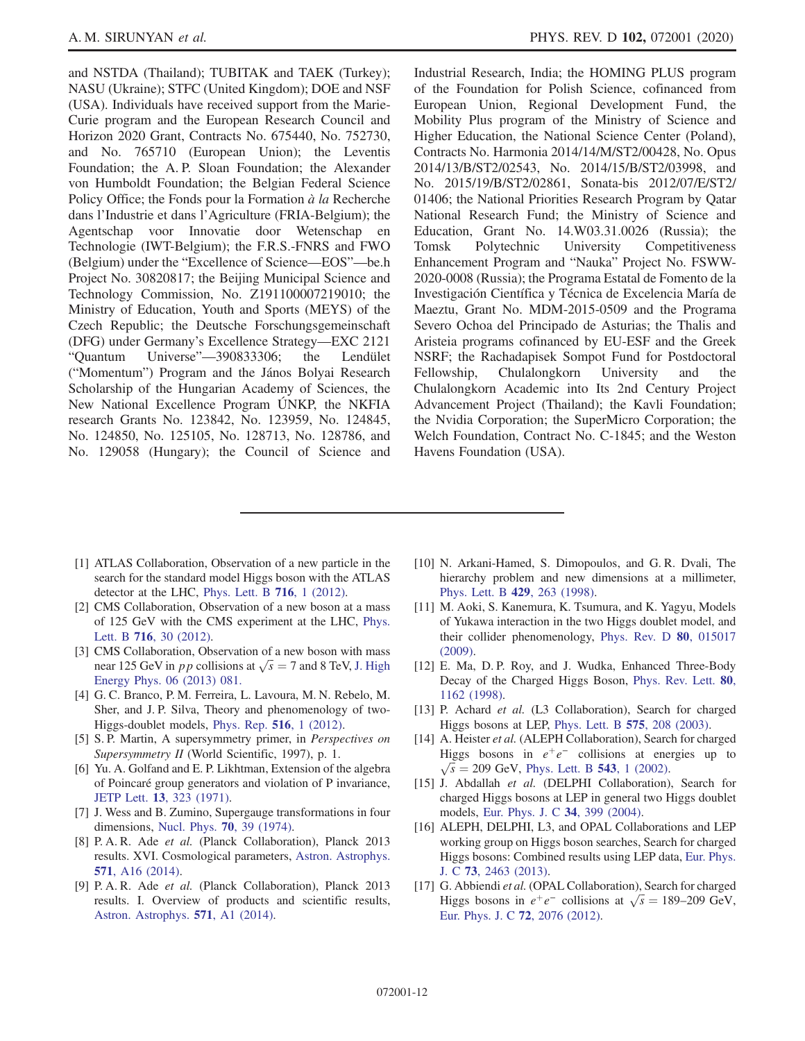and NSTDA (Thailand); TUBITAK and TAEK (Turkey); NASU (Ukraine); STFC (United Kingdom); DOE and NSF (USA). Individuals have received support from the Marie-Curie program and the European Research Council and Horizon 2020 Grant, Contracts No. 675440, No. 752730, and No. 765710 (European Union); the Leventis Foundation; the A. P. Sloan Foundation; the Alexander von Humboldt Foundation; the Belgian Federal Science Policy Office; the Fonds pour la Formation  $\dot{a}$  la Recherche dans l'Industrie et dans l'Agriculture (FRIA-Belgium); the Agentschap voor Innovatie door Wetenschap en Technologie (IWT-Belgium); the F.R.S.-FNRS and FWO (Belgium) under the "Excellence of Science—EOS"—be.h Project No. 30820817; the Beijing Municipal Science and Technology Commission, No. Z191100007219010; the Ministry of Education, Youth and Sports (MEYS) of the Czech Republic; the Deutsche Forschungsgemeinschaft (DFG) under Germany's Excellence Strategy—EXC 2121 "Quantum Universe"—390833306; the Lendület ("Momentum") Program and the János Bolyai Research Scholarship of the Hungarian Academy of Sciences, the New National Excellence Program ÚNKP, the NKFIA research Grants No. 123842, No. 123959, No. 124845, No. 124850, No. 125105, No. 128713, No. 128786, and No. 129058 (Hungary); the Council of Science and Industrial Research, India; the HOMING PLUS program of the Foundation for Polish Science, cofinanced from European Union, Regional Development Fund, the Mobility Plus program of the Ministry of Science and Higher Education, the National Science Center (Poland), Contracts No. Harmonia 2014/14/M/ST2/00428, No. Opus 2014/13/B/ST2/02543, No. 2014/15/B/ST2/03998, and No. 2015/19/B/ST2/02861, Sonata-bis 2012/07/E/ST2/ 01406; the National Priorities Research Program by Qatar National Research Fund; the Ministry of Science and Education, Grant No. 14.W03.31.0026 (Russia); the Tomsk Polytechnic University Competitiveness Enhancement Program and "Nauka" Project No. FSWW-2020-0008 (Russia); the Programa Estatal de Fomento de la Investigación Científica y Técnica de Excelencia María de Maeztu, Grant No. MDM-2015-0509 and the Programa Severo Ochoa del Principado de Asturias; the Thalis and Aristeia programs cofinanced by EU-ESF and the Greek NSRF; the Rachadapisek Sompot Fund for Postdoctoral Fellowship, Chulalongkorn University and the Chulalongkorn Academic into Its 2nd Century Project Advancement Project (Thailand); the Kavli Foundation; the Nvidia Corporation; the SuperMicro Corporation; the Welch Foundation, Contract No. C-1845; and the Weston Havens Foundation (USA).

- <span id="page-11-0"></span>[1] ATLAS Collaboration, Observation of a new particle in the search for the standard model Higgs boson with the ATLAS detector at the LHC, [Phys. Lett. B](https://doi.org/10.1016/j.physletb.2012.08.020) 716, 1 (2012).
- <span id="page-11-1"></span>[2] CMS Collaboration, Observation of a new boson at a mass of 125 GeV with the CMS experiment at the LHC, [Phys.](https://doi.org/10.1016/j.physletb.2012.08.021) Lett. B 716[, 30 \(2012\)](https://doi.org/10.1016/j.physletb.2012.08.021).
- [3] CMS Collaboration, Observation of a new boson with mass near 125 GeV in *pp* collisions at  $\sqrt{s} = 7$  and 8 TeV, [J. High](https://doi.org/10.1007/JHEP06(2013)081) [Energy Phys. 06 \(2013\) 081.](https://doi.org/10.1007/JHEP06(2013)081)
- <span id="page-11-2"></span>[4] G. C. Branco, P. M. Ferreira, L. Lavoura, M. N. Rebelo, M. Sher, and J. P. Silva, Theory and phenomenology of two-Higgs-doublet models, [Phys. Rep.](https://doi.org/10.1016/j.physrep.2012.02.002) 516, 1 (2012).
- <span id="page-11-3"></span>[5] S. P. Martin, A supersymmetry primer, in *Perspectives on* Supersymmetry II (World Scientific, 1997), p. 1.
- [6] Yu. A. Golfand and E. P. Likhtman, Extension of the algebra of Poincar´e group generators and violation of P invariance, JETP Lett. 13[, 323 \(1971\)](https://doi.org/10.1142/9789814542340_0001).
- [7] J. Wess and B. Zumino, Supergauge transformations in four dimensions, [Nucl. Phys.](https://doi.org/10.1016/0550-3213(74)90355-1) 70, 39 (1974).
- <span id="page-11-4"></span>[8] P. A. R. Ade *et al.* (Planck Collaboration), Planck 2013 results. XVI. Cosmological parameters, [Astron. Astrophys.](https://doi.org/10.1051/0004-6361/201321591) 571[, A16 \(2014\).](https://doi.org/10.1051/0004-6361/201321591)
- [9] P. A. R. Ade et al. (Planck Collaboration), Planck 2013 results. I. Overview of products and scientific results, [Astron. Astrophys.](https://doi.org/10.1051/0004-6361/201321529) 571, A1 (2014).
- <span id="page-11-5"></span>[10] N. Arkani-Hamed, S. Dimopoulos, and G. R. Dvali, The hierarchy problem and new dimensions at a millimeter, [Phys. Lett. B](https://doi.org/10.1016/S0370-2693(98)00466-3) 429, 263 (1998).
- <span id="page-11-6"></span>[11] M. Aoki, S. Kanemura, K. Tsumura, and K. Yagyu, Models of Yukawa interaction in the two Higgs doublet model, and their collider phenomenology, [Phys. Rev. D](https://doi.org/10.1103/PhysRevD.80.015017) 80, 015017 [\(2009\).](https://doi.org/10.1103/PhysRevD.80.015017)
- [12] E. Ma, D. P. Roy, and J. Wudka, Enhanced Three-Body Decay of the Charged Higgs Boson, [Phys. Rev. Lett.](https://doi.org/10.1103/PhysRevLett.80.1162) 80, [1162 \(1998\)](https://doi.org/10.1103/PhysRevLett.80.1162).
- <span id="page-11-7"></span>[13] P. Achard et al. (L3 Collaboration), Search for charged Higgs bosons at LEP, [Phys. Lett. B](https://doi.org/10.1016/j.physletb.2003.09.057) 575, 208 (2003).
- [14] A. Heister et al. (ALEPH Collaboration), Search for charged Higgs bosons in  $e^+e^-$  collisions at energies up to  $\sqrt{s}$  = 209 GeV, [Phys. Lett. B](https://doi.org/10.1016/S0370-2693(02)02380-8) 543, 1 (2002).
- [15] J. Abdallah et al. (DELPHI Collaboration), Search for charged Higgs bosons at LEP in general two Higgs doublet models, [Eur. Phys. J. C](https://doi.org/10.1140/epjc/s2004-01732-6) 34, 399 (2004).
- <span id="page-11-8"></span>[16] ALEPH, DELPHI, L3, and OPAL Collaborations and LEP working group on Higgs boson searches, Search for charged Higgs bosons: Combined results using LEP data, [Eur. Phys.](https://doi.org/10.1140/epjc/s10052-013-2463-1) J. C 73[, 2463 \(2013\)](https://doi.org/10.1140/epjc/s10052-013-2463-1).
- <span id="page-11-9"></span>[17] G. Abbiendi et al. (OPAL Collaboration), Search for charged Higgs bosons in  $e^+e^-$  collisions at  $\sqrt{s} = 189-209$  GeV, [Eur. Phys. J. C](https://doi.org/10.1140/epjc/s10052-012-2076-0) 72, 2076 (2012).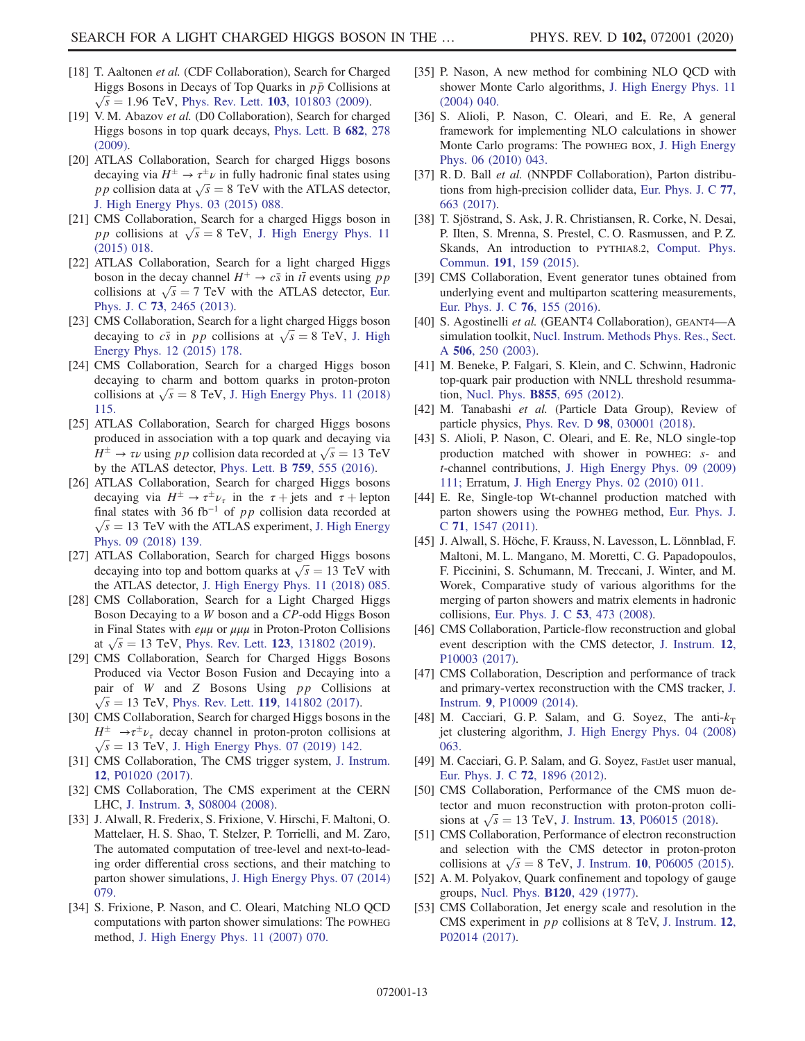- <span id="page-12-0"></span>[18] T. Aaltonen et al. (CDF Collaboration), Search for Charged Higgs Bosons in Decays of Top Quarks in  $p\bar{p}$  Collisions at  $\sqrt{s}$  = 1.96 TeV, Phys. Rev. Lett. 103[, 101803 \(2009\).](https://doi.org/10.1103/PhysRevLett.103.101803)
- <span id="page-12-1"></span>[19] V. M. Abazov et al. (D0 Collaboration), Search for charged Higgs bosons in top quark decays, [Phys. Lett. B](https://doi.org/10.1016/j.physletb.2009.11.016) 682, 278 [\(2009\).](https://doi.org/10.1016/j.physletb.2009.11.016)
- <span id="page-12-2"></span>[20] ATLAS Collaboration, Search for charged Higgs bosons decaying via  $H^{\pm} \rightarrow \tau^{\pm} \nu$  in fully hadronic final states using pp collision data at  $\sqrt{s} = 8$  TeV with the ATLAS detector, [J. High Energy Phys. 03 \(2015\) 088.](https://doi.org/10.1007/JHEP03(2015)088)
- <span id="page-12-3"></span>[21] CMS Collaboration, Search for a charged Higgs boson in pp collisions at  $\sqrt{s} = 8$  TeV, [J. High Energy Phys. 11](https://doi.org/10.1007/JHEP11(2015)018) [\(2015\) 018.](https://doi.org/10.1007/JHEP11(2015)018)
- <span id="page-12-4"></span>[22] ATLAS Collaboration, Search for a light charged Higgs boson in the decay channel  $H^+ \rightarrow c\bar{s}$  in  $t\bar{t}$  events using pp collisions at  $\sqrt{s} = 7$  TeV with the ATLAS detector, [Eur.](https://doi.org/10.1140/epjc/s10052-013-2465-z) Phys. J. C 73[, 2465 \(2013\).](https://doi.org/10.1140/epjc/s10052-013-2465-z)
- <span id="page-12-28"></span>[23] CMS Collaboration, Search for a light charged Higgs boson decaying to  $c\bar{s}$  in pp collisions at  $\sqrt{s} = 8$  TeV, [J. High](https://doi.org/10.1007/JHEP12(2015)178) [Energy Phys. 12 \(2015\) 178.](https://doi.org/10.1007/JHEP12(2015)178)
- <span id="page-12-5"></span>[24] CMS Collaboration, Search for a charged Higgs boson decaying to charm and bottom quarks in proton-proton collisions at  $\sqrt{s} = 8$  TeV, [J. High Energy Phys. 11 \(2018\)](https://doi.org/10.1007/JHEP11(2018)115) [115.](https://doi.org/10.1007/JHEP11(2018)115)
- <span id="page-12-6"></span>[25] ATLAS Collaboration, Search for charged Higgs bosons produced in association with a top quark and decaying via  $H^{\pm} \rightarrow \tau \nu$  using pp collision data recorded at  $\sqrt{s} = 13$  TeV by the ATLAS detector, [Phys. Lett. B](https://doi.org/10.1016/j.physletb.2016.06.017) 759, 555 (2016).
- <span id="page-12-7"></span>[26] ATLAS Collaboration, Search for charged Higgs bosons decaying via  $H^{\pm} \rightarrow \tau^{\pm} \nu_{\tau}$  in the  $\tau$  + jets and  $\tau$  + lepton final states with 36 fb<sup>-1</sup> of pp collision data recorded at  $\sqrt{s}$  = 13 TeV with the ATLAS experiment, [J. High Energy](https://doi.org/10.1007/JHEP09(2018)139) [Phys. 09 \(2018\) 139.](https://doi.org/10.1007/JHEP09(2018)139)
- <span id="page-12-8"></span>[27] ATLAS Collaboration, Search for charged Higgs bosons decaying into top and bottom quarks at  $\sqrt{s} = 13$  TeV with the ATLAS detector, [J. High Energy Phys. 11 \(2018\) 085.](https://doi.org/10.1007/JHEP11(2018)085)
- [28] CMS Collaboration, Search for a Light Charged Higgs Boson Decaying to a W boson and a CP-odd Higgs Boson in Final States with  $e\mu\mu$  or  $\mu\mu\mu$  in Proton-Proton Collisions at  $\sqrt{s}$  = 13 TeV, Phys. Rev. Lett. 123[, 131802 \(2019\).](https://doi.org/10.1103/PhysRevLett.123.131802)
- [29] CMS Collaboration, Search for Charged Higgs Bosons Produced via Vector Boson Fusion and Decaying into a pair of W and Z Bosons Using pp Collisions at  $\sqrt{s}$  = 13 TeV, Phys. Rev. Lett. 119[, 141802 \(2017\).](https://doi.org/10.1103/PhysRevLett.119.141802)
- [30] CMS Collaboration, Search for charged Higgs bosons in the  $H^{\pm} \rightarrow \tau^{\pm} \nu_{\tau}$  decay channel in proton-proton collisions at  $\sqrt{s}$  = 13 TeV, [J. High Energy Phys. 07 \(2019\) 142.](https://doi.org/10.1007/JHEP07(2019)142)
- <span id="page-12-10"></span><span id="page-12-9"></span>[31] CMS Collaboration, The CMS trigger system, [J. Instrum.](https://doi.org/10.1088/1748-0221/12/01/P01020) 12[, P01020 \(2017\)](https://doi.org/10.1088/1748-0221/12/01/P01020).
- <span id="page-12-11"></span>[32] CMS Collaboration, The CMS experiment at the CERN LHC, J. Instrum. 3[, S08004 \(2008\).](https://doi.org/10.1088/1748-0221/3/08/S08004)
- [33] J. Alwall, R. Frederix, S. Frixione, V. Hirschi, F. Maltoni, O. Mattelaer, H. S. Shao, T. Stelzer, P. Torrielli, and M. Zaro, The automated computation of tree-level and next-to-leading order differential cross sections, and their matching to parton shower simulations, [J. High Energy Phys. 07 \(2014\)](https://doi.org/10.1007/JHEP07(2014)079) [079.](https://doi.org/10.1007/JHEP07(2014)079)
- <span id="page-12-12"></span>[34] S. Frixione, P. Nason, and C. Oleari, Matching NLO QCD computations with parton shower simulations: The POWHEG method, [J. High Energy Phys. 11 \(2007\) 070.](https://doi.org/10.1088/1126-6708/2007/11/070)
- [35] P. Nason, A new method for combining NLO QCD with shower Monte Carlo algorithms, [J. High Energy Phys. 11](https://doi.org/10.1088/1126-6708/2004/11/040) [\(2004\) 040.](https://doi.org/10.1088/1126-6708/2004/11/040)
- [36] S. Alioli, P. Nason, C. Oleari, and E. Re, A general framework for implementing NLO calculations in shower Monte Carlo programs: The POWHEG BOX, [J. High Energy](https://doi.org/10.1007/JHEP06(2010)043) [Phys. 06 \(2010\) 043.](https://doi.org/10.1007/JHEP06(2010)043)
- <span id="page-12-13"></span>[37] R. D. Ball et al. (NNPDF Collaboration), Parton distributions from high-precision collider data, [Eur. Phys. J. C](https://doi.org/10.1140/epjc/s10052-017-5199-5) 77, [663 \(2017\)](https://doi.org/10.1140/epjc/s10052-017-5199-5).
- <span id="page-12-14"></span>[38] T. Sjöstrand, S. Ask, J. R. Christiansen, R. Corke, N. Desai, P. Ilten, S. Mrenna, S. Prestel, C. O. Rasmussen, and P. Z. Skands, An introduction to PYTHIA8.2, [Comput. Phys.](https://doi.org/10.1016/j.cpc.2015.01.024) Commun. 191[, 159 \(2015\)](https://doi.org/10.1016/j.cpc.2015.01.024).
- <span id="page-12-15"></span>[39] CMS Collaboration, Event generator tunes obtained from underlying event and multiparton scattering measurements, [Eur. Phys. J. C](https://doi.org/10.1140/epjc/s10052-016-3988-x) 76, 155 (2016).
- <span id="page-12-16"></span>[40] S. Agostinelli et al. (GEANT4 Collaboration), GEANT4—A simulation toolkit, [Nucl. Instrum. Methods Phys. Res., Sect.](https://doi.org/10.1016/S0168-9002(03)01368-8) A 506[, 250 \(2003\).](https://doi.org/10.1016/S0168-9002(03)01368-8)
- <span id="page-12-17"></span>[41] M. Beneke, P. Falgari, S. Klein, and C. Schwinn, Hadronic top-quark pair production with NNLL threshold resummation, Nucl. Phys. B855[, 695 \(2012\)](https://doi.org/10.1016/j.nuclphysb.2011.10.021).
- <span id="page-12-18"></span>[42] M. Tanabashi et al. (Particle Data Group), Review of particle physics, Phys. Rev. D 98[, 030001 \(2018\).](https://doi.org/10.1103/PhysRevD.98.030001)
- <span id="page-12-19"></span>[43] S. Alioli, P. Nason, C. Oleari, and E. Re, NLO single-top production matched with shower in POWHEG: s- and t-channel contributions, [J. High Energy Phys. 09 \(2009\)](https://doi.org/10.1088/1126-6708/2009/09/111) [111;](https://doi.org/10.1088/1126-6708/2009/09/111) Erratum, [J. High Energy Phys. 02 \(2010\) 011.](https://doi.org/10.1007/JHEP02(2010)011)
- [44] E. Re, Single-top Wt-channel production matched with parton showers using the POWHEG method, [Eur. Phys. J.](https://doi.org/10.1140/epjc/s10052-011-1547-z) C 71[, 1547 \(2011\)](https://doi.org/10.1140/epjc/s10052-011-1547-z).
- <span id="page-12-20"></span>[45] J. Alwall, S. Höche, F. Krauss, N. Lavesson, L. Lönnblad, F. Maltoni, M. L. Mangano, M. Moretti, C. G. Papadopoulos, F. Piccinini, S. Schumann, M. Treccani, J. Winter, and M. Worek, Comparative study of various algorithms for the merging of parton showers and matrix elements in hadronic collisions, [Eur. Phys. J. C](https://doi.org/10.1140/epjc/s10052-007-0490-5) 53, 473 (2008).
- <span id="page-12-21"></span>[46] CMS Collaboration, Particle-flow reconstruction and global event description with the CMS detector, [J. Instrum.](https://doi.org/10.1088/1748-0221/12/10/P10003) 12, [P10003 \(2017\)](https://doi.org/10.1088/1748-0221/12/10/P10003).
- <span id="page-12-22"></span>[47] CMS Collaboration, Description and performance of track and primary-vertex reconstruction with the CMS tracker, [J.](https://doi.org/10.1088/1748-0221/9/10/P10009) Instrum. 9[, P10009 \(2014\).](https://doi.org/10.1088/1748-0221/9/10/P10009)
- <span id="page-12-23"></span>[48] M. Cacciari, G. P. Salam, and G. Soyez, The anti- $k_T$ jet clustering algorithm, [J. High Energy Phys. 04 \(2008\)](https://doi.org/10.1088/1126-6708/2008/04/063) [063.](https://doi.org/10.1088/1126-6708/2008/04/063)
- <span id="page-12-24"></span>[49] M. Cacciari, G. P. Salam, and G. Soyez, FastJet user manual, [Eur. Phys. J. C](https://doi.org/10.1140/epjc/s10052-012-1896-2) 72, 1896 (2012).
- [50] CMS Collaboration, Performance of the CMS muon detector and muon reconstruction with proton-proton collisions at  $\sqrt{s} = 13$  TeV, J. Instrum. 13[, P06015 \(2018\)](https://doi.org/10.1088/1748-0221/13/06/P06015).
- <span id="page-12-25"></span>[51] CMS Collaboration, Performance of electron reconstruction and selection with the CMS detector in proton-proton collisions at  $\sqrt{s} = 8$  TeV, J. Instrum. 10[, P06005 \(2015\)](https://doi.org/10.1088/1748-0221/10/06/P06005).
- <span id="page-12-27"></span><span id="page-12-26"></span>[52] A. M. Polyakov, Quark confinement and topology of gauge groups, Nucl. Phys. B120[, 429 \(1977\)](https://doi.org/10.1016/0550-3213(77)90086-4).
- [53] CMS Collaboration, Jet energy scale and resolution in the CMS experiment in pp collisions at 8 TeV, [J. Instrum.](https://doi.org/10.1088/1748-0221/12/02/P02014) 12, [P02014 \(2017\)](https://doi.org/10.1088/1748-0221/12/02/P02014).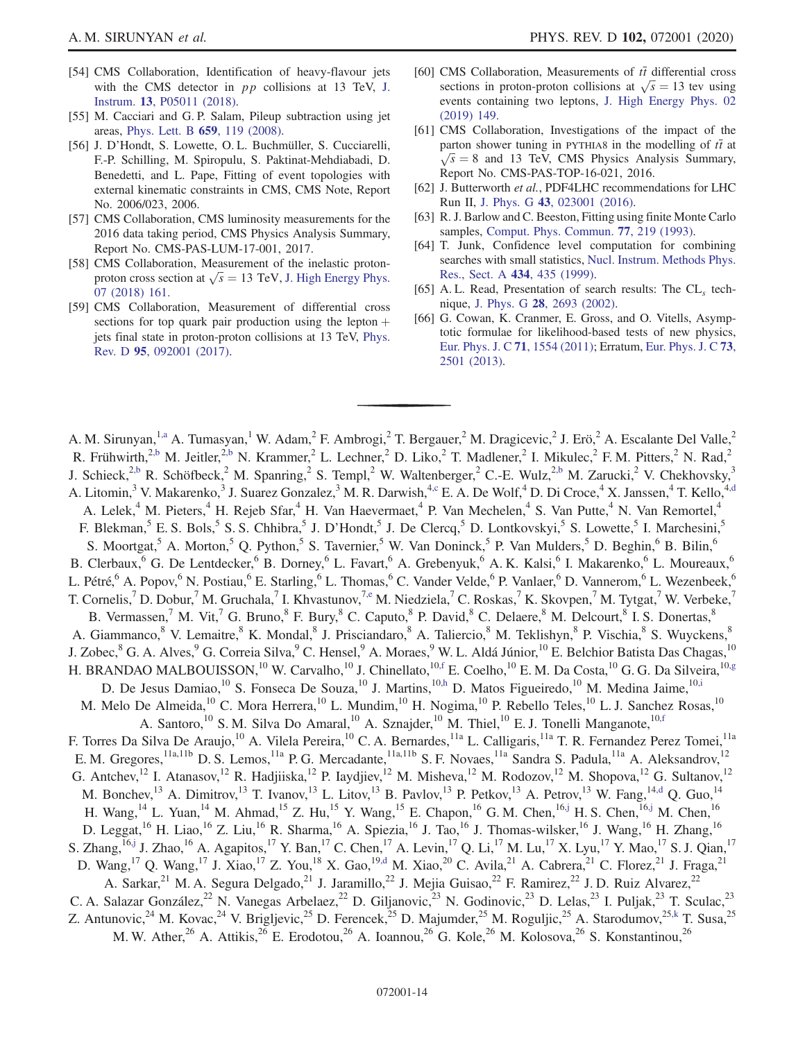- <span id="page-13-0"></span>[54] CMS Collaboration, Identification of heavy-flavour jets with the CMS detector in  $pp$  collisions at 13 TeV, [J.](https://doi.org/10.1088/1748-0221/13/05/P05011) Instrum. 13[, P05011 \(2018\)](https://doi.org/10.1088/1748-0221/13/05/P05011).
- [55] M. Cacciari and G. P. Salam, Pileup subtraction using jet areas, [Phys. Lett. B](https://doi.org/10.1016/j.physletb.2007.09.077) 659, 119 (2008).
- <span id="page-13-1"></span>[56] J. D'Hondt, S. Lowette, O. L. Buchmüller, S. Cucciarelli, F.-P. Schilling, M. Spiropulu, S. Paktinat-Mehdiabadi, D. Benedetti, and L. Pape, Fitting of event topologies with external kinematic constraints in CMS, CMS Note, Report No. 2006/023, 2006.
- <span id="page-13-2"></span>[57] CMS Collaboration, CMS luminosity measurements for the 2016 data taking period, CMS Physics Analysis Summary, Report No. CMS-PAS-LUM-17-001, 2017.
- <span id="page-13-3"></span>[58] CMS Collaboration, Measurement of the inelastic protonproton cross section at  $\sqrt{s} = 13$  TeV, [J. High Energy Phys.](https://doi.org/10.1007/JHEP07(2018)161) [07 \(2018\) 161.](https://doi.org/10.1007/JHEP07(2018)161)
- <span id="page-13-4"></span>[59] CMS Collaboration, Measurement of differential cross sections for top quark pair production using the lepton  $+$ jets final state in proton-proton collisions at 13 TeV, [Phys.](https://doi.org/10.1103/PhysRevD.95.092001) Rev. D 95[, 092001 \(2017\)](https://doi.org/10.1103/PhysRevD.95.092001).
- <span id="page-13-5"></span>[60] CMS Collaboration, Measurements of  $t\bar{t}$  differential cross sections in proton-proton collisions at  $\sqrt{s} = 13$  tev using events containing two leptons, [J. High Energy Phys. 02](https://doi.org/10.1007/JHEP02(2019)149) [\(2019\) 149.](https://doi.org/10.1007/JHEP02(2019)149)
- <span id="page-13-6"></span>[61] CMS Collaboration, Investigations of the impact of the parton shower tuning in PYTHIA8 in the modelling of  $t\bar{t}$  at  $\sqrt{s} = 8$  and 13 TeV, CMS Physics Analysis Summary, Report No. CMS-PAS-TOP-16-021, 2016.
- <span id="page-13-7"></span>[62] J. Butterworth et al., PDF4LHC recommendations for LHC Run II, J. Phys. G 43[, 023001 \(2016\).](https://doi.org/10.1088/0954-3899/43/2/023001)
- <span id="page-13-8"></span>[63] R. J. Barlow and C. Beeston, Fitting using finite Monte Carlo samples, [Comput. Phys. Commun.](https://doi.org/10.1016/0010-4655(93)90005-W) 77, 219 (1993).
- <span id="page-13-9"></span>[64] T. Junk, Confidence level computation for combining searches with small statistics, [Nucl. Instrum. Methods Phys.](https://doi.org/10.1016/S0168-9002(99)00498-2) [Res., Sect. A](https://doi.org/10.1016/S0168-9002(99)00498-2) 434, 435 (1999).
- [65] A. L. Read, Presentation of search results: The  $CL<sub>s</sub>$  technique, J. Phys. G 28[, 2693 \(2002\).](https://doi.org/10.1088/0954-3899/28/10/313)
- <span id="page-13-10"></span>[66] G. Cowan, K. Cranmer, E. Gross, and O. Vitells, Asymptotic formulae for likelihood-based tests of new physics, [Eur. Phys. J. C](https://doi.org/10.1140/epjc/s10052-011-1554-0) 71, 1554 (2011); Erratum, [Eur. Phys. J. C](https://doi.org/10.1140/epjc/s10052-013-2501-z) 73, [2501 \(2013\)](https://doi.org/10.1140/epjc/s10052-013-2501-z).

<span id="page-13-20"></span><span id="page-13-19"></span><span id="page-13-18"></span><span id="page-13-17"></span><span id="page-13-16"></span><span id="page-13-15"></span><span id="page-13-14"></span><span id="page-13-13"></span><span id="page-13-12"></span><span id="page-13-11"></span>A. M. Sirunyan,<sup>1[,a](#page-23-0)</sup> A. Tumasyan,<sup>1</sup> W. Adam,<sup>2</sup> F. Ambrogi,<sup>2</sup> T. Bergauer,<sup>2</sup> M. Dragicevic,<sup>2</sup> J. Erö,<sup>2</sup> A. Escalante Del Valle,<sup>2</sup> R. Frühwirth,<sup>[2,b](#page-23-1)</sup> M. Jeitler,<sup>2[,b](#page-23-1)</sup> N. Krammer,<sup>2</sup> L. Lechner,<sup>2</sup> D. Liko,<sup>2</sup> T. Madlener,<sup>2</sup> I. Mikulec,<sup>2</sup> F. M. Pitters,<sup>2</sup> N. Rad,<sup>2</sup> J. Schieck,<sup>2[,b](#page-23-1)</sup> R. Schöfbeck,<sup>2</sup> M. Spanring,<sup>2</sup> S. Templ,<sup>2</sup> W. Waltenberger,<sup>2</sup> C.-E. Wulz,<sup>[2,b](#page-23-1)</sup> M. Zarucki,<sup>2</sup> V. Chekhovsky,<sup>3</sup> A. Litomin,<sup>3</sup> V. Makarenko,<sup>3</sup> J. Suarez Gonzalez,<sup>3</sup> M. R. Darwish,<sup>4[,c](#page-23-2)</sup> E. A. De Wolf,<sup>4</sup> D. Di Croce,<sup>4</sup> X. Janssen,<sup>4</sup> T. Kello,<sup>4[,d](#page-23-3)</sup> A. Lelek,<sup>4</sup> M. Pieters,<sup>4</sup> H. Rejeb Sfar,<sup>4</sup> H. Van Haevermaet,<sup>4</sup> P. Van Mechelen,<sup>4</sup> S. Van Putte,<sup>4</sup> N. Van Remortel,<sup>4</sup> F. Blekman,<sup>5</sup> E. S. Bols,<sup>5</sup> S. S. Chhibra,<sup>5</sup> J. D'Hondt,<sup>5</sup> J. De Clercq,<sup>5</sup> D. Lontkovskyi,<sup>5</sup> S. Lowette,<sup>5</sup> I. Marchesini,<sup>5</sup> S. Moortgat,<sup>5</sup> A. Morton,<sup>5</sup> Q. Python,<sup>5</sup> S. Tavernier,<sup>5</sup> W. Van Doninck,<sup>5</sup> P. Van Mulders,<sup>5</sup> D. Beghin,<sup>6</sup> B. Bilin,<sup>6</sup> B. Clerbaux,<sup>6</sup> G. De Lentdecker,<sup>6</sup> B. Dorney,<sup>6</sup> L. Favart,<sup>6</sup> A. Grebenyuk,<sup>6</sup> A. K. Kalsi,<sup>6</sup> I. Makarenko,<sup>6</sup> L. Moureaux,<sup>6</sup> L. Pétré,<sup>6</sup> A. Popov,<sup>6</sup> N. Postiau,<sup>6</sup> E. Starling,<sup>6</sup> L. Thomas,<sup>6</sup> C. Vander Velde,<sup>6</sup> P. Vanlaer,<sup>6</sup> D. Vannerom,<sup>6</sup> L. Wezenbeek,<sup>6</sup> T. Cornelis,<sup>7</sup> D. Dobur,<sup>7</sup> M. Gruchala,<sup>7</sup> I. Khvastunov,<sup>7[,e](#page-23-4)</sup> M. Niedziela,<sup>7</sup> C. Roskas,<sup>7</sup> K. Skovpen,<sup>7</sup> M. Tytgat,<sup>7</sup> W. Verbeke,<sup>7</sup> B. Vermassen,<sup>7</sup> M. Vit,<sup>7</sup> G. Bruno,<sup>8</sup> F. Bury,<sup>8</sup> C. Caputo,<sup>8</sup> P. David,<sup>8</sup> C. Delaere,<sup>8</sup> M. Delcourt,<sup>8</sup> I. S. Donertas,<sup>8</sup> A. Giammanco,<sup>8</sup> V. Lemaitre,<sup>8</sup> K. Mondal,<sup>8</sup> J. Prisciandaro,<sup>8</sup> A. Taliercio,<sup>8</sup> M. Teklishyn,<sup>8</sup> P. Vischia,<sup>8</sup> S. Wuyckens,<sup>8</sup> J. Zobec, <sup>8</sup> G. A. Alves, <sup>9</sup> G. Correia Silva, <sup>9</sup> C. Hensel, <sup>9</sup> A. Moraes, <sup>9</sup> W. L. Aldá Júnior, <sup>10</sup> E. Belchior Batista Das Chagas, <sup>10</sup> H. BRANDAO MALBOUISSON,<sup>10</sup> W. Carvalho,<sup>10</sup> J. Chinellato,<sup>10[,f](#page-23-5)</sup> E. Coelho,<sup>10</sup> E. M. Da Costa,<sup>10</sup> G. G. Da Silveira,<sup>10[,g](#page-23-6)</sup> D. De Jesus Damiao,<sup>10</sup> S. Fonseca De Souza,<sup>10</sup> J. Martins,<sup>1[0,h](#page-23-7)</sup> D. Matos Figueiredo,<sup>10</sup> M. Medina Jaime,<sup>10[,i](#page-23-8)</sup> M. Melo De Almeida,<sup>10</sup> C. Mora Herrera,<sup>10</sup> L. Mundim,<sup>10</sup> H. Nogima,<sup>10</sup> P. Rebello Teles,<sup>10</sup> L. J. Sanchez Rosas,<sup>10</sup> A. Santoro,<sup>10</sup> S. M. Silva Do Amaral,<sup>10</sup> A. Sznajder,<sup>10</sup> M. Thiel,<sup>10</sup> E. J. Tonelli Manganote,<sup>10[,f](#page-23-5)</sup> F. Torres Da Silva De Araujo,<sup>10</sup> A. Vilela Pereira,<sup>10</sup> C. A. Bernardes,<sup>11a</sup> L. Calligaris,<sup>11a</sup> T. R. Fernandez Perez Tomei,<sup>11a</sup> E. M. Gregores,<sup>11a,11b</sup> D. S. Lemos,<sup>11a</sup> P. G. Mercadante,<sup>11a,11b</sup> S. F. Novaes,<sup>11a</sup> Sandra S. Padula,<sup>11a</sup> A. Aleksandrov,<sup>12</sup> G. Antchev,<sup>12</sup> I. Atanasov,<sup>12</sup> R. Hadjiiska,<sup>12</sup> P. Iaydjiev,<sup>12</sup> M. Misheva,<sup>12</sup> M. Rodozov,<sup>12</sup> M. Shopova,<sup>12</sup> G. Sultanov,<sup>12</sup> M. Bonchev,<sup>13</sup> A. Dimitrov,<sup>13</sup> T. Ivanov,<sup>13</sup> L. Litov,<sup>13</sup> B. Pavlov,<sup>13</sup> P. Petkov,<sup>13</sup> A. Petrov,<sup>13</sup> W. Fang,<sup>1[4,d](#page-23-3)</sup> Q. Guo,<sup>14</sup> H. Wang,<sup>14</sup> L. Yuan,<sup>14</sup> M. Ahmad,<sup>15</sup> Z. Hu,<sup>15</sup> Y. Wang,<sup>15</sup> E. Chapon,<sup>16</sup> G. M. Chen,<sup>16[,j](#page-23-9)</sup> H. S. Chen,<sup>1[6,j](#page-23-9)</sup> M. Chen,<sup>16</sup> D. Leggat,<sup>16</sup> H. Liao,<sup>16</sup> Z. Liu,<sup>16</sup> R. Sharma,<sup>16</sup> A. Spiezia,<sup>16</sup> J. Tao,<sup>16</sup> J. Thomas-wilsker,<sup>16</sup> J. Wang,<sup>16</sup> H. Zhang,<sup>16</sup> S. Zhang,<sup>16[,j](#page-23-9)</sup> J. Zhao,<sup>16</sup> A. Agapitos,<sup>17</sup> Y. Ban,<sup>17</sup> C. Chen,<sup>17</sup> A. Levin,<sup>17</sup> Q. Li,<sup>17</sup> M. Lu,<sup>17</sup> X. Lyu,<sup>17</sup> Y. Mao,<sup>17</sup> S. J. Qian,<sup>17</sup> D. Wang,<sup>17</sup> Q. Wang,<sup>17</sup> J. Xiao,<sup>17</sup> Z. You,<sup>18</sup> X. Gao,<sup>1[9,d](#page-23-3)</sup> M. Xiao,<sup>20</sup> C. Avila,<sup>21</sup> A. Cabrera,<sup>21</sup> C. Florez,<sup>21</sup> J. Fraga,<sup>21</sup> A. Sarkar,<sup>21</sup> M. A. Segura Delgado,<sup>21</sup> J. Jaramillo,<sup>22</sup> J. Mejia Guisao,<sup>22</sup> F. Ramirez,<sup>22</sup> J. D. Ruiz Alvarez,<sup>22</sup> C. A. Salazar González,<sup>22</sup> N. Vanegas Arbelaez,<sup>22</sup> D. Giljanovic,<sup>23</sup> N. Godinovic,<sup>23</sup> D. Lelas,<sup>23</sup> I. Puljak,<sup>23</sup> T. Sculac,<sup>23</sup> Z. Antunovic,<sup>24</sup> M. Kovac,<sup>24</sup> V. Brigljevic,<sup>25</sup> D. Ferencek,<sup>25</sup> D. Majumder,<sup>25</sup> M. Roguljic,<sup>25</sup> A. Starodumov,<sup>25[,k](#page-23-10)</sup> T. Susa,<sup>25</sup> M. W. Ather,<sup>26</sup> A. Attikis,<sup>26</sup> E. Erodotou,<sup>26</sup> A. Ioannou,<sup>26</sup> G. Kole,<sup>26</sup> M. Kolosova,<sup>26</sup> S. Konstantinou,<sup>26</sup>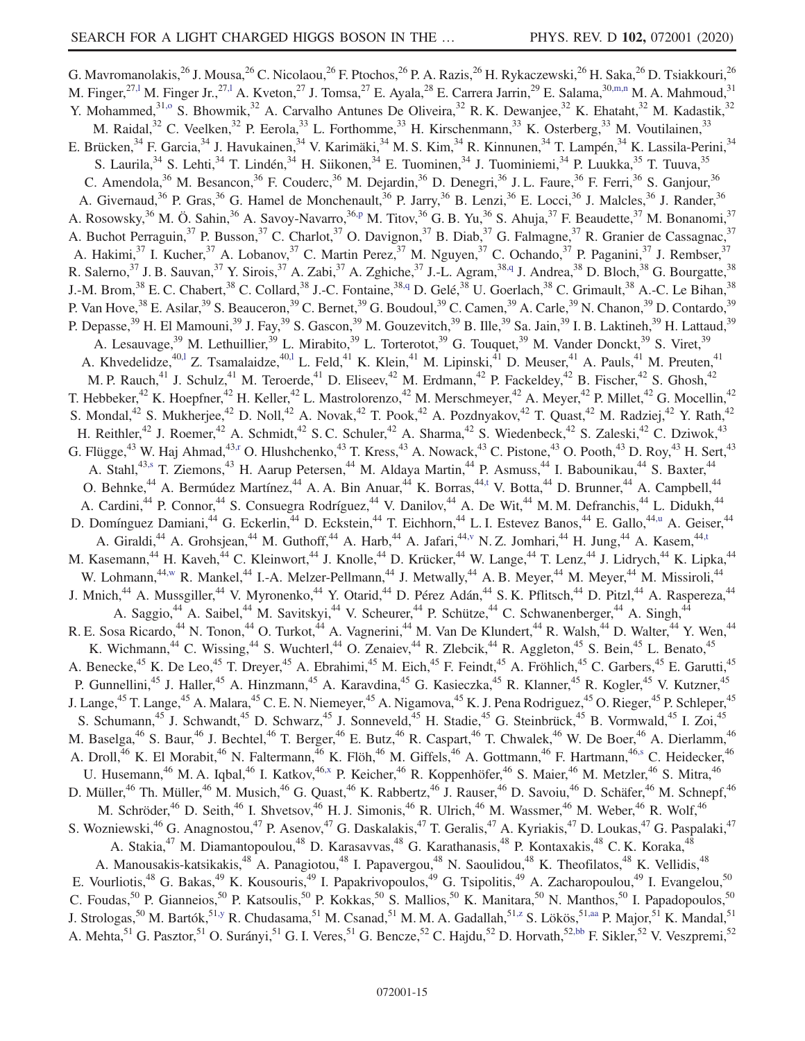<span id="page-14-12"></span><span id="page-14-11"></span><span id="page-14-10"></span><span id="page-14-9"></span><span id="page-14-8"></span><span id="page-14-7"></span><span id="page-14-6"></span><span id="page-14-5"></span><span id="page-14-4"></span><span id="page-14-3"></span><span id="page-14-2"></span><span id="page-14-1"></span><span id="page-14-0"></span>G. Mavromanolakis,<sup>26</sup> J. Mousa,<sup>26</sup> C. Nicolaou,<sup>26</sup> F. Ptochos,<sup>26</sup> P. A. Razis,<sup>26</sup> H. Rykaczewski,<sup>26</sup> H. Saka,<sup>26</sup> D. Tsiakkouri,<sup>26</sup> M. Finger,<sup>2[7,l](#page-23-11)</sup> M. Finger Jr.,<sup>27,l</sup> A. Kveton,<sup>27</sup> J. Tomsa,<sup>27</sup> E. Ayala,<sup>28</sup> E. Carrera Jarrin,<sup>29</sup> E. Salama,<sup>3[0,m,n](#page-23-12)</sup> M. A. Mahmoud,<sup>31</sup> Y. Mohammed,<sup>31[,o](#page-23-13)</sup> S. Bhowmik,<sup>32</sup> A. Carvalho Antunes De Oliveira,<sup>32</sup> R. K. Dewanjee,<sup>32</sup> K. Ehataht,<sup>32</sup> M. Kadastik,<sup>32</sup> M. Raidal,<sup>32</sup> C. Veelken,<sup>32</sup> P. Eerola,<sup>33</sup> L. Forthomme,<sup>33</sup> H. Kirschenmann,<sup>33</sup> K. Osterberg,<sup>33</sup> M. Voutilainen,<sup>33</sup> E. Brücken,<sup>34</sup> F. Garcia,<sup>34</sup> J. Havukainen,<sup>34</sup> V. Karimäki,<sup>34</sup> M. S. Kim,<sup>34</sup> R. Kinnunen,<sup>34</sup> T. Lampén,<sup>34</sup> K. Lassila-Perini,<sup>34</sup> S. Laurila,<sup>34</sup> S. Lehti,<sup>34</sup> T. Lindén,<sup>34</sup> H. Siikonen,<sup>34</sup> E. Tuominen,<sup>34</sup> J. Tuominiemi,<sup>34</sup> P. Luukka,<sup>35</sup> T. Tuuva,<sup>35</sup> C. Amendola,<sup>36</sup> M. Besancon,<sup>36</sup> F. Couderc,<sup>36</sup> M. Dejardin,<sup>36</sup> D. Denegri,<sup>36</sup> J. L. Faure,<sup>36</sup> F. Ferri,<sup>36</sup> S. Ganjour,<sup>36</sup> A. Givernaud,<sup>36</sup> P. Gras,<sup>36</sup> G. Hamel de Monchenault,<sup>36</sup> P. Jarry,<sup>36</sup> B. Lenzi,<sup>36</sup> E. Locci,<sup>36</sup> J. Malcles,<sup>36</sup> J. Rander,<sup>36</sup> A. Rosowsky,<sup>36</sup> M. Ö. Sahin,<sup>36</sup> A. Savoy-Navarro,<sup>36[,p](#page-23-14)</sup> M. Titov,<sup>36</sup> G. B. Yu,<sup>36</sup> S. Ahuja,<sup>37</sup> F. Beaudette,<sup>37</sup> M. Bonanomi,<sup>37</sup> A. Buchot Perraguin,<sup>37</sup> P. Busson,<sup>37</sup> C. Charlot,<sup>37</sup> O. Davignon,<sup>37</sup> B. Diab,<sup>37</sup> G. Falmagne,<sup>37</sup> R. Granier de Cassagnac,<sup>37</sup> A. Hakimi,<sup>37</sup> I. Kucher,<sup>37</sup> A. Lobanov,<sup>37</sup> C. Martin Perez,<sup>37</sup> M. Nguyen,<sup>37</sup> C. Ochando,<sup>37</sup> P. Paganini,<sup>37</sup> J. Rembser,<sup>37</sup> R. Salerno,<sup>37</sup> J. B. Sauvan,<sup>37</sup> Y. Sirois,<sup>37</sup> A. Zabi,<sup>37</sup> A. Zghiche,<sup>37</sup> J.-L. Agram,<sup>3[8,q](#page-23-15)</sup> J. Andrea,<sup>38</sup> D. Bloch,<sup>38</sup> G. Bourgatte,<sup>38</sup> J.-M. Brom,<sup>38</sup> E. C. Chabert,<sup>38</sup> C. Collard,<sup>38</sup> J.-C. Fontaine,<sup>38[,q](#page-23-15)</sup> D. Gelé,<sup>38</sup> U. Goerlach,<sup>38</sup> C. Grimault,<sup>38</sup> A.-C. Le Bihan,<sup>38</sup> P. Van Hove,<sup>38</sup> E. Asilar,<sup>39</sup> S. Beauceron,<sup>39</sup> C. Bernet,<sup>39</sup> G. Boudoul,<sup>39</sup> C. Camen,<sup>39</sup> A. Carle,<sup>39</sup> N. Chanon,<sup>39</sup> D. Contardo,<sup>39</sup> P. Depasse,<sup>39</sup> H. El Mamouni,<sup>39</sup> J. Fay,<sup>39</sup> S. Gascon,<sup>39</sup> M. Gouzevitch,<sup>39</sup> B. Ille,<sup>39</sup> Sa. Jain,<sup>39</sup> I. B. Laktineh,<sup>39</sup> H. Lattaud,<sup>39</sup> A. Lesauvage,<sup>39</sup> M. Lethuillier,<sup>39</sup> L. Mirabito,<sup>39</sup> L. Torterotot,<sup>39</sup> G. Touquet,<sup>39</sup> M. Vander Donckt,<sup>39</sup> S. Viret,<sup>39</sup> A. Khvedelidze,<sup>40[,l](#page-23-11)</sup> Z. Tsamalaidze,<sup>40,l</sup> L. Feld,<sup>41</sup> K. Klein,<sup>41</sup> M. Lipinski,<sup>41</sup> D. Meuser,<sup>41</sup> A. Pauls,<sup>41</sup> M. Preuten,<sup>41</sup> M. P. Rauch,<sup>41</sup> J. Schulz,<sup>41</sup> M. Teroerde,<sup>41</sup> D. Eliseev,<sup>42</sup> M. Erdmann,<sup>42</sup> P. Fackeldey,<sup>42</sup> B. Fischer,<sup>42</sup> S. Ghosh,<sup>42</sup> T. Hebbeker,<sup>42</sup> K. Hoepfner,<sup>42</sup> H. Keller,<sup>42</sup> L. Mastrolorenzo,<sup>42</sup> M. Merschmeyer,<sup>42</sup> A. Meyer,<sup>42</sup> P. Millet,<sup>42</sup> G. Mocellin,<sup>42</sup> S. Mondal,<sup>42</sup> S. Mukherjee,<sup>42</sup> D. Noll,<sup>42</sup> A. Novak,<sup>42</sup> T. Pook,<sup>42</sup> A. Pozdnyakov,<sup>42</sup> T. Quast,<sup>42</sup> M. Radziej,<sup>42</sup> Y. Rath,<sup>42</sup> H. Reithler,<sup>42</sup> J. Roemer,<sup>42</sup> A. Schmidt,<sup>42</sup> S. C. Schuler,<sup>42</sup> A. Sharma,<sup>42</sup> S. Wiedenbeck,<sup>42</sup> S. Zaleski,<sup>42</sup> C. Dziwok,<sup>43</sup> G. Flügge,<sup>43</sup> W. Haj Ahmad,<sup>43[,r](#page-23-16)</sup> O. Hlushchenko,<sup>43</sup> T. Kress,<sup>43</sup> A. Nowack,<sup>43</sup> C. Pistone,<sup>43</sup> O. Pooth,<sup>43</sup> D. Roy,<sup>43</sup> H. Sert,<sup>43</sup> A. Stahl,<sup>4[3,s](#page-23-17)</sup> T. Ziemons,<sup>43</sup> H. Aarup Petersen,<sup>44</sup> M. Aldaya Martin,<sup>44</sup> P. Asmuss,<sup>44</sup> I. Babounikau,<sup>44</sup> S. Baxter,<sup>44</sup> O. Behnke,<sup>44</sup> A. Bermúdez Martínez,<sup>44</sup> A. A. Bin Anuar,<sup>44</sup> K. Borras,<sup>4[4,t](#page-23-18)</sup> V. Botta,<sup>44</sup> D. Brunner,<sup>44</sup> A. Campbell,<sup>44</sup> A. Cardini,<sup>44</sup> P. Connor,<sup>44</sup> S. Consuegra Rodríguez,<sup>44</sup> V. Danilov,<sup>44</sup> A. De Wit,<sup>44</sup> M. M. Defranchis,<sup>44</sup> L. Didukh,<sup>44</sup> D. Domínguez Damiani,<sup>44</sup> G. Eckerlin,<sup>44</sup> D. Eckstein,<sup>44</sup> T. Eichhorn,<sup>44</sup> L. I. Estevez Banos,<sup>44</sup> E. Gallo,<sup>44[,u](#page-23-19)</sup> A. Geiser,<sup>44</sup> A. Giraldi,<sup>44</sup> A. Grohsjean,<sup>44</sup> M. Guthoff,<sup>44</sup> A. Harb,<sup>44</sup> A. Jafari,<sup>4[4,v](#page-23-20)</sup> N. Z. Jomhari,<sup>44</sup> H. Jung,<sup>44</sup> A. Kasem,<sup>4[4,t](#page-23-18)</sup> M. Kasemann,<sup>44</sup> H. Kaveh,<sup>44</sup> C. Kleinwort,<sup>44</sup> J. Knolle,<sup>44</sup> D. Krücker,<sup>44</sup> W. Lange,<sup>44</sup> T. Lenz,<sup>44</sup> J. Lidrych,<sup>44</sup> K. Lipka,<sup>44</sup> W. Lohmann,<sup>44[,w](#page-23-21)</sup> R. Mankel,<sup>44</sup> I.-A. Melzer-Pellmann,<sup>44</sup> J. Metwally,<sup>44</sup> A. B. Meyer,<sup>44</sup> M. Meyer,<sup>44</sup> M. Missiroli,<sup>44</sup> J. Mnich,<sup>44</sup> A. Mussgiller,<sup>44</sup> V. Myronenko,<sup>44</sup> Y. Otarid,<sup>44</sup> D. Pérez Adán,<sup>44</sup> S. K. Pflitsch,<sup>44</sup> D. Pitzl,<sup>44</sup> A. Raspereza,<sup>44</sup> A. Saggio,<sup>44</sup> A. Saibel,<sup>44</sup> M. Savitskyi,<sup>44</sup> V. Scheurer,<sup>44</sup> P. Schütze,<sup>44</sup> C. Schwanenberger,<sup>44</sup> A. Singh,<sup>44</sup> R. E. Sosa Ricardo,<sup>44</sup> N. Tonon,<sup>44</sup> O. Turkot,<sup>44</sup> A. Vagnerini,<sup>44</sup> M. Van De Klundert,<sup>44</sup> R. Walsh,<sup>44</sup> D. Walter,<sup>44</sup> Y. Wen,<sup>44</sup> K. Wichmann,<sup>44</sup> C. Wissing,<sup>44</sup> S. Wuchterl,<sup>44</sup> O. Zenaiev,<sup>44</sup> R. Zlebcik,<sup>44</sup> R. Aggleton,<sup>45</sup> S. Bein,<sup>45</sup> L. Benato,<sup>45</sup> A. Benecke,<sup>45</sup> K. De Leo,<sup>45</sup> T. Dreyer,<sup>45</sup> A. Ebrahimi,<sup>45</sup> M. Eich,<sup>45</sup> F. Feindt,<sup>45</sup> A. Fröhlich,<sup>45</sup> C. Garbers,<sup>45</sup> E. Garutti,<sup>45</sup> P. Gunnellini,<sup>45</sup> J. Haller,<sup>45</sup> A. Hinzmann,<sup>45</sup> A. Karavdina,<sup>45</sup> G. Kasieczka,<sup>45</sup> R. Klanner,<sup>45</sup> R. Kogler,<sup>45</sup> V. Kutzner,<sup>45</sup> J. Lange,<sup>45</sup> T. Lange,<sup>45</sup> A. Malara,<sup>45</sup> C. E. N. Niemeyer,<sup>45</sup> A. Nigamova,<sup>45</sup> K. J. Pena Rodriguez,<sup>45</sup> O. Rieger,<sup>45</sup> P. Schleper,<sup>45</sup> S. Schumann,<sup>45</sup> J. Schwandt,<sup>45</sup> D. Schwarz,<sup>45</sup> J. Sonneveld,<sup>45</sup> H. Stadie,<sup>45</sup> G. Steinbrück,<sup>45</sup> B. Vormwald,<sup>45</sup> I. Zoi,<sup>45</sup> M. Baselga,  $^{46}$  S. Baur,  $^{46}$  J. Bechtel,  $^{46}$  T. Berger,  $^{46}$  E. Butz,  $^{46}$  R. Caspart,  $^{46}$  T. Chwalek,  $^{46}$  W. De Boer,  $^{46}$  A. Dierlamm,  $^{46}$ A. Droll,<sup>46</sup> K. El Morabit,<sup>46</sup> N. Faltermann,<sup>46</sup> K. Flöh,<sup>46</sup> M. Giffels,<sup>46</sup> A. Gottmann,<sup>46</sup> F. Hartmann,<sup>4[6,s](#page-23-17)</sup> C. Heidecker,<sup>46</sup> U. Husemann,<sup>46</sup> M. A. Iqbal,<sup>46</sup> I. Katkov,<sup>46[,x](#page-23-22)</sup> P. Keicher,<sup>46</sup> R. Koppenhöfer,<sup>46</sup> S. Maier,<sup>46</sup> M. Metzler,<sup>46</sup> S. Mitra,<sup>46</sup> D. Müller,<sup>46</sup> Th. Müller,<sup>46</sup> M. Musich,<sup>46</sup> G. Quast,<sup>46</sup> K. Rabbertz,<sup>46</sup> J. Rauser,<sup>46</sup> D. Savoiu,<sup>46</sup> D. Schäfer,<sup>46</sup> M. Schnepf,<sup>46</sup> M. Schröder,<sup>46</sup> D. Seith,<sup>46</sup> I. Shvetsov,<sup>46</sup> H. J. Simonis,<sup>46</sup> R. Ulrich,<sup>46</sup> M. Wassmer,<sup>46</sup> M. Weber,<sup>46</sup> R. Wolf,<sup>46</sup> S. Wozniewski,<sup>46</sup> G. Anagnostou,<sup>47</sup> P. Asenov,<sup>47</sup> G. Daskalakis,<sup>47</sup> T. Geralis,<sup>47</sup> A. Kyriakis,<sup>47</sup> D. Loukas,<sup>47</sup> G. Paspalaki,<sup>47</sup> A. Stakia,<sup>47</sup> M. Diamantopoulou,<sup>48</sup> D. Karasavvas,<sup>48</sup> G. Karathanasis,<sup>48</sup> P. Kontaxakis,<sup>48</sup> C. K. Koraka,<sup>48</sup> A. Manousakis-katsikakis,<sup>48</sup> A. Panagiotou,<sup>48</sup> I. Papavergou,<sup>48</sup> N. Saoulidou,<sup>48</sup> K. Theofilatos,<sup>48</sup> K. Vellidis,<sup>48</sup> E. Vourliotis,<sup>48</sup> G. Bakas,<sup>49</sup> K. Kousouris,<sup>49</sup> I. Papakrivopoulos,<sup>49</sup> G. Tsipolitis,<sup>49</sup> A. Zacharopoulou,<sup>49</sup> I. Evangelou,<sup>50</sup> C. Foudas,<sup>50</sup> P. Gianneios,<sup>50</sup> P. Katsoulis,<sup>50</sup> P. Kokkas,<sup>50</sup> S. Mallios,<sup>50</sup> K. Manitara,<sup>50</sup> N. Manthos,<sup>50</sup> I. Papadopoulos,<sup>50</sup> J. Strologas,<sup>50</sup> M. Bartók,<sup>51[,y](#page-24-0)</sup> R. Chudasama,<sup>51</sup> M. Csanad,<sup>51</sup> M. M. A. Gadallah,<sup>51[,z](#page-24-1)</sup> S. Lökös,<sup>5[1,aa](#page-24-2)</sup> P. Major,<sup>51</sup> K. Mandal,<sup>51</sup> A. Mehta,<sup>51</sup> G. Pasztor,<sup>51</sup> O. Surányi,<sup>51</sup> G. I. Veres,<sup>51</sup> G. Bencze,<sup>52</sup> C. Hajdu,<sup>52</sup> D. Horvath,<sup>5[2,bb](#page-24-3)</sup> F. Sikler,<sup>52</sup> V. Veszpremi,<sup>52</sup>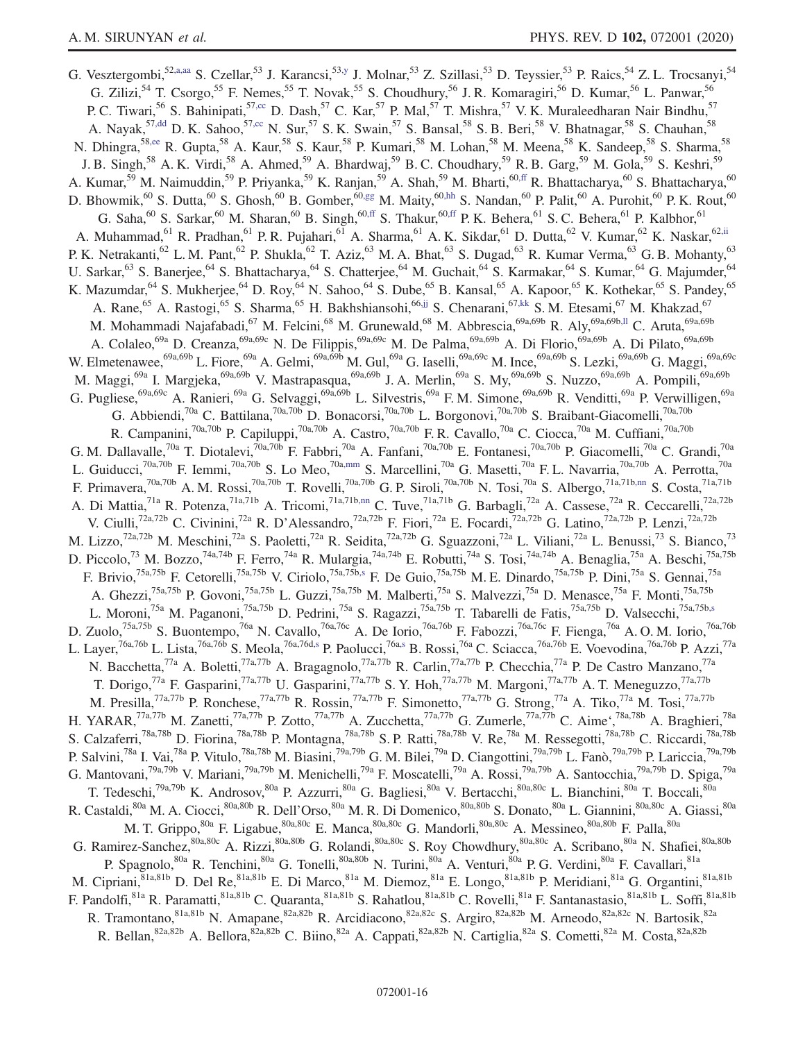<span id="page-15-8"></span><span id="page-15-7"></span><span id="page-15-6"></span><span id="page-15-5"></span><span id="page-15-4"></span><span id="page-15-3"></span><span id="page-15-2"></span><span id="page-15-1"></span><span id="page-15-0"></span>G. Vesztergombi,<sup>5[2,a,aa](#page-23-0)</sup> S. Czellar,<sup>53</sup> J. Karancsi,<sup>53[,y](#page-24-0)</sup> J. Molnar,<sup>53</sup> Z. Szillasi,<sup>53</sup> D. Teyssier,<sup>53</sup> P. Raics,<sup>54</sup> Z. L. Trocsanyi,<sup>54</sup> G. Zilizi,<sup>54</sup> T. Csorgo,<sup>55</sup> F. Nemes,<sup>55</sup> T. Novak,<sup>55</sup> S. Choudhury,<sup>56</sup> J. R. Komaragiri,<sup>56</sup> D. Kumar,<sup>56</sup> L. Panwar,<sup>56</sup> P. C. Tiwari,<sup>56</sup> S. Bahinipati,<sup>5[7,cc](#page-24-4)</sup> D. Dash,<sup>57</sup> C. Kar,<sup>57</sup> P. Mal,<sup>57</sup> T. Mishra,<sup>57</sup> V. K. Muraleedharan Nair Bindhu,<sup>57</sup> A. Nayak,<sup>57[,dd](#page-24-5)</sup> D. K. Sahoo,<sup>5[7,cc](#page-24-4)</sup> N. Sur,<sup>57</sup> S. K. Swain,<sup>57</sup> S. Bansal,<sup>58</sup> S. B. Beri,<sup>58</sup> V. Bhatnagar,<sup>58</sup> S. Chauhan,<sup>58</sup> N. Dhingra,<sup>58[,ee](#page-24-6)</sup> R. Gupta,<sup>58</sup> A. Kaur,<sup>58</sup> S. Kaur,<sup>58</sup> P. Kumari,<sup>58</sup> M. Lohan,<sup>58</sup> M. Meena,<sup>58</sup> K. Sandeep,<sup>58</sup> S. Sharma,<sup>58</sup> J. B. Singh,<sup>58</sup> A. K. Virdi,<sup>58</sup> A. Ahmed,<sup>59</sup> A. Bhardwaj,<sup>59</sup> B. C. Choudhary,<sup>59</sup> R. B. Garg,<sup>59</sup> M. Gola,<sup>59</sup> S. Keshri,<sup>59</sup> A. Kumar,<sup>59</sup> M. Naimuddin,<sup>59</sup> P. Priyanka,<sup>59</sup> K. Ranjan,<sup>59</sup> A. Shah,<sup>59</sup> M. Bharti,<sup>60[,ff](#page-24-7)</sup> R. Bhattacharya,<sup>60</sup> S. Bhattacharya,<sup>60</sup> D. Bhowmik,<sup>60</sup> S. Dutta,<sup>60</sup> S. Ghosh,<sup>60</sup> B. Gomber,<sup>6[0,gg](#page-24-8)</sup> M. Maity,<sup>60[,hh](#page-24-9)</sup> S. Nandan,<sup>60</sup> P. Palit,<sup>60</sup> A. Purohit,<sup>60</sup> P. K. Rout,<sup>60</sup>, G. Saha,  $^{60}$  S. Sarkar,  $^{60}$  M. Sharan,  $^{60}$  B. Singh,  $^{60,ff}$  $^{60,ff}$  $^{60,ff}$  S. Thakur,  $^{60,ff}$  $^{60,ff}$  $^{60,ff}$  P. K. Behera,  $^{61}$  S. C. Behera,  $^{61}$  P. Kalbhor,  $^{61}$ A. Muhammad,<sup>61</sup> R. Pradhan,<sup>61</sup> P. R. Pujahari,<sup>61</sup> A. Sharma,<sup>61</sup> A. K. Sikdar,<sup>61</sup> D. Dutta,<sup>62</sup> V. Kumar,<sup>62</sup> K. Naskar,<sup>62[,ii](#page-24-10)</sup> P. K. Netrakanti,<sup>62</sup> L. M. Pant,<sup>62</sup> P. Shukla,<sup>62</sup> T. Aziz,<sup>63</sup> M. A. Bhat,<sup>63</sup> S. Dugad,<sup>63</sup> R. Kumar Verma,<sup>63</sup> G. B. Mohanty,<sup>63</sup> U. Sarkar,<sup>63</sup> S. Banerjee,<sup>64</sup> S. Bhattacharya,<sup>64</sup> S. Chatterjee,<sup>64</sup> M. Guchait,<sup>64</sup> S. Karmakar,<sup>64</sup> S. Kumar,<sup>64</sup> G. Majumder,<sup>64</sup> K. Mazumdar, <sup>64</sup> S. Mukherjee, <sup>64</sup> D. Roy, <sup>64</sup> N. Sahoo, <sup>64</sup> S. Dube, <sup>65</sup> B. Kansal, <sup>65</sup> A. Kapoor, <sup>65</sup> K. Kothekar, <sup>65</sup> S. Pandey, <sup>65</sup> A. Rane, <sup>65</sup> A. Rastogi, <sup>65</sup> S. Sharma, <sup>65</sup> H. Bakhshiansohi, <sup>6[6,jj](#page-24-11)</sup> S. Chenarani, <sup>67[,kk](#page-24-12)</sup> S. M. Etesami, <sup>67</sup> M. Khakzad, <sup>67</sup> M. Mohammadi Najafabadi,<sup>67</sup> M. Felcini,<sup>68</sup> M. Grunewald,<sup>68</sup> M. Abbrescia,<sup>69a,69b</sup> R. Aly,<sup>69a,69b,11</sup> C. Aruta,<sup>69a,69b</sup> A. Colaleo,<sup>69a</sup> D. Creanza,<sup>69a,69c</sup> N. De Filippis,<sup>69a,69c</sup> M. De Palma,<sup>69a,69b</sup> A. Di Florio,<sup>69a,69b</sup> A. Di Pilato,<sup>69a,69b</sup> W. Elmetenawee,  $^{69a,69b}$  L. Fiore,  $^{69a}$  A. Gelmi,  $^{69a,69b}$  M. Gul,  $^{69a}$  G. Iaselli,  $^{69a,69c}$  M. Ince,  $^{69a,69b}$  S. Lezki,  $^{69a,69b}$  G. Maggi,  $^{69a,69c}$ M. Maggi,<sup>69a</sup> I. Margjeka,<sup>69a,69b</sup> V. Mastrapasqua,<sup>69a,69b</sup> J. A. Merlin,<sup>69a</sup> S. My,<sup>69a,69b</sup> S. Nuzzo,<sup>69a,69b</sup> A. Pompili,<sup>69a,69b</sup> G. Pugliese,<sup>69a,69c</sup> A. Ranieri,<sup>69a</sup> G. Selvaggi,<sup>69a,69b</sup> L. Silvestris,<sup>69a</sup> F.M. Simone,<sup>69a,69b</sup> R. Venditti,<sup>69a</sup> P. Verwilligen,<sup>69a</sup> G. Abbiendi,<sup>70a</sup> C. Battilana,<sup>70a,70b</sup> D. Bonacorsi,<sup>70a,70b</sup> L. Borgonovi,<sup>70a,70b</sup> S. Braibant-Giacomelli,<sup>70a,70b</sup> R. Campanini,<sup>70a,70b</sup> P. Capiluppi,<sup>70a,70b</sup> A. Castro,<sup>70a,70b</sup> F. R. Cavallo,<sup>70a</sup> C. Ciocca,<sup>70a</sup> M. Cuffiani,<sup>70a,70b</sup> G. M. Dallavalle,<sup>70a</sup> T. Diotalevi,<sup>70a,70b</sup> F. Fabbri,<sup>70a</sup> A. Fanfani,<sup>70a,70b</sup> E. Fontanesi,<sup>70a,70b</sup> P. Giacomelli,<sup>70a</sup> C. Grandi,<sup>70a</sup> L. Guiducci,<sup>70a,70b</sup> F. Iemmi,<sup>70a,70b</sup> S. Lo Meo,<sup>70[a,mm](#page-24-14)</sup> S. Marcellini,<sup>70a</sup> G. Masetti,<sup>70a</sup> F. L. Navarria,<sup>70a,70b</sup> A. Perrotta,<sup>70a</sup> F. Primavera,<sup>70a,70b</sup> A. M. Rossi,<sup>70a,70b</sup> T. Rovelli,<sup>70a,70b</sup> G. P. Siroli,<sup>70a,70b</sup> N. Tosi,<sup>70a</sup> S. Albergo,<sup>71a,71[b,nn](#page-24-15)</sup> S. Costa,<sup>71a,71b</sup> A. Di Mattia,<sup>71a</sup> R. Potenza,<sup>71a,71b</sup> A. Tricomi,<sup>71a,71b[,nn](#page-24-15)</sup> C. Tuve,<sup>71a,71b</sup> G. Barbagli,<sup>72a</sup> A. Cassese,<sup>72a</sup> R. Ceccarelli,<sup>72a,72b</sup> V. Ciulli,<sup>72a,72b</sup> C. Civinini,<sup>72a</sup> R. D'Alessandro,<sup>72a,72b</sup> F. Fiori,<sup>72a</sup> E. Focardi,<sup>72a,72b</sup> G. Latino,<sup>72a,72b</sup> P. Lenzi,<sup>72a,72b</sup> P. Lenzi,<sup>72a,72b</sup> M. Lizzo,<sup>72a,72b</sup> M. Meschini,<sup>72a</sup> S. Paoletti,<sup>72a</sup> R. Seidita,<sup>72a,72b</sup> G. Sguazzoni,<sup>72a</sup> L. Viliani,<sup>72a</sup> L. Benussi,<sup>73</sup> S. Bianco,<sup>73</sup> D. Piccolo,<sup>73</sup> M. Bozzo,<sup>74a,74b</sup> F. Ferro,<sup>74a</sup> R. Mulargia,<sup>74a,74b</sup> E. Robutti,<sup>74a</sup> S. Tosi,<sup>74a,74b</sup> A. Benaglia,<sup>75a</sup> A. Beschi,<sup>75a,75b</sup> F. Brivio,<sup>75a,75b</sup> F. Cetorelli,<sup>75a,75b</sup> V. Ciriolo,<sup>75a,75[b,s](#page-23-17)</sup> F. De Guio,<sup>75a,75b</sup> M. E. Dinardo,<sup>75a,75b</sup> P. Dini,<sup>75a</sup> S. Gennai,<sup>75a</sup> A. Ghezzi,<sup>75a,75b</sup> P. Govoni,<sup>75a,75b</sup> L. Guzzi,<sup>75a,75b</sup> M. Malberti,<sup>75a</sup> S. Malvezzi,<sup>75a</sup> D. Menasce,<sup>75a</sup> F. Monti,<sup>75a,75b</sup> L. Moroni,<sup>75a</sup> M. Paganoni,<sup>75a,75b</sup> D. Pedrini,<sup>75a</sup> S. Ragazzi,<sup>75a,75b</sup> T. Tabarelli de Fatis,<sup>75a,75b</sup> D. Valsecchi,<sup>75a,75[b,s](#page-23-17)</sup> D. Zuolo,<sup>75a,75b</sup> S. Buontempo,<sup>76a</sup> N. Cavallo,<sup>76a,76c</sup> A. De Iorio,<sup>76a,76b</sup> F. Fabozzi,<sup>76a,76c</sup> F. Fienga,<sup>76a</sup> A. O. M. Iorio,<sup>76a,76b</sup> L. Layer,<sup>76a,76b</sup> L. Lista,<sup>76a,76b</sup> S. Meola,<sup>76a,76[d,s](#page-23-17)</sup> P. Paolucci,<sup>76[a,s](#page-23-17)</sup> B. Rossi,<sup>76a</sup> C. Sciacca,<sup>76a,76b</sup> E. Voevodina,<sup>76a,76b</sup> P. Azzi,<sup>77a</sup> N. Bacchetta,<sup>77a</sup> A. Boletti,<sup>77a,77b</sup> A. Bragagnolo,<sup>77a,77b</sup> R. Carlin,<sup>77a,77b</sup> P. Checchia,<sup>77a</sup> P. De Castro Manzano,<sup>77a</sup> T. Dorigo,<sup>77a</sup> F. Gasparini,<sup>77a,77b</sup> U. Gasparini,<sup>77a,77b</sup> S. Y. Hoh,<sup>77a,77b</sup> M. Margoni,<sup>77a,77b</sup> A. T. Meneguzzo,<sup>77a,77b</sup> M. Presilla,<sup>77a,77b</sup> P. Ronchese,<sup>77a,77b</sup> R. Rossin,<sup>77a,77b</sup> F. Simonetto,<sup>77a,77b</sup> G. Strong,<sup>77a</sup> A. Tiko,<sup>77a</sup> M. Tosi,<sup>77a,77b</sup> H. YARAR,<sup>77a,77b</sup> M. Zanetti,<sup>77a,77b</sup> P. Zotto,<sup>77a,77b</sup> A. Zucchetta,<sup>77a,77b</sup> G. Zumerle,<sup>77a,77b</sup> C. Aime<sup>,</sup>,<sup>78a,78b</sup> A. Braghieri,<sup>78a</sup> S. Calzaferri,<sup>78a,78b</sup> D. Fiorina,<sup>78a,78b</sup> P. Montagna,<sup>78a,78b</sup> S. P. Ratti,<sup>78a,78b</sup> V. Re,<sup>78a</sup> M. Ressegotti,<sup>78a,78b</sup> C. Riccardi,<sup>78a,78b</sup> P. Salvini,<sup>78a</sup> I. Vai,<sup>78a</sup> P. Vitulo,<sup>78a,78b</sup> M. Biasini,<sup>79a,79b</sup> G. M. Bilei,<sup>79a</sup> D. Ciangottini,<sup>79a,79b</sup> L. Fanò,<sup>79a,79b</sup> P. Lariccia,<sup>79a,79b</sup> G. Mantovani,<sup>79a,79b</sup> V. Mariani,<sup>79a,79b</sup> M. Menichelli,<sup>79a</sup> F. Moscatelli,<sup>79a</sup> A. Rossi,<sup>79a,79b</sup> A. Santocchia,<sup>79a,79b</sup> D. Spiga,<sup>79a</sup> T. Tedeschi,<sup>79a,79b</sup> K. Androsov,<sup>80a</sup> P. Azzurri,<sup>80a</sup> G. Bagliesi,<sup>80a</sup> V. Bertacchi,<sup>80a,80c</sup> L. Bianchini,<sup>80a</sup> T. Boccali,<sup>80a</sup> R. Castaldi,<sup>80a</sup> M. A. Ciocci,<sup>80a,80b</sup> R. Dell'Orso,<sup>80a</sup> M. R. Di Domenico,<sup>80a,80b</sup> S. Donato,<sup>80a</sup> L. Giannini,<sup>80a,80c</sup> A. Giassi,<sup>80a</sup> M. T. Grippo,  $80a$  F. Ligabue,  $80a,80c$  E. Manca,  $80a,80c$  G. Mandorli,  $80a,80c$  A. Messineo,  $80a,80b$  F. Palla,  $80a$ G. Ramirez-Sanchez,  $80a,80c$  A. Rizzi,  $80a,80b$  G. Rolandi,  $80a,80c$  S. Roy Chowdhury,  $80a,80c$  A. Scribano,  $80a$  N. Shafiei,  $80a,80b$ P. Spagnolo,<sup>80a</sup> R. Tenchini,<sup>80a</sup> G. Tonelli,<sup>80a,80b</sup> N. Turini,<sup>80a</sup> A. Venturi,<sup>80a</sup> P. G. Verdini,<sup>80a</sup> F. Cavallari,<sup>81a</sup> M. Cipriani,<sup>81a,81b</sup> D. Del Re,<sup>81a,81b</sup> E. Di Marco,<sup>81a</sup> M. Diemoz,<sup>81a</sup> E. Longo,<sup>81a,81b</sup> P. Meridiani,<sup>81a</sup> G. Organtini,<sup>81a,81b</sup> F. Pandolfi,<sup>81a</sup> R. Paramatti,<sup>81a,81b</sup> C. Quaranta,<sup>81a,81b</sup> S. Rahatlou,<sup>81a,81b</sup> C. Rovelli,<sup>81a</sup> F. Santanastasio,<sup>81a,81b</sup> L. Soffi,<sup>81a,81b</sup> R. Tramontano, <sup>81a,81b</sup> N. Amapane, <sup>82a,82b</sup> R. Arcidiacono, <sup>82a,82c</sup> S. Argiro, <sup>82a,82b</sup> M. Arneodo, <sup>82a,82c</sup> N. Bartosik, <sup>82a</sup> R. Bellan, <sup>82a,82b</sup> A. Bellora, <sup>82a,82b</sup> C. Biino, <sup>82a</sup> A. Cappati, <sup>82a,82b</sup> N. Cartiglia, <sup>82a</sup> S. Cometti, <sup>82a</sup> M. Costa, <sup>82a,82b</sup>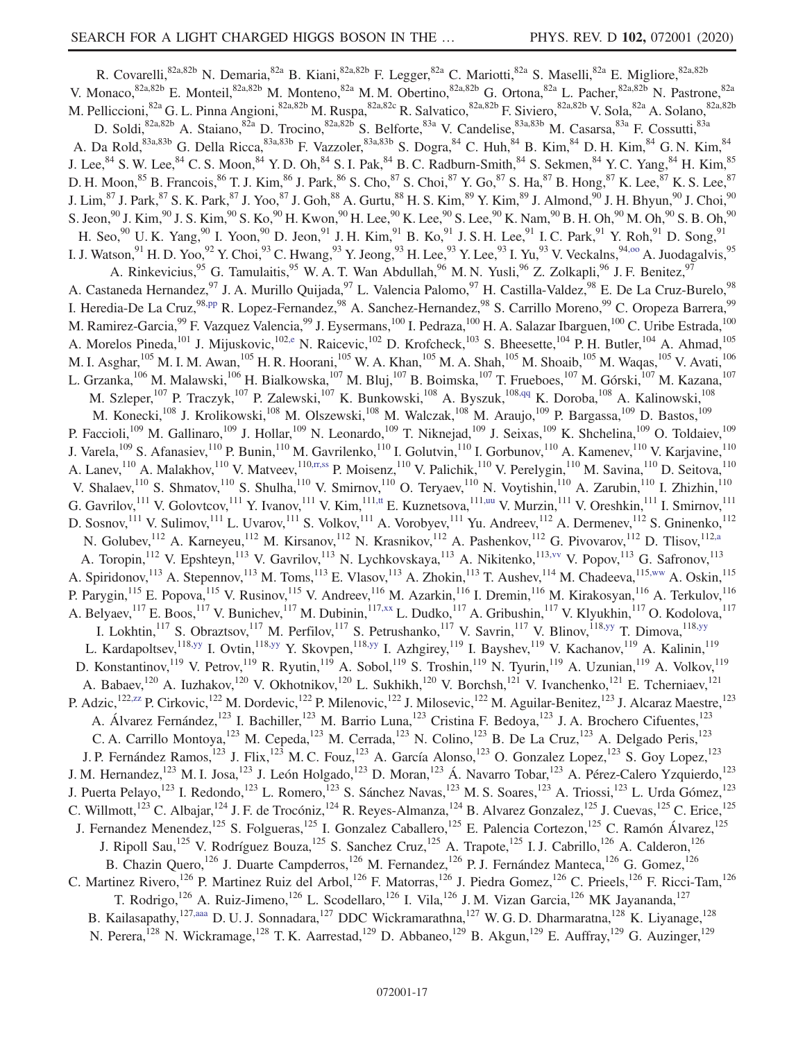<span id="page-16-10"></span><span id="page-16-9"></span><span id="page-16-8"></span><span id="page-16-7"></span><span id="page-16-6"></span><span id="page-16-5"></span><span id="page-16-4"></span><span id="page-16-3"></span><span id="page-16-2"></span><span id="page-16-1"></span><span id="page-16-0"></span>R. Covarelli,<sup>82a,82b</sup> N. Demaria,<sup>82a</sup> B. Kiani,<sup>82a,82b</sup> F. Legger,<sup>82a</sup> C. Mariotti,<sup>82a</sup> S. Maselli,<sup>82a</sup> E. Migliore,<sup>82a,82b</sup> V. Monaco,  $82a,82b$  E. Monteil,  $82a,82b$  M. Monteno,  $82a$  M. M. Obertino,  $82a,82b$  G. Ortona,  $82a$  L. Pacher,  $82a,82b$  N. Pastrone,  $82a$ M. Pelliccioni,<sup>82a</sup> G. L. Pinna Angioni,<sup>82a,82b</sup> M. Ruspa,<sup>82a,82c</sup> R. Salvatico,<sup>82a,82b</sup> F. Siviero,<sup>82a,82b</sup> V. Sola,<sup>82a</sup> A. Solano,<sup>82a,82b</sup> D. Soldi,<sup>82a,82b</sup> A. Staiano,<sup>82a</sup> D. Trocino,<sup>82a,82b</sup> S. Belforte,<sup>83a</sup> V. Candelise,<sup>83a,83b</sup> M. Casarsa,<sup>83a</sup> F. Cossutti,<sup>83a</sup> A. Da Rold,<sup>83a,83b</sup> G. Della Ricca,<sup>83a,83b</sup> F. Vazzoler,<sup>83a,83b</sup> S. Dogra,<sup>84</sup> C. Huh,<sup>84</sup> B. Kim,<sup>84</sup> D. H. Kim,<sup>84</sup> G. N. Kim,<sup>84</sup> J. Lee,  $84$  S. W. Lee,  $84$  C. S. Moon,  $84$  Y. D. Oh,  $84$  S. I. Pak,  $84$  B. C. Radburn-Smith,  $84$  S. Sekmen,  $84$  Y. C. Yang,  $84$  H. Kim,  $85$ D. H. Moon,  $85$  B. Francois,  $86$  T. J. Kim,  $86$  J. Park,  $86$  S. Cho,  $87$  S. Choi,  $87$  Y. Go,  $87$  S. Ha,  $87$  B. Hong,  $87$  K. Lee,  $87$  K. S. Lee,  $87$ J. Lim, $^{87}$  J. Park, $^{87}$  S. K. Park, $^{87}$  J. Yoo, $^{87}$  J. Goh, $^{88}$  A. Gurtu, $^{88}$  H. S. Kim, $^{89}$  Y. Kim, $^{89}$  J. Almond, $^{90}$  J. H. Bhyun, $^{90}$  J. Choi, $^{90}$ S. Jeon,  $90$  J. Kim,  $90$  J. S. Kim,  $90$  S. Ko,  $90$  H. Kwon,  $90$  H. Lee,  $90$  K. Lee,  $90$  S. Lee,  $90$  K. Nam,  $90$  B. H. Oh,  $90$  M. Oh,  $90$  S. B. Oh,  $90$ H. Seo,<sup>90</sup> U. K. Yang,<sup>90</sup> I. Yoon,<sup>90</sup> D. Jeon,<sup>91</sup> J. H. Kim,<sup>91</sup> B. Ko,<sup>91</sup> J. S. H. Lee,<sup>91</sup> I. C. Park,<sup>91</sup> Y. Roh,<sup>91</sup> D. Song,<sup>91</sup> I. J. Watson,  $91$  H. D. Yoo,  $92$  Y. Choi,  $93$  C. Hwang,  $93$  Y. Jeong,  $93$  H. Lee,  $93$  Y. Lee,  $93$  I. Yu,  $93$  V. Veckalns,  $94,00$  A. Juodagalvis,  $95$ A. Rinkevicius, <sup>95</sup> G. Tamulaitis, <sup>95</sup> W. A. T. Wan Abdullah, <sup>96</sup> M. N. Yusli, <sup>96</sup> Z. Zolkapli, <sup>96</sup> J. F. Benitez, <sup>97</sup> A. Castaneda Hernandez,<sup>97</sup> J. A. Murillo Quijada,<sup>97</sup> L. Valencia Palomo,<sup>97</sup> H. Castilla-Valdez,<sup>98</sup> E. De La Cruz-Burelo,<sup>98</sup> I. Heredia-De La Cruz, <sup>98[,pp](#page-24-17)</sup> R. Lopez-Fernandez, <sup>98</sup> A. Sanchez-Hernandez, <sup>98</sup> S. Carrillo Moreno, <sup>99</sup> C. Oropeza Barrera, <sup>99</sup> M. Ramirez-Garcia,<sup>99</sup> F. Vazquez Valencia,<sup>99</sup> J. Eysermans,<sup>100</sup> I. Pedraza,<sup>100</sup> H. A. Salazar Ibarguen,<sup>100</sup> C. Uribe Estrada,<sup>100</sup> A. Morelos Pineda,<sup>101</sup> J. Mijuskovic,<sup>10[2,e](#page-23-4)</sup> N. Raicevic,<sup>102</sup> D. Krofcheck,<sup>103</sup> S. Bheesette,<sup>104</sup> P. H. Butler,<sup>104</sup> A. Ahmad,<sup>105</sup> M. I. Asghar,<sup>105</sup> M. I. M. Awan,<sup>105</sup> H. R. Hoorani,<sup>105</sup> W. A. Khan,<sup>105</sup> M. A. Shah,<sup>105</sup> M. Shoaib,<sup>105</sup> M. Waqas,<sup>105</sup> V. Avati,<sup>106</sup> L. Grzanka, <sup>106</sup> M. Malawski, <sup>106</sup> H. Bialkowska, <sup>107</sup> M. Bluj, <sup>107</sup> B. Boimska, <sup>107</sup> T. Frueboes, <sup>107</sup> M. Górski, <sup>107</sup> M. Kazana, <sup>107</sup> M. Szleper,<sup>107</sup> P. Traczyk,<sup>107</sup> P. Zalewski,<sup>107</sup> K. Bunkowski,<sup>108</sup> A. Byszuk,<sup>108[,qq](#page-24-18)</sup> K. Doroba,<sup>108</sup> A. Kalinowski,<sup>108</sup> M. Konecki,<sup>108</sup> J. Krolikowski,<sup>108</sup> M. Olszewski,<sup>108</sup> M. Walczak,<sup>108</sup> M. Araujo,<sup>109</sup> P. Bargassa,<sup>109</sup> D. Bastos,<sup>109</sup> P. Faccioli,<sup>109</sup> M. Gallinaro,<sup>109</sup> J. Hollar,<sup>109</sup> N. Leonardo,<sup>109</sup> T. Niknejad,<sup>109</sup> J. Seixas,<sup>109</sup> K. Shchelina,<sup>109</sup> O. Toldaiev,<sup>109</sup> J. Varela,<sup>109</sup> S. Afanasiev,<sup>110</sup> P. Bunin,<sup>110</sup> M. Gavrilenko,<sup>110</sup> I. Golutvin,<sup>110</sup> I. Gorbunov,<sup>110</sup> A. Kamenev,<sup>110</sup> V. Karjavine,<sup>110</sup> A. Lanev,  $^{110}$  A. Malakhov,  $^{110}$  V. Matveev,  $^{110, \text{rr}, \text{ss}}$  P. Moisenz,  $^{110}$  V. Palichik,  $^{110}$  V. Perelygin,  $^{110}$  M. Savina,  $^{110}$  D. Seitova,  $^{110}$ V. Shalaev,<sup>110</sup> S. Shmatov,<sup>110</sup> S. Shulha,<sup>110</sup> V. Smirnov,<sup>110</sup> O. Teryaev,<sup>110</sup> N. Voytishin,<sup>110</sup> A. Zarubin,<sup>110</sup> I. Zhizhin,<sup>110</sup> G. Gavrilov,<sup>111</sup> V. Golovtcov,<sup>111</sup> Y. Ivanov,<sup>111</sup> V. Kim,<sup>11[1,tt](#page-24-20)</sup> E. Kuznetsova,<sup>111[,uu](#page-24-21)</sup> V. Murzin,<sup>111</sup> V. Oreshkin,<sup>111</sup> I. Smirnov,<sup>111</sup> D. Sosnov,<sup>111</sup> V. Sulimov,<sup>111</sup> L. Uvarov,<sup>111</sup> S. Volkov,<sup>111</sup> A. Vorobyev,<sup>111</sup> Yu. Andreev,<sup>112</sup> A. Dermenev,<sup>112</sup> S. Gninenko,<sup>112</sup> N. Golubev, <sup>112</sup> A. Karneyeu, <sup>112</sup> M. Kirsanov, <sup>112</sup> N. Krasnikov, <sup>112</sup> A. Pashenkov, <sup>112</sup> G. Pivovarov, <sup>112</sup> D. Tlisov, <sup>112, a</sup> A. Toropin,<sup>112</sup> V. Epshteyn,<sup>113</sup> V. Gavrilov,<sup>113</sup> N. Lychkovskaya,<sup>113</sup> A. Nikitenko,<sup>11[3,vv](#page-24-22)</sup> V. Popov,<sup>113</sup> G. Safronov,<sup>113</sup> A. Spiridonov,<sup>113</sup> A. Stepennov,<sup>113</sup> M. Toms,<sup>113</sup> E. Vlasov,<sup>113</sup> A. Zhokin,<sup>113</sup> T. Aushev,<sup>114</sup> M. Chadeeva,<sup>11[5,ww](#page-24-23)</sup> A. Oskin,<sup>115</sup> P. Parygin,<sup>115</sup> E. Popova,<sup>115</sup> V. Rusinov,<sup>115</sup> V. Andreev,<sup>116</sup> M. Azarkin,<sup>116</sup> I. Dremin,<sup>116</sup> M. Kirakosyan,<sup>116</sup> A. Terkulov,<sup>116</sup> A. Belyaev, <sup>117</sup> E. Boos, <sup>117</sup> V. Bunichev, <sup>117</sup> M. Dubinin, <sup>11[7,xx](#page-24-24)</sup> L. Dudko, <sup>117</sup> A. Gribushin, <sup>117</sup> V. Klyukhin, <sup>117</sup> O. Kodolova, <sup>117</sup> I. Lokhtin,<sup>117</sup> S. Obraztsov,<sup>117</sup> M. Perfilov,<sup>117</sup> S. Petrushanko,<sup>117</sup> V. Savrin,<sup>117</sup> V. Blinov,<sup>118[,yy](#page-24-25)</sup> T. Dimova,<sup>118,yy</sup> L. Kardapoltsev,<sup>118</sup>,yy I. Ovtin,<sup>118</sup>,yy Y. Skovpen,<sup>118</sup>,yy I. Azhgirey,<sup>119</sup> I. Bayshev,<sup>119</sup> V. Kachanov,<sup>119</sup> A. Kalinin,<sup>119</sup> D. Konstantinov,<sup>119</sup> V. Petrov,<sup>119</sup> R. Ryutin,<sup>119</sup> A. Sobol,<sup>119</sup> S. Troshin,<sup>119</sup> N. Tyurin,<sup>119</sup> A. Uzunian,<sup>119</sup> A. Volkov,<sup>119</sup> A. Babaev,<sup>120</sup> A. Iuzhakov,<sup>120</sup> V. Okhotnikov,<sup>120</sup> L. Sukhikh,<sup>120</sup> V. Borchsh,<sup>121</sup> V. Ivanchenko,<sup>121</sup> E. Tcherniaev,<sup>121</sup> P. Adzic,<sup>122[,zz](#page-24-26)</sup> P. Cirkovic,<sup>122</sup> M. Dordevic,<sup>122</sup> P. Milenovic,<sup>122</sup> J. Milosevic,<sup>122</sup> M. Aguilar-Benitez,<sup>123</sup> J. Alcaraz Maestre,<sup>123</sup> A. Álvarez Fernández,<sup>123</sup> I. Bachiller,<sup>123</sup> M. Barrio Luna,<sup>123</sup> Cristina F. Bedoya,<sup>123</sup> J. A. Brochero Cifuentes,<sup>123</sup> C. A. Carrillo Montoya,<sup>123</sup> M. Cepeda,<sup>123</sup> M. Cerrada,<sup>123</sup> N. Colino,<sup>123</sup> B. De La Cruz,<sup>123</sup> A. Delgado Peris,<sup>123</sup> J. P. Fernández Ramos,<sup>123</sup> J. Flix,<sup>123</sup> M. C. Fouz,<sup>123</sup> A. García Alonso,<sup>123</sup> O. Gonzalez Lopez,<sup>123</sup> S. Goy Lopez,<sup>123</sup> J. M. Hernandez,<sup>123</sup> M. I. Josa,<sup>123</sup> J. León Holgado,<sup>123</sup> D. Moran,<sup>123</sup> Á. Navarro Tobar,<sup>123</sup> A. Pérez-Calero Yzquierdo,<sup>123</sup> J. Puerta Pelayo,<sup>123</sup> I. Redondo,<sup>123</sup> L. Romero,<sup>123</sup> S. Sánchez Navas,<sup>123</sup> M. S. Soares,<sup>123</sup> A. Triossi,<sup>123</sup> L. Urda Gómez,<sup>123</sup> C. Willmott,<sup>123</sup> C. Albajar,<sup>124</sup> J. F. de Trocóniz,<sup>124</sup> R. Reyes-Almanza,<sup>124</sup> B. Alvarez Gonzalez,<sup>125</sup> J. Cuevas,<sup>125</sup> C. Erice,<sup>125</sup> J. Fernandez Menendez,<sup>125</sup> S. Folgueras,<sup>125</sup> I. Gonzalez Caballero,<sup>125</sup> E. Palencia Cortezon,<sup>125</sup> C. Ramón Álvarez,<sup>125</sup> J. Ripoll Sau,<sup>125</sup> V. Rodríguez Bouza,<sup>125</sup> S. Sanchez Cruz,<sup>125</sup> A. Trapote,<sup>125</sup> I. J. Cabrillo,<sup>126</sup> A. Calderon,<sup>126</sup> B. Chazin Quero,<sup>126</sup> J. Duarte Campderros,<sup>126</sup> M. Fernandez,<sup>126</sup> P. J. Fernández Manteca,<sup>126</sup> G. Gomez,<sup>126</sup> C. Martinez Rivero,<sup>126</sup> P. Martinez Ruiz del Arbol,<sup>126</sup> F. Matorras,<sup>126</sup> J. Piedra Gomez,<sup>126</sup> C. Prieels,<sup>126</sup> F. Ricci-Tam,<sup>126</sup> T. Rodrigo,<sup>126</sup> A. Ruiz-Jimeno,<sup>126</sup> L. Scodellaro,<sup>126</sup> I. Vila,<sup>126</sup> J. M. Vizan Garcia,<sup>126</sup> MK Jayananda,<sup>127</sup> B. Kailasapathy,<sup>12[7,aaa](#page-24-27)</sup> D. U. J. Sonnadara,<sup>127</sup> DDC Wickramarathna,<sup>127</sup> W. G. D. Dharmaratna,<sup>128</sup> K. Liyanage,<sup>128</sup> N. Perera,<sup>128</sup> N. Wickramage,<sup>128</sup> T. K. Aarrestad,<sup>129</sup> D. Abbaneo,<sup>129</sup> B. Akgun,<sup>129</sup> E. Auffray,<sup>129</sup> G. Auzinger,<sup>129</sup>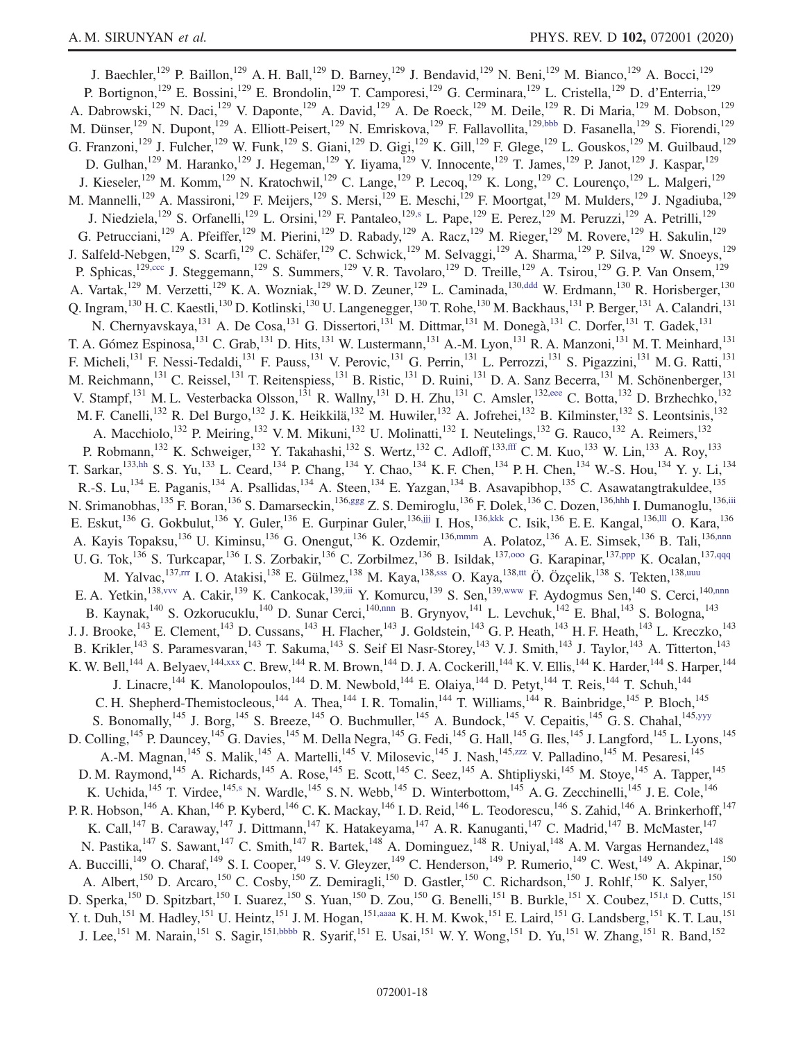<span id="page-17-16"></span><span id="page-17-15"></span><span id="page-17-14"></span><span id="page-17-13"></span><span id="page-17-12"></span><span id="page-17-11"></span><span id="page-17-10"></span><span id="page-17-9"></span><span id="page-17-8"></span><span id="page-17-7"></span><span id="page-17-6"></span><span id="page-17-5"></span><span id="page-17-4"></span><span id="page-17-3"></span><span id="page-17-2"></span><span id="page-17-1"></span><span id="page-17-0"></span>J. Baechler,<sup>129</sup> P. Baillon,<sup>129</sup> A. H. Ball,<sup>129</sup> D. Barney,<sup>129</sup> J. Bendavid,<sup>129</sup> N. Beni,<sup>129</sup> M. Bianco,<sup>129</sup> A. Bocci,<sup>129</sup> P. Bortignon,<sup>129</sup> E. Bossini,<sup>129</sup> E. Brondolin,<sup>129</sup> T. Camporesi,<sup>129</sup> G. Cerminara,<sup>129</sup> L. Cristella,<sup>129</sup> D. d'Enterria,<sup>129</sup> A. Dabrowski,<sup>129</sup> N. Daci,<sup>129</sup> V. Daponte,<sup>129</sup> A. David,<sup>129</sup> A. De Roeck,<sup>129</sup> M. Deile,<sup>129</sup> R. Di Maria,<sup>129</sup> M. Dobson,<sup>129</sup> M. Dünser,<sup>129</sup> N. Dupont,<sup>129</sup> A. Elliott-Peisert,<sup>129</sup> N. Emriskova,<sup>129</sup> F. Fallavollita,<sup>12[9,bbb](#page-24-28)</sup> D. Fasanella,<sup>129</sup> S. Fiorendi,<sup>129</sup> G. Franzoni,<sup>129</sup> J. Fulcher,<sup>129</sup> W. Funk,<sup>129</sup> S. Giani,<sup>129</sup> D. Gigi,<sup>129</sup> K. Gill,<sup>129</sup> F. Glege,<sup>129</sup> L. Gouskos,<sup>129</sup> M. Guilbaud,<sup>129</sup> D. Gulhan,<sup>129</sup> M. Haranko,<sup>129</sup> J. Hegeman,<sup>129</sup> Y. Iiyama,<sup>129</sup> V. Innocente,<sup>129</sup> T. James,<sup>129</sup> P. Janot,<sup>129</sup> J. Kaspar,<sup>129</sup> J. Kieseler,<sup>129</sup> M. Komm,<sup>129</sup> N. Kratochwil,<sup>129</sup> C. Lange,<sup>129</sup> P. Lecoq,<sup>129</sup> K. Long,<sup>129</sup> C. Lourenço,<sup>129</sup> L. Malgeri,<sup>129</sup> M. Mannelli,<sup>129</sup> A. Massironi,<sup>129</sup> F. Meijers,<sup>129</sup> S. Mersi,<sup>129</sup> E. Meschi,<sup>129</sup> F. Moortgat,<sup>129</sup> M. Mulders,<sup>129</sup> J. Ngadiuba,<sup>129</sup> J. Niedziela,<sup>129</sup> S. Orfanelli,<sup>129</sup> L. Orsini,<sup>129</sup> F. Pantaleo,<sup>129[,s](#page-23-17)</sup> L. Pape,<sup>129</sup> E. Perez,<sup>129</sup> M. Peruzzi,<sup>129</sup> A. Petrilli,<sup>129</sup> G. Petrucciani,<sup>129</sup> A. Pfeiffer,<sup>129</sup> M. Pierini,<sup>129</sup> D. Rabady,<sup>129</sup> A. Racz,<sup>129</sup> M. Rieger,<sup>129</sup> M. Rovere,<sup>129</sup> H. Sakulin,<sup>129</sup> J. Salfeld-Nebgen,<sup>129</sup> S. Scarfi,<sup>129</sup> C. Schäfer,<sup>129</sup> C. Schwick,<sup>129</sup> M. Selvaggi,<sup>129</sup> A. Sharma,<sup>129</sup> P. Silva,<sup>129</sup> W. Snoeys,<sup>129</sup> P. Sphicas,<sup>129[,ccc](#page-24-29)</sup> J. Steggemann,<sup>129</sup> S. Summers,<sup>129</sup> V. R. Tavolaro,<sup>129</sup> D. Treille,<sup>129</sup> A. Tsirou,<sup>129</sup> G. P. Van Onsem,<sup>129</sup> A. Vartak,<sup>129</sup> M. Verzetti,<sup>129</sup> K. A. Wozniak,<sup>129</sup> W. D. Zeuner,<sup>129</sup> L. Caminada,<sup>130[,ddd](#page-24-30)</sup> W. Erdmann,<sup>130</sup> R. Horisberger,<sup>130</sup> Q. Ingram,<sup>130</sup> H. C. Kaestli,<sup>130</sup> D. Kotlinski,<sup>130</sup> U. Langenegger,<sup>130</sup> T. Rohe,<sup>130</sup> M. Backhaus,<sup>131</sup> P. Berger,<sup>131</sup> A. Calandri,<sup>131</sup> N. Chernyavskaya,<sup>131</sup> A. De Cosa,<sup>131</sup> G. Dissertori,<sup>131</sup> M. Dittmar,<sup>131</sup> M. Donegà,<sup>131</sup> C. Dorfer,<sup>131</sup> T. Gadek,<sup>131</sup> T. A. Gómez Espinosa,<sup>131</sup> C. Grab,<sup>131</sup> D. Hits,<sup>131</sup> W. Lustermann,<sup>131</sup> A.-M. Lyon,<sup>131</sup> R. A. Manzoni,<sup>131</sup> M. T. Meinhard,<sup>131</sup> F. Micheli,<sup>131</sup> F. Nessi-Tedaldi,<sup>131</sup> F. Pauss,<sup>131</sup> V. Perovic,<sup>131</sup> G. Perrin,<sup>131</sup> L. Perrozzi,<sup>131</sup> S. Pigazzini,<sup>131</sup> M. G. Ratti,<sup>131</sup> M. Reichmann,<sup>131</sup> C. Reissel,<sup>131</sup> T. Reitenspiess,<sup>131</sup> B. Ristic,<sup>131</sup> D. Ruini,<sup>131</sup> D. A. Sanz Becerra,<sup>131</sup> M. Schönenberger,<sup>131</sup> V. Stampf,<sup>131</sup> M. L. Vesterbacka Olsson,<sup>131</sup> R. Wallny,<sup>131</sup> D. H. Zhu,<sup>131</sup> C. Amsler,<sup>132[,eee](#page-24-31)</sup> C. Botta,<sup>132</sup> D. Brzhechko,<sup>132</sup> M. F. Canelli,<sup>132</sup> R. Del Burgo,<sup>132</sup> J. K. Heikkilä,<sup>132</sup> M. Huwiler,<sup>132</sup> A. Jofrehei,<sup>132</sup> B. Kilminster,<sup>132</sup> S. Leontsinis,<sup>132</sup> A. Macchiolo,<sup>132</sup> P. Meiring,<sup>132</sup> V. M. Mikuni,<sup>132</sup> U. Molinatti,<sup>132</sup> I. Neutelings,<sup>132</sup> G. Rauco,<sup>132</sup> A. Reimers,<sup>132</sup> P. Robmann,<sup>132</sup> K. Schweiger,<sup>132</sup> Y. Takahashi,<sup>132</sup> S. Wertz,<sup>132</sup> C. Adloff,<sup>13[3,fff](#page-24-32)</sup> C.M. Kuo,<sup>133</sup> W. Lin,<sup>133</sup> A. Roy,<sup>133</sup> T. Sarkar,<sup>133[,hh](#page-24-9)</sup> S. S. Yu,<sup>133</sup> L. Ceard,<sup>134</sup> P. Chang,<sup>134</sup> Y. Chao,<sup>134</sup> K. F. Chen,<sup>134</sup> P. H. Chen,<sup>134</sup> W.-S. Hou,<sup>134</sup> Y. y. Li,<sup>134</sup> R.-S. Lu,<sup>134</sup> E. Paganis,<sup>134</sup> A. Psallidas,<sup>134</sup> A. Steen,<sup>134</sup> E. Yazgan,<sup>134</sup> B. Asavapibhop,<sup>135</sup> C. Asawatangtrakuldee,<sup>135</sup> N. Srimanobhas,<sup>135</sup> F. Boran,<sup>136</sup> S. Damarseckin,<sup>136</sup>[,ggg](#page-24-33) Z. S. Demiroglu,<sup>136</sup> F. Dolek,<sup>136</sup> C. Dozen,<sup>136[,hhh](#page-24-34)</sup> I. Dumanoglu,<sup>13[6,iii](#page-24-35)</sup> E. Eskut, <sup>136</sup> G. Gokbulut, <sup>136</sup> Y. Guler, <sup>136</sup> E. Gurpinar Guler, <sup>13[6,jjj](#page-24-36)</sup> I. Hos, <sup>13[6,kkk](#page-24-37)</sup> C. Isik, <sup>136</sup> E. E. Kangal, <sup>136[,lll](#page-24-38)</sup> O. Kara, <sup>136</sup> A. Kayis Topaksu,<sup>136</sup> U. Kiminsu,<sup>136</sup> G. Onengut,<sup>136</sup> K. Ozdemir,<sup>136[,mmm](#page-24-39)</sup> A. Polatoz,<sup>136</sup> A. E. Simsek,<sup>136</sup> B. Tali,<sup>13[6,nnn](#page-24-40)</sup> U. G. Tok,<sup>136</sup> S. Turkcapar,<sup>136</sup> I. S. Zorbakir,<sup>136</sup> C. Zorbilmez,<sup>136</sup> B. Isildak,<sup>137,000</sup> G. Karapinar,<sup>13[7,ppp](#page-24-42)</sup> K. Ocalan,<sup>137[,qqq](#page-24-43)</sup> M. Yalvac,<sup>13[7,rrr](#page-24-44)</sup> I. O. Atakisi,<sup>138</sup> E. Gülmez,<sup>138</sup> M. Kaya,<sup>13[8,sss](#page-24-45)</sup> O. Kaya,<sup>138[,ttt](#page-24-46)</sup> Ö. Özçelik,<sup>138</sup> S. Tekten,<sup>138[,uuu](#page-24-47)</sup> E. A. Yetkin,<sup>138[,vvv](#page-24-48)</sup> A. Cakir,<sup>139</sup> K. Cankocak,<sup>139[,iii](#page-24-35)</sup> Y. Komurcu,<sup>139</sup> S. Sen,<sup>13[9,www](#page-24-49)</sup> F. Aydogmus Sen,<sup>140</sup> S. Cerci,<sup>14[0,nnn](#page-24-40)</sup> B. Kaynak,<sup>140</sup> S. Ozkorucuklu,<sup>140</sup> D. Sunar Cerci,<sup>140[,nnn](#page-24-40)</sup> B. Grynyov,<sup>141</sup> L. Levchuk,<sup>142</sup> E. Bhal,<sup>143</sup> S. Bologna,<sup>143</sup> J. J. Brooke,<sup>143</sup> E. Clement,<sup>143</sup> D. Cussans,<sup>143</sup> H. Flacher,<sup>143</sup> J. Goldstein,<sup>143</sup> G. P. Heath,<sup>143</sup> H. F. Heath,<sup>143</sup> L. Kreczko,<sup>143</sup> B. Krikler,<sup>143</sup> S. Paramesvaran,<sup>143</sup> T. Sakuma,<sup>143</sup> S. Seif El Nasr-Storey,<sup>143</sup> V. J. Smith,<sup>143</sup> J. Taylor,<sup>143</sup> A. Titterton,<sup>143</sup> K. W. Bell,<sup>144</sup> A. Belyaev,<sup>14[4,xxx](#page-24-50)</sup> C. Brew,<sup>144</sup> R. M. Brown,<sup>144</sup> D. J. A. Cockerill,<sup>144</sup> K. V. Ellis,<sup>144</sup> K. Harder,<sup>144</sup> S. Harper,<sup>144</sup> J. Linacre,<sup>144</sup> K. Manolopoulos,<sup>144</sup> D. M. Newbold,<sup>144</sup> E. Olaiya,<sup>144</sup> D. Petyt,<sup>144</sup> T. Reis,<sup>144</sup> T. Schuh,<sup>144</sup> C. H. Shepherd-Themistocleous,<sup>144</sup> A. Thea,<sup>144</sup> I. R. Tomalin,<sup>144</sup> T. Williams,<sup>144</sup> R. Bainbridge,<sup>145</sup> P. Bloch,<sup>145</sup> S. Bonomally,<sup>145</sup> J. Borg,<sup>145</sup> S. Breeze,<sup>145</sup> O. Buchmuller,<sup>145</sup> A. Bundock,<sup>145</sup> V. Cepaitis,<sup>145</sup> G. S. Chahal,<sup>14[5,yyy](#page-24-51)</sup> D. Colling,<sup>145</sup> P. Dauncey,<sup>145</sup> G. Davies,<sup>145</sup> M. Della Negra,<sup>145</sup> G. Fedi,<sup>145</sup> G. Hall,<sup>145</sup> G. Iles,<sup>145</sup> J. Langford,<sup>145</sup> L. Lyons,<sup>145</sup> A.-M. Magnan,<sup>145</sup> S. Malik,<sup>145</sup> A. Martelli,<sup>145</sup> V. Milosevic,<sup>145</sup> J. Nash,<sup>145[,zzz](#page-24-52)</sup> V. Palladino,<sup>145</sup> M. Pesaresi,<sup>145</sup> D. M. Raymond,<sup>145</sup> A. Richards,<sup>145</sup> A. Rose,<sup>145</sup> E. Scott,<sup>145</sup> C. Seez,<sup>145</sup> A. Shtipliyski,<sup>145</sup> M. Stoye,<sup>145</sup> A. Tapper,<sup>145</sup> K. Uchida,<sup>145</sup> T. Virdee,<sup>145[,s](#page-23-17)</sup> N. Wardle,<sup>145</sup> S. N. Webb,<sup>145</sup> D. Winterbottom,<sup>145</sup> A. G. Zecchinelli,<sup>145</sup> J. E. Cole,<sup>146</sup> P. R. Hobson,<sup>146</sup> A. Khan,<sup>146</sup> P. Kyberd,<sup>146</sup> C. K. Mackay,<sup>146</sup> I. D. Reid,<sup>146</sup> L. Teodorescu,<sup>146</sup> S. Zahid,<sup>146</sup> A. Brinkerhoff,<sup>147</sup> K. Call,<sup>147</sup> B. Caraway,<sup>147</sup> J. Dittmann,<sup>147</sup> K. Hatakeyama,<sup>147</sup> A. R. Kanuganti,<sup>147</sup> C. Madrid,<sup>147</sup> B. McMaster,<sup>147</sup> N. Pastika, $147$  S. Sawant, $147$  C. Smith, $147$  R. Bartek, $148$  A. Dominguez, $148$  R. Uniyal, $148$  A. M. Vargas Hernandez, $148$ A. Buccilli,<sup>149</sup> O. Charaf,<sup>149</sup> S. I. Cooper,<sup>149</sup> S. V. Gleyzer,<sup>149</sup> C. Henderson,<sup>149</sup> P. Rumerio,<sup>149</sup> C. West,<sup>149</sup> A. Akpinar,<sup>150</sup> A. Albert,<sup>150</sup> D. Arcaro,<sup>150</sup> C. Cosby,<sup>150</sup> Z. Demiragli,<sup>150</sup> D. Gastler,<sup>150</sup> C. Richardson,<sup>150</sup> J. Rohlf,<sup>150</sup> K. Salyer,<sup>150</sup> D. Sperka,<sup>150</sup> D. Spitzbart,<sup>150</sup> I. Suarez,<sup>150</sup> S. Yuan,<sup>150</sup> D. Zou,<sup>150</sup> G. Benelli,<sup>151</sup> B. Burkle,<sup>151</sup> X. Coubez,<sup>15[1,t](#page-23-18)</sup> D. Cutts,<sup>151</sup> Y. t. Duh,<sup>151</sup> M. Hadley,<sup>151</sup> U. Heintz,<sup>151</sup> J. M. Hogan,<sup>151[,aaaa](#page-24-53)</sup> K. H. M. Kwok,<sup>151</sup> E. Laird,<sup>151</sup> G. Landsberg,<sup>151</sup> K. T. Lau,<sup>151</sup> J. Lee,<sup>151</sup> M. Narain,<sup>151</sup> S. Sagir,<sup>151[,bbbb](#page-24-54)</sup> R. Syarif,<sup>151</sup> E. Usai,<sup>151</sup> W. Y. Wong,<sup>151</sup> D. Yu,<sup>151</sup> W. Zhang,<sup>151</sup> R. Band,<sup>152</sup>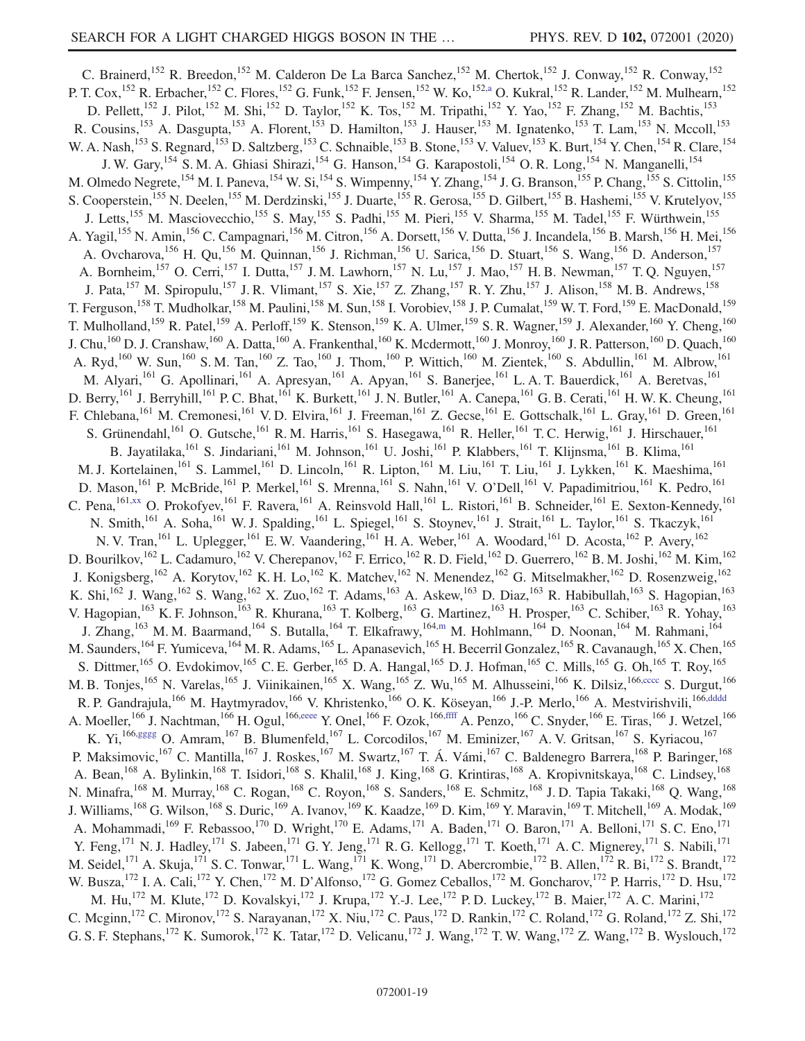<span id="page-18-3"></span><span id="page-18-2"></span><span id="page-18-1"></span><span id="page-18-0"></span>C. Brainerd,<sup>152</sup> R. Breedon,<sup>152</sup> M. Calderon De La Barca Sanchez,<sup>152</sup> M. Chertok,<sup>152</sup> J. Conway,<sup>152</sup> R. Conway,<sup>152</sup> P. T. Cox, <sup>152</sup> R. Erbacher, <sup>152</sup> C. Flores, <sup>152</sup> G. Funk, <sup>152</sup> F. Jensen, <sup>152</sup> W. Ko, <sup>15[2,a](#page-23-0)</sup> O. Kukral, <sup>152</sup> R. Lander, <sup>152</sup> M. Mulhearn, <sup>152</sup> D. Pellett,<sup>152</sup> J. Pilot,<sup>152</sup> M. Shi,<sup>152</sup> D. Taylor,<sup>152</sup> K. Tos,<sup>152</sup> M. Tripathi,<sup>152</sup> Y. Yao,<sup>152</sup> F. Zhang,<sup>152</sup> M. Bachtis,<sup>153</sup> R. Cousins,<sup>153</sup> A. Dasgupta,<sup>153</sup> A. Florent,<sup>153</sup> D. Hamilton,<sup>153</sup> J. Hauser,<sup>153</sup> M. Ignatenko,<sup>153</sup> T. Lam,<sup>153</sup> N. Mccoll,<sup>153</sup> W. A. Nash,<sup>153</sup> S. Regnard,<sup>153</sup> D. Saltzberg,<sup>153</sup> C. Schnaible,<sup>153</sup> B. Stone,<sup>153</sup> V. Valuev,<sup>153</sup> K. Burt,<sup>154</sup> Y. Chen,<sup>154</sup> R. Clare,<sup>154</sup> J. W. Gary, <sup>154</sup> S. M. A. Ghiasi Shirazi, <sup>154</sup> G. Hanson, <sup>154</sup> G. Karapostoli, <sup>154</sup> O. R. Long, <sup>154</sup> N. Manganelli, <sup>154</sup> M. Olmedo Negrete,<sup>154</sup> M. I. Paneva,<sup>154</sup> W. Si,<sup>154</sup> S. Wimpenny,<sup>154</sup> Y. Zhang,<sup>154</sup> J. G. Branson,<sup>155</sup> P. Chang,<sup>155</sup> S. Cittolin,<sup>155</sup> S. Cooperstein,<sup>155</sup> N. Deelen,<sup>155</sup> M. Derdzinski,<sup>155</sup> J. Duarte,<sup>155</sup> R. Gerosa,<sup>155</sup> D. Gilbert,<sup>155</sup> B. Hashemi,<sup>155</sup> V. Krutelyov,<sup>155</sup> J. Letts,<sup>155</sup> M. Masciovecchio,<sup>155</sup> S. May,<sup>155</sup> S. Padhi,<sup>155</sup> M. Pieri,<sup>155</sup> V. Sharma,<sup>155</sup> M. Tadel,<sup>155</sup> F. Würthwein,<sup>155</sup> A. Yagil,<sup>155</sup> N. Amin,<sup>156</sup> C. Campagnari,<sup>156</sup> M. Citron,<sup>156</sup> A. Dorsett,<sup>156</sup> V. Dutta,<sup>156</sup> J. Incandela,<sup>156</sup> B. Marsh,<sup>156</sup> H. Mei,<sup>156</sup> A. Ovcharova, <sup>156</sup> H. Qu, <sup>156</sup> M. Quinnan, <sup>156</sup> J. Richman, <sup>156</sup> U. Sarica, <sup>156</sup> D. Stuart, <sup>156</sup> S. Wang, <sup>156</sup> D. Anderson, <sup>157</sup> A. Bornheim,<sup>157</sup> O. Cerri,<sup>157</sup> I. Dutta,<sup>157</sup> J. M. Lawhorn,<sup>157</sup> N. Lu,<sup>157</sup> J. Mao,<sup>157</sup> H. B. Newman,<sup>157</sup> T. Q. Nguyen,<sup>157</sup> J. Pata,<sup>157</sup> M. Spiropulu,<sup>157</sup> J. R. Vlimant,<sup>157</sup> S. Xie,<sup>157</sup> Z. Zhang,<sup>157</sup> R. Y. Zhu,<sup>157</sup> J. Alison,<sup>158</sup> M. B. Andrews,<sup>158</sup> T. Ferguson,<sup>158</sup> T. Mudholkar,<sup>158</sup> M. Paulini,<sup>158</sup> M. Sun,<sup>158</sup> I. Vorobiev,<sup>158</sup> J. P. Cumalat,<sup>159</sup> W. T. Ford,<sup>159</sup> E. MacDonald,<sup>159</sup> T. Mulholland,<sup>159</sup> R. Patel,<sup>159</sup> A. Perloff,<sup>159</sup> K. Stenson,<sup>159</sup> K. A. Ulmer,<sup>159</sup> S. R. Wagner,<sup>159</sup> J. Alexander,<sup>160</sup> Y. Cheng,<sup>160</sup> J. Chu,<sup>160</sup> D. J. Cranshaw,<sup>160</sup> A. Datta,<sup>160</sup> A. Frankenthal,<sup>160</sup> K. Mcdermott,<sup>160</sup> J. Monroy,<sup>160</sup> J. R. Patterson,<sup>160</sup> D. Quach,<sup>160</sup> A. Ryd,<sup>160</sup> W. Sun,<sup>160</sup> S. M. Tan,<sup>160</sup> Z. Tao,<sup>160</sup> J. Thom,<sup>160</sup> P. Wittich,<sup>160</sup> M. Zientek,<sup>160</sup> S. Abdullin,<sup>161</sup> M. Albrow,<sup>161</sup> M. Alyari,<sup>161</sup> G. Apollinari,<sup>161</sup> A. Apresyan,<sup>161</sup> A. Apyan,<sup>161</sup> S. Banerjee,<sup>161</sup> L. A. T. Bauerdick,<sup>161</sup> A. Beretvas,<sup>161</sup> D. Berry, <sup>161</sup> J. Berryhill, <sup>161</sup> P. C. Bhat, <sup>161</sup> K. Burkett, <sup>161</sup> J. N. Butler, <sup>161</sup> A. Canepa, <sup>161</sup> G. B. Cerati, <sup>161</sup> H. W. K. Cheung, <sup>161</sup> F. Chlebana,<sup>161</sup> M. Cremonesi,<sup>161</sup> V. D. Elvira,<sup>161</sup> J. Freeman,<sup>161</sup> Z. Gecse,<sup>161</sup> E. Gottschalk,<sup>161</sup> L. Gray,<sup>161</sup> D. Green,<sup>161</sup> S. Grünendahl,<sup>161</sup> O. Gutsche,<sup>161</sup> R. M. Harris,<sup>161</sup> S. Hasegawa,<sup>161</sup> R. Heller,<sup>161</sup> T. C. Herwig,<sup>161</sup> J. Hirschauer,<sup>161</sup> B. Jayatilaka, <sup>161</sup> S. Jindariani, <sup>161</sup> M. Johnson, <sup>161</sup> U. Joshi, <sup>161</sup> P. Klabbers, <sup>161</sup> T. Klijnsma, <sup>161</sup> B. Klima, <sup>161</sup> M. J. Kortelainen,<sup>161</sup> S. Lammel,<sup>161</sup> D. Lincoln,<sup>161</sup> R. Lipton,<sup>161</sup> M. Liu,<sup>161</sup> T. Liu,<sup>161</sup> J. Lykken,<sup>161</sup> K. Maeshima,<sup>161</sup> D. Mason,<sup>161</sup> P. McBride,<sup>161</sup> P. Merkel,<sup>161</sup> S. Mrenna,<sup>161</sup> S. Nahn,<sup>161</sup> V. O'Dell,<sup>161</sup> V. Papadimitriou,<sup>161</sup> K. Pedro,<sup>161</sup> C. Pena, <sup>161[,xx](#page-24-24)</sup> O. Prokofyev, <sup>161</sup> F. Ravera, <sup>161</sup> A. Reinsvold Hall, <sup>161</sup> L. Ristori, <sup>161</sup> B. Schneider, <sup>161</sup> E. Sexton-Kennedy, <sup>161</sup> N. Smith,<sup>161</sup> A. Soha,<sup>161</sup> W. J. Spalding,<sup>161</sup> L. Spiegel,<sup>161</sup> S. Stoynev,<sup>161</sup> J. Strait,<sup>161</sup> L. Taylor,<sup>161</sup> S. Tkaczyk,<sup>161</sup> N. V. Tran,<sup>161</sup> L. Uplegger,<sup>161</sup> E. W. Vaandering,<sup>161</sup> H. A. Weber,<sup>161</sup> A. Woodard,<sup>161</sup> D. Acosta,<sup>162</sup> P. Avery,<sup>162</sup> D. Bourilkov, <sup>162</sup> L. Cadamuro, <sup>162</sup> V. Cherepanov, <sup>162</sup> F. Errico, <sup>162</sup> R. D. Field, <sup>162</sup> D. Guerrero, <sup>162</sup> B. M. Joshi, <sup>162</sup> M. Kim, <sup>162</sup> J. Konigsberg,<sup>162</sup> A. Korytov,<sup>162</sup> K. H. Lo,<sup>162</sup> K. Matchev,<sup>162</sup> N. Menendez,<sup>162</sup> G. Mitselmakher,<sup>162</sup> D. Rosenzweig,<sup>162</sup> K. Shi,<sup>162</sup> J. Wang,<sup>162</sup> S. Wang,<sup>162</sup> X. Zuo,<sup>162</sup> T. Adams,<sup>163</sup> A. Askew,<sup>163</sup> D. Diaz,<sup>163</sup> R. Habibullah,<sup>163</sup> S. Hagopian,<sup>163</sup> V. Hagopian,<sup>163</sup> K. F. Johnson,<sup>163</sup> R. Khurana,<sup>163</sup> T. Kolberg,<sup>163</sup> G. Martinez,<sup>163</sup> H. Prosper,<sup>163</sup> C. Schiber,<sup>163</sup> R. Yohay,<sup>163</sup> J. Zhang, <sup>163</sup> M. M. Baarmand, <sup>164</sup> S. Butalla, <sup>164</sup> T. Elkafrawy, <sup>164[,m](#page-23-12)</sup> M. Hohlmann, <sup>164</sup> D. Noonan, <sup>164</sup> M. Rahmani, <sup>164</sup> M. Saunders,<sup>164</sup> F. Yumiceva,<sup>164</sup> M. R. Adams,<sup>165</sup> L. Apanasevich,<sup>165</sup> H. Becerril Gonzalez,<sup>165</sup> R. Cavanaugh,<sup>165</sup> X. Chen,<sup>165</sup> S. Dittmer,<sup>165</sup> O. Evdokimov,<sup>165</sup> C. E. Gerber,<sup>165</sup> D. A. Hangal,<sup>165</sup> D. J. Hofman,<sup>165</sup> C. Mills,<sup>165</sup> G. Oh,<sup>165</sup> T. Roy,<sup>165</sup> M. B. Tonjes,<sup>165</sup> N. Varelas,<sup>165</sup> J. Viinikainen,<sup>165</sup> X. Wang,<sup>165</sup> Z. Wu,<sup>165</sup> M. Alhusseini,<sup>166</sup> K. Dilsiz,<sup>166[,cccc](#page-24-55)</sup> S. Durgut,<sup>166</sup> R. P. Gandrajula,<sup>166</sup> M. Haytmyradov,<sup>166</sup> V. Khristenko,<sup>166</sup> O. K. Köseyan,<sup>166</sup> J.-P. Merlo,<sup>166</sup> A. Mestvirishvili,<sup>16[6,dddd](#page-24-56)</sup> A. Moeller, <sup>166</sup> J. Nachtman, <sup>166</sup> H. Ogul, <sup>16[6,eeee](#page-25-0)</sup> Y. Onel, <sup>166</sup> F. Ozok, <sup>16[6,ffff](#page-25-1)</sup> A. Penzo, <sup>166</sup> C. Snyder, <sup>166</sup> E. Tiras, <sup>166</sup> J. Wetzel, <sup>166</sup> K. Yi,<sup>16[6,gggg](#page-25-2)</sup> O. Amram,<sup>167</sup> B. Blumenfeld,<sup>167</sup> L. Corcodilos,<sup>167</sup> M. Eminizer,<sup>167</sup> A. V. Gritsan,<sup>167</sup> S. Kyriacou,<sup>167</sup> P. Maksimovic,<sup>167</sup> C. Mantilla,<sup>167</sup> J. Roskes,<sup>167</sup> M. Swartz,<sup>167</sup> T. Á. Vámi,<sup>167</sup> C. Baldenegro Barrera,<sup>168</sup> P. Baringer,<sup>168</sup> A. Bean, <sup>168</sup> A. Bylinkin, <sup>168</sup> T. Isidori, <sup>168</sup> S. Khalil, <sup>168</sup> J. King, <sup>168</sup> G. Krintiras, <sup>168</sup> A. Kropivnitskaya, <sup>168</sup> C. Lindsey, <sup>168</sup> N. Minafra,<sup>168</sup> M. Murray,<sup>168</sup> C. Rogan,<sup>168</sup> C. Royon,<sup>168</sup> S. Sanders,<sup>168</sup> E. Schmitz,<sup>168</sup> J. D. Tapia Takaki,<sup>168</sup> Q. Wang,<sup>168</sup> J. Williams,  $^{168}$  G. Wilson,  $^{168}$  S. Duric,  $^{169}$  A. Ivanov,  $^{169}$  K. Kaadze,  $^{169}$  D. Kim,  $^{169}$  Y. Maravin,  $^{169}$  T. Mitchell,  $^{169}$  A. Modak,  $^{169}$ A. Mohammadi,<sup>169</sup> F. Rebassoo,<sup>170</sup> D. Wright,<sup>170</sup> E. Adams,<sup>171</sup> A. Baden,<sup>171</sup> O. Baron,<sup>171</sup> A. Belloni,<sup>171</sup> S. C. Eno,<sup>171</sup> Y. Feng,<sup>171</sup> N. J. Hadley,<sup>171</sup> S. Jabeen,<sup>171</sup> G. Y. Jeng,<sup>171</sup> R. G. Kellogg,<sup>171</sup> T. Koeth,<sup>171</sup> A. C. Mignerey,<sup>171</sup> S. Nabili,<sup>171</sup> M. Seidel,<sup>171</sup> A. Skuja,<sup>171</sup> S. C. Tonwar,<sup>171</sup> L. Wang,<sup>171</sup> K. Wong,<sup>171</sup> D. Abercrombie,<sup>172</sup> B. Allen,<sup>172</sup> R. Bi,<sup>172</sup> S. Brandt,<sup>172</sup> W. Busza,<sup>172</sup> I. A. Cali,<sup>172</sup> Y. Chen,<sup>172</sup> M. D'Alfonso,<sup>172</sup> G. Gomez Ceballos,<sup>172</sup> M. Goncharov,<sup>172</sup> P. Harris,<sup>172</sup> D. Hsu,<sup>172</sup> M. Hu,<sup>172</sup> M. Klute,<sup>172</sup> D. Kovalskyi,<sup>172</sup> J. Krupa,<sup>172</sup> Y.-J. Lee,<sup>172</sup> P.D. Luckey,<sup>172</sup> B. Maier,<sup>172</sup> A. C. Marini,<sup>172</sup> C. Mcginn,<sup>172</sup> C. Mironov,<sup>172</sup> S. Narayanan,<sup>172</sup> X. Niu,<sup>172</sup> C. Paus,<sup>172</sup> D. Rankin,<sup>172</sup> C. Roland,<sup>172</sup> G. Roland,<sup>172</sup> Z. Shi,<sup>172</sup> G. S. F. Stephans,<sup>172</sup> K. Sumorok,<sup>172</sup> K. Tatar,<sup>172</sup> D. Velicanu,<sup>172</sup> J. Wang,<sup>172</sup> T. W. Wang,<sup>172</sup> Z. Wang,<sup>172</sup> B. Wyslouch,<sup>172</sup>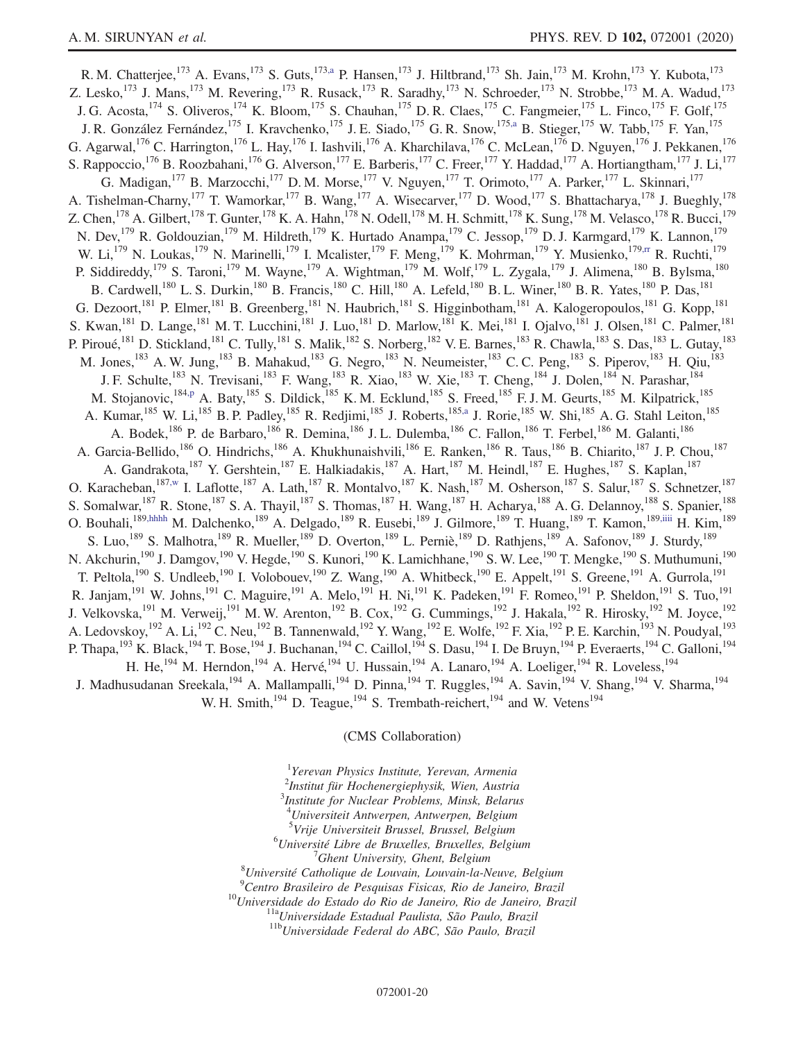R. M. Chatterjee,<sup>173</sup> A. Evans,<sup>173</sup> S. Guts,<sup>17[3,a](#page-23-0)</sup> P. Hansen,<sup>173</sup> J. Hiltbrand,<sup>173</sup> Sh. Jain,<sup>173</sup> M. Krohn,<sup>173</sup> Y. Kubota,<sup>173</sup> Z. Lesko,<sup>173</sup> J. Mans,<sup>173</sup> M. Revering,<sup>173</sup> R. Rusack,<sup>173</sup> R. Saradhy,<sup>173</sup> N. Schroeder,<sup>173</sup> N. Strobbe,<sup>173</sup> M. A. Wadud,<sup>173</sup> J. G. Acosta,<sup>174</sup> S. Oliveros,<sup>174</sup> K. Bloom,<sup>175</sup> S. Chauhan,<sup>175</sup> D. R. Claes,<sup>175</sup> C. Fangmeier,<sup>175</sup> L. Finco,<sup>175</sup> F. Golf,<sup>175</sup> J. R. González Fernández, <sup>175</sup> I. Kravchenko, <sup>175</sup> J. E. Siado, <sup>175</sup> G. R. Snow, <sup>17[5,a](#page-23-0)</sup> B. Stieger, <sup>175</sup> W. Tabb, <sup>175</sup> F. Yan, <sup>175</sup> G. Agarwal,<sup>176</sup> C. Harrington,<sup>176</sup> L. Hay,<sup>176</sup> I. Iashvili,<sup>176</sup> A. Kharchilava,<sup>176</sup> C. McLean,<sup>176</sup> D. Nguyen,<sup>176</sup> J. Pekkanen,<sup>176</sup> S. Rappoccio,<sup>176</sup> B. Roozbahani,<sup>176</sup> G. Alverson,<sup>177</sup> E. Barberis,<sup>177</sup> C. Freer,<sup>177</sup> Y. Haddad,<sup>177</sup> A. Hortiangtham,<sup>177</sup> J. Li,<sup>177</sup> G. Madigan,<sup>177</sup> B. Marzocchi,<sup>177</sup> D. M. Morse,<sup>177</sup> V. Nguyen,<sup>177</sup> T. Orimoto,<sup>177</sup> A. Parker,<sup>177</sup> L. Skinnari,<sup>177</sup> A. Tishelman-Charny,<sup>177</sup> T. Wamorkar,<sup>177</sup> B. Wang,<sup>177</sup> A. Wisecarver,<sup>177</sup> D. Wood,<sup>177</sup> S. Bhattacharya,<sup>178</sup> J. Bueghly,<sup>178</sup> Z. Chen,<sup>178</sup> A. Gilbert,<sup>178</sup> T. Gunter,<sup>178</sup> K. A. Hahn,<sup>178</sup> N. Odell,<sup>178</sup> M. H. Schmitt,<sup>178</sup> K. Sung,<sup>178</sup> M. Velasco,<sup>178</sup> R. Bucci,<sup>179</sup> N. Dev,<sup>179</sup> R. Goldouzian,<sup>179</sup> M. Hildreth,<sup>179</sup> K. Hurtado Anampa,<sup>179</sup> C. Jessop,<sup>179</sup> D. J. Karmgard,<sup>179</sup> K. Lannon,<sup>179</sup> W. Li,<sup>179</sup> N. Loukas,<sup>179</sup> N. Marinelli,<sup>179</sup> I. Mcalister,<sup>179</sup> F. Meng,<sup>179</sup> K. Mohrman,<sup>179</sup> Y. Musienko,<sup>17[9,rr](#page-24-19)</sup> R. Ruchti,<sup>179</sup> P. Siddireddy, <sup>179</sup> S. Taroni, <sup>179</sup> M. Wayne, <sup>179</sup> A. Wightman, <sup>179</sup> M. Wolf, <sup>179</sup> L. Zygala, <sup>179</sup> J. Alimena, <sup>180</sup> B. Bylsma, <sup>180</sup> B. Cardwell,<sup>180</sup> L. S. Durkin,<sup>180</sup> B. Francis,<sup>180</sup> C. Hill,<sup>180</sup> A. Lefeld,<sup>180</sup> B. L. Winer,<sup>180</sup> B. R. Yates,<sup>180</sup> P. Das,<sup>181</sup> G. Dezoort,<sup>181</sup> P. Elmer,<sup>181</sup> B. Greenberg,<sup>181</sup> N. Haubrich,<sup>181</sup> S. Higginbotham,<sup>181</sup> A. Kalogeropoulos,<sup>181</sup> G. Kopp,<sup>181</sup> S. Kwan,<sup>181</sup> D. Lange,<sup>181</sup> M. T. Lucchini,<sup>181</sup> J. Luo,<sup>181</sup> D. Marlow,<sup>181</sup> K. Mei,<sup>181</sup> I. Ojalvo,<sup>181</sup> J. Olsen,<sup>181</sup> C. Palmer,<sup>181</sup> P. Piroué,<sup>181</sup> D. Stickland,<sup>181</sup> C. Tully,<sup>181</sup> S. Malik,<sup>182</sup> S. Norberg,<sup>182</sup> V. E. Barnes,<sup>183</sup> R. Chawla,<sup>183</sup> S. Das,<sup>183</sup> L. Gutay,<sup>183</sup> M. Jones,<sup>183</sup> A. W. Jung,<sup>183</sup> B. Mahakud,<sup>183</sup> G. Negro,<sup>183</sup> N. Neumeister,<sup>183</sup> C. C. Peng,<sup>183</sup> S. Piperov,<sup>183</sup> H. Qiu,<sup>183</sup> J. F. Schulte,<sup>183</sup> N. Trevisani,<sup>183</sup> F. Wang,<sup>183</sup> R. Xiao,<sup>183</sup> W. Xie,<sup>183</sup> T. Cheng,<sup>184</sup> J. Dolen,<sup>184</sup> N. Parashar,<sup>184</sup> M. Stojanovic, <sup>184[,p](#page-23-14)</sup> A. Baty, <sup>185</sup> S. Dildick, <sup>185</sup> K. M. Ecklund, <sup>185</sup> S. Freed, <sup>185</sup> F. J. M. Geurts, <sup>185</sup> M. Kilpatrick, <sup>185</sup> A. Kumar,<sup>185</sup> W. Li,<sup>185</sup> B. P. Padley,<sup>185</sup> R. Redjimi,<sup>185</sup> J. Roberts,<sup>18[5,a](#page-23-0)</sup> J. Rorie,<sup>185</sup> W. Shi,<sup>185</sup> A. G. Stahl Leiton,<sup>185</sup> A. Bodek,<sup>186</sup> P. de Barbaro,<sup>186</sup> R. Demina,<sup>186</sup> J. L. Dulemba,<sup>186</sup> C. Fallon,<sup>186</sup> T. Ferbel,<sup>186</sup> M. Galanti,<sup>186</sup> A. Garcia-Bellido,<sup>186</sup> O. Hindrichs,<sup>186</sup> A. Khukhunaishvili,<sup>186</sup> E. Ranken,<sup>186</sup> R. Taus,<sup>186</sup> B. Chiarito,<sup>187</sup> J. P. Chou,<sup>187</sup> A. Gandrakota,<sup>187</sup> Y. Gershtein,<sup>187</sup> E. Halkiadakis,<sup>187</sup> A. Hart,<sup>187</sup> M. Heindl,<sup>187</sup> E. Hughes,<sup>187</sup> S. Kaplan,<sup>187</sup> O. Karacheban,<sup>18[7,w](#page-23-21)</sup> I. Laflotte,<sup>187</sup> A. Lath,<sup>187</sup> R. Montalvo,<sup>187</sup> K. Nash,<sup>187</sup> M. Osherson,<sup>187</sup> S. Salur,<sup>187</sup> S. Schnetzer,<sup>187</sup> S. Somalwar,<sup>187</sup> R. Stone,<sup>187</sup> S. A. Thayil,<sup>187</sup> S. Thomas,<sup>187</sup> H. Wang,<sup>187</sup> H. Acharya,<sup>188</sup> A. G. Delannoy,<sup>188</sup> S. Spanier,<sup>188</sup> O. Bouhali,<sup>189[,hhhh](#page-25-3)</sup> M. Dalchenko,<sup>189</sup> A. Delgado,<sup>189</sup> R. Eusebi,<sup>189</sup> J. Gilmore,<sup>189</sup> T. Huang,<sup>189</sup> T. Kamon,<sup>18[9,iiii](#page-25-4)</sup> H. Kim,<sup>189</sup> S. Luo, <sup>189</sup> S. Malhotra, <sup>189</sup> R. Mueller, <sup>189</sup> D. Overton, <sup>189</sup> L. Perniè, <sup>189</sup> D. Rathjens, <sup>189</sup> A. Safonov, <sup>189</sup> J. Sturdy, <sup>189</sup> N. Akchurin,<sup>190</sup> J. Damgov,<sup>190</sup> V. Hegde,<sup>190</sup> S. Kunori,<sup>190</sup> K. Lamichhane,<sup>190</sup> S. W. Lee,<sup>190</sup> T. Mengke,<sup>190</sup> S. Muthumuni,<sup>190</sup> T. Peltola,<sup>190</sup> S. Undleeb,<sup>190</sup> I. Volobouev,<sup>190</sup> Z. Wang,<sup>190</sup> A. Whitbeck,<sup>190</sup> E. Appelt,<sup>191</sup> S. Greene,<sup>191</sup> A. Gurrola,<sup>191</sup> R. Janjam,<sup>191</sup> W. Johns,<sup>191</sup> C. Maguire,<sup>191</sup> A. Melo,<sup>191</sup> H. Ni,<sup>191</sup> K. Padeken,<sup>191</sup> F. Romeo,<sup>191</sup> P. Sheldon,<sup>191</sup> S. Tuo,<sup>191</sup> J. Velkovska,<sup>191</sup> M. Verweij,<sup>191</sup> M.W. Arenton,<sup>192</sup> B. Cox,<sup>192</sup> G. Cummings,<sup>192</sup> J. Hakala,<sup>192</sup> R. Hirosky,<sup>192</sup> M. Joyce,<sup>192</sup> A. Ledovskoy, <sup>192</sup> A. Li, <sup>192</sup> C. Neu, <sup>192</sup> B. Tannenwald, <sup>192</sup> Y. Wang, <sup>192</sup> E. Wolfe, <sup>192</sup> F. Xia, <sup>192</sup> P. E. Karchin, <sup>193</sup> N. Poudyal, <sup>193</sup> P. Thapa,  $^{193}$  K. Black,  $^{194}$  T. Bose,  $^{194}$  J. Buchanan,  $^{194}$  C. Caillol,  $^{194}$  S. Dasu,  $^{194}$  I. De Bruyn,  $^{194}$  P. Everaerts,  $^{194}$  C. Galloni,  $^{194}$ H. He,<sup>194</sup> M. Herndon,<sup>194</sup> A. Hervé,<sup>194</sup> U. Hussain,<sup>194</sup> A. Lanaro,<sup>194</sup> A. Loeliger,<sup>194</sup> R. Loveless,<sup>194</sup> J. Madhusudanan Sreekala,<sup>194</sup> A. Mallampalli,<sup>194</sup> D. Pinna,<sup>194</sup> T. Ruggles,<sup>194</sup> A. Savin,<sup>194</sup> V. Shang,<sup>194</sup> V. Sharma,<sup>194</sup>

<span id="page-19-0"></span>W. H. Smith,<sup>194</sup> D. Teague,<sup>194</sup> S. Trembath-reichert,<sup>194</sup> and W. Vetens<sup>194</sup>

(CMS Collaboration)

<sup>1</sup>Yerevan Physics Institute, Yerevan, Armenia 2 Institut für Hochenergiephysik, Wien, Austria 3 Institute for Nuclear Problems, Minsk, Belarus <sup>4</sup>Universiteit Antwerpen, Antwerpen, Belgium <sup>5</sup>Vrije Universiteit Brussel, Brussel, Belgium<br><sup>6</sup>Université Libre de Bruxelles, Bruxelles, Belgium  ${}^{6}$ Université Libre de Bruxelles, Bruxelles, Belgium  $\sigma$ <sup>T</sup>Ghent University, Ghent, Belgium <sup>8</sup>Université Catholique de Louvain, Louvain-la-Neuve, Belgium<br><sup>9</sup>Centro Brasileiro de Pesquisas Fisicas, Rio de Janeiro, Brazil <sup>10</sup>Universidade do Estado do Rio de Janeiro, Rio de Janeiro, Brazil<br><sup>11a</sup>Universidade Estadual Paulista, São Paulo, Brazil<br><sup>11b</sup>Universidade Federal do ABC, São Paulo, Brazil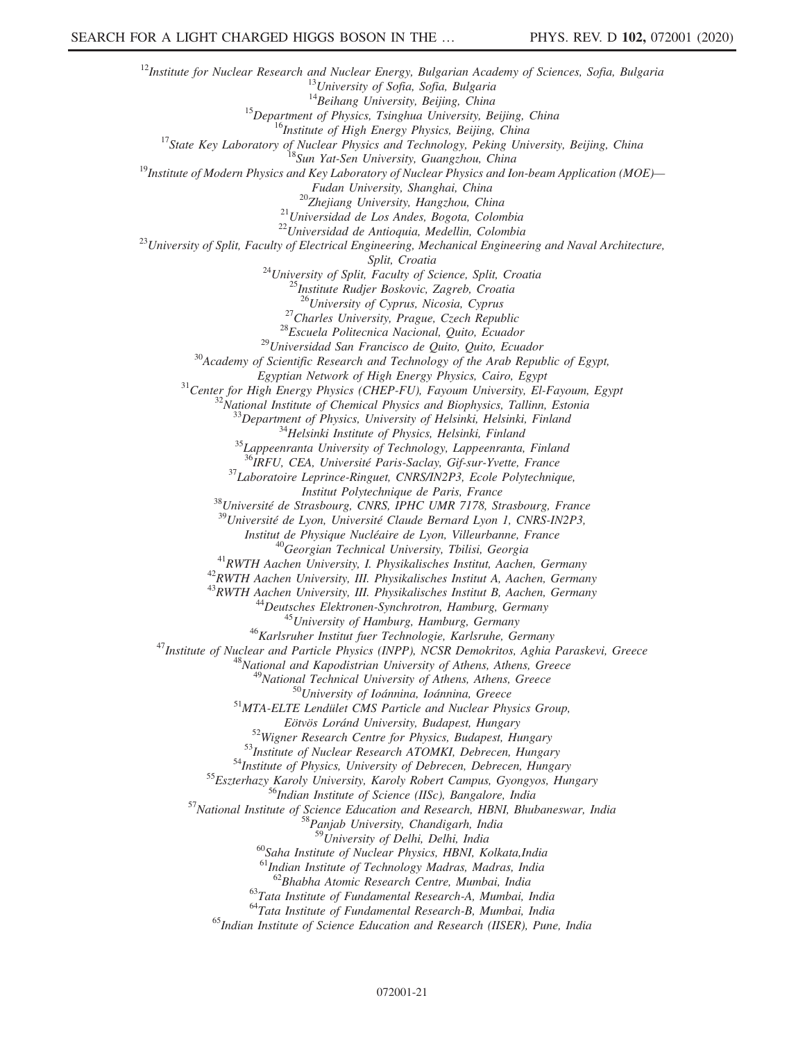<sup>12</sup>Institute for Nuclear Research and Nuclear Energy, Bulgarian Academy of Sciences, Sofia, Bulgaria<br><sup>13</sup>University of Sofia, Sofia, Bulgaria<br><sup>14</sup>Beihang University, Beijing, China <sup>15</sup> Department of Physics, Tsinghua University, Beijing, China<br><sup>16</sup> Institute of High Energy Physics, Beijing, China<br><sup>17</sup> State Key Laboratory of Nuclear Physics and Technology, Peking University, Beijing, China<br><sup>18</sup> Sun <sup>21</sup>Universidad de Los Andes, Bogota, Colombia<br><sup>22</sup>Universidad de Antioquia, Medellin, Colombia<br><sup>23</sup>University of Split, Faculty of Electrical Engineering, Mechanical Engineering and Naval Architecture, Split, Croatia<br><sup>24</sup>University of Split, Faculty of Science, Split, Croatia<br><sup>25</sup>Institute Rudjer Boskovic, Zagreb, Croatia<br><sup>26</sup>University of Cyprus, Nicosia, Cyprus <sup>27</sup>Charles University, Prague, Czech Republic<br><sup>28</sup>Escuela Politecnica Nacional, Quito, Ecuador<br><sup>29</sup>Universidad San Francisco de Quito, Quito, Ecuador<br><sup>30</sup>Academy of Scientific Research and Technology of the Arab Republic Egyptian Network of High Energy Physics, Cairo, Egypt<br>
<sup>31</sup>Center for High Energy Physics (CHEP-FU), Fayoum University, El-Fayoum, Egypt<br>
<sup>32</sup>National Institute of Chemical Physics and Biophysics, Tallinn, Estonia<br>
<sup>33</sup>Dep  $37$ Laboratoire Leprince-Ringuet, CNRS/IN2P3, Ecole Polytechnique, Institut Polytechnique de Paris, France<br><sup>38</sup>Université de Strasbourg, CNRS, IPHC UMR 7178, Strasbourg, France<br><sup>39</sup>Université de Lyon, Université Claude Bernard Lyon 1, CNRS-IN2P3,<br>Institut de Physique Nucléaire de Lyon, Vi <sup>40</sup>Georgian Technical University, Tbilisi, Georgia<br><sup>41</sup>RWTH Aachen University, I. Physikalisches Institut, Aachen, Germany<br><sup>42</sup>RWTH Aachen University, III. Physikalisches Institut A, Aachen, Germany<br><sup>43</sup>RWTH Aachen Unive <sup>44</sup>Deutsches Elektronen-Synchrotron, Hamburg, Germany<br><sup>45</sup>University of Hamburg, Hamburg, Germany<br><sup>46</sup>Karlsruher Institut fuer Technologie, Karlsruhe, Germany<br><sup>47</sup>Institute of Nuclear and Particle Physics (INPP), NCSR De <sup>52</sup>Wigner Research Centre for Physics, Budapest, Hungary<br><sup>53</sup>Institute of Nuclear Research ATOMKI, Debrecen, Hungary<br><sup>54</sup>Institute of Physics, University of Debrecen, Debrecen, Hungary<br><sup>55</sup>Eszterhazy Karoly University, K  $^{60}$ Saha Institute of Nuclear Physics, HBNI, Kolkata,India <sup>61</sup>Indian Institute of Technology Madras, Madras, India<br><sup>62</sup>Bhabha Atomic Research Centre, Mumbai, India  $^{63}$ Tata Institute of Fundamental Research-A, Mumbai, India  $^{64}$ Tata Institute of Fundamental Research-B, Mumbai, India <sup>65</sup>Indian Institute of Science Education and Research (IISER), Pune, India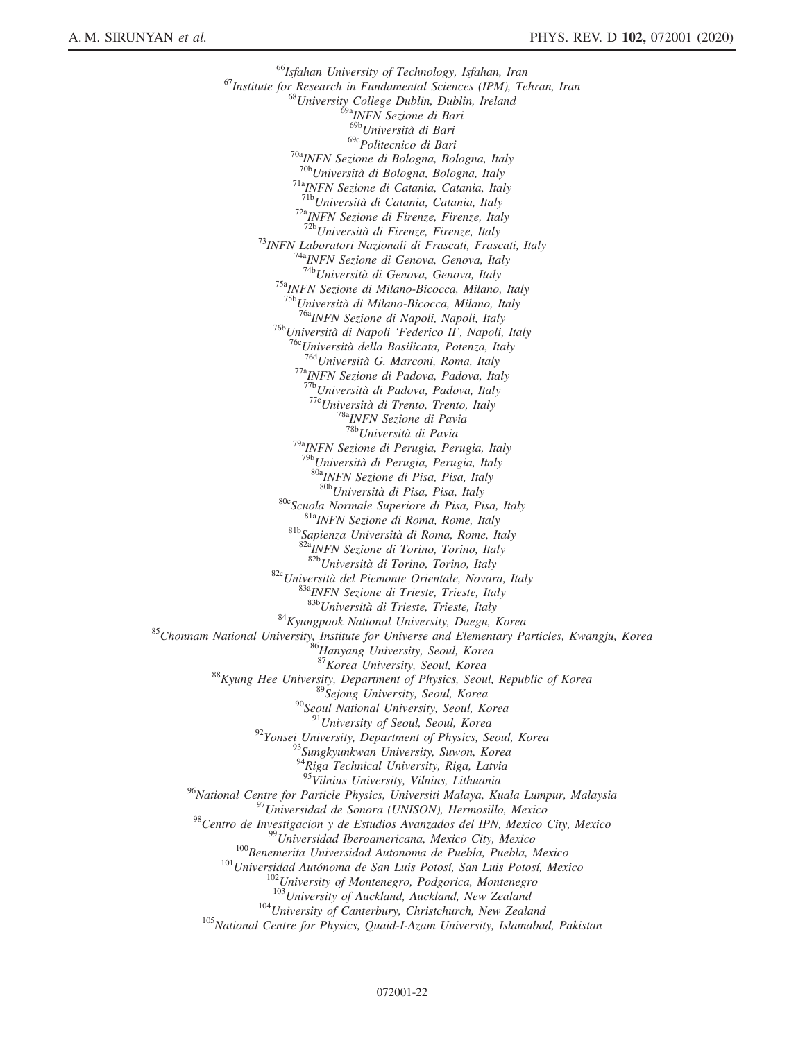<sup>66</sup>Isfahan University of Technology, Isfahan, Iran<br><sup>67</sup>Institute for Research in Fundamental Sciences (IPM), Tehran, Iran <sup>68</sup>University College Dublin, Dublin, Ireland <sup>69a</sup>INFN Sezione di Bari <sup>69b</sup>Università di Bari<br><sup>69c</sup>Politecnico di Bari <sup>70a</sup>INFN Sezione di Bologna, Bologna, Italy<br><sup>70b</sup>Università di Bologna, Bologna, Italy <sup>71a</sup>INFN Sezione di Catania, Catania, Italy <sup>71b</sup>Università di Catania, Catania, Italy  $\frac{72a}{NFN}$ Sezione di Firenze, Firenze, Italy  $\frac{72b}{N}$ Università di Firenze, Firenze, Italy <sup>73</sup>INFN Laboratori Nazionali di Frascati, Frascati, Italy <sup>74a</sup>INFN Sezione di Genova, Genova, Italy <sup>74b</sup>Università di Genova, Genova, Italy <sup>75a</sup>INFN Sezione di Milano-Bicocca, Milano, Italy<br><sup>75b</sup>Università di Milano-Bicocca, Milano, Italy <sup>76a</sup>INFN Sezione di Napoli, Napoli, Italy<br><sup>76b</sup>Università di Napoli 'Federico II', Napoli, Italy<br><sup>76c</sup>Università della Basilicata, Potenza, Italy<br><sup>76d</sup>Università G. Marconi, Roma, Italy<br><sup>77a</sup>INFN Sezione di Padova, Padov <sup>77b</sup>Università di Padova, Padova, Italy <sup>77c</sup>Università di Trento, Trento, Italy <sup>78a</sup>INFN Sezione di Pavia <sup>78b</sup>Università di Pavia <sup>79a</sup>INFN Sezione di Perugia, Perugia, Italy <sup>79b</sup>Università di Perugia, Perugia, Italy  $^{80a}$ INFN Sezione di Pisa, Pisa, Italy  $^{80b}$ Università di Pisa, Pisa, Italy <sup>80c</sup>Scuola Normale Superiore di Pisa, Pisa, Italy<br><sup>81a</sup>INFN Sezione di Roma, Rome, Italy<br><sup>81b</sup>Sapienza Università di Roma, Rome, Italy<br><sup>822</sup>INFN Sezione di Torino, Torino, Italy<br><sup>82b</sup>Università di Torino, Torino, Italy <sup>82c</sup>Università del Piemonte Orientale, Novara, Italy  $^{83a}$ INFN Sezione di Trieste, Trieste, Italy  $^{83b}$ Università di Trieste, Trieste, Italy <sup>84</sup>Kyungpook National University, Daegu, Korea <sup>85</sup>Chonnam National University, Institute for Universe and Elementary Particles, Kwangju, Korea  $^{85}$ Korea University, Seoul, Korea 8<sup>87</sup>Korea University, Seoul, Korea <sup>87</sup> <sup>88</sup>Kyung Hee University, Department of Physics, Seoul, Republic of Korea  ${}^{89}$ Sejong University, Seoul, Korea  ${}^{90}$ Seoul National University, Seoul, Korea University of Seoul, Seoul, Korea  ${}^{91}$ <sup>92</sup>Yonsei University, Department of Physics, Seoul, Korea <sup>93</sup>Sungkyunkwan University, Suwon, Korea <sup>94</sup>Riga Technical University, Riga, Latvia <sup>95</sup>Vilnius University, Vilnius, Lithuania<br><sup>96</sup>National Centre for Particle Physics, Universiti Malaya, Kuala Lumpur, Malaysia <sup>97</sup>Universidad de Sonora (UNISON), Hermosillo, Mexico<br><sup>98</sup>Centro de Investigacion y de Estudios Avanzados del IPN, Mexico City, Mexico<br><sup>99</sup>Universidad Iberoamericana, Mexico City, Mexico<br><sup>99</sup>Universidad Iberoamericana, M  $104$ University of Canterbury, Christchurch, New Zealand<br> $105$ National Centre for Physics, Quaid-I-Azam University, Islamabad, Pakistan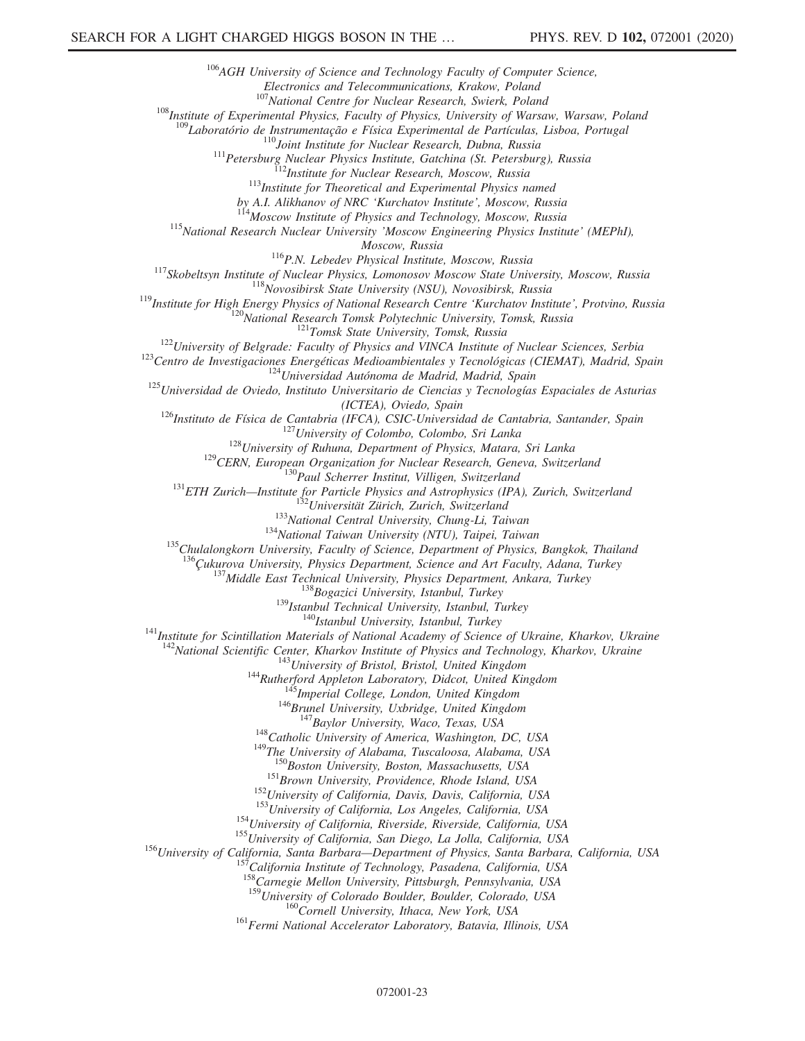$106$ AGH University of Science and Technology Faculty of Computer Science, Electronics and Telecommunications, Krakow, Poland<br><sup>107</sup>National Centre for Nuclear Research, Swierk, Poland <sup>108</sup>Institute of Experimental Physics, Faculty of Physics, University of Warsaw, Warsaw, Poland <sup>109</sup>Laboratório de Instrumentação e Física Experimental de Partículas, Lisboa, Portugal <sup>110</sup>Joint Institute for Nuclear Research, Dubna, Russia<br><sup>111</sup>Petersburg Nuclear Physics Institute, Gatchina (St. Petersburg), Russia<br><sup>112</sup>Institute for Nuclear Research, Moscow, Russia<br><sup>113</sup>Institute for Theoretical and by A.I. Alikhanov by A.C. Theorems, Theorems, Theorems<br><sup>114</sup>Moscow Institute of Physics and Technology, Moscow, Russia<br><sup>115</sup>National Research Nuclear University 'Moscow Engineering Physics Institute' (MEPhI),  $\begin{array}{c} \textit{Moscow}, \textit{Russia} \\ \textit{117} \textit{Skobeltsyn Institute of Nuclear Physics}, \textit{Lomonosov Moscow, Russia} \\ \textit{118} \textit{Bnovosibirsk State University}, \textit{Moscow}, \textit{Russia} \\ \textit{118} \textit{Novosibirsk State University} \\ \textit{119} \textit{Institute for High Energy Physics of National Research Centre 'Kurchatov Institute', Protvino, Russia} \\ \textit{120} \textit{National Research Tomsk Polytechnic University}, \textit{Tomsk, Russia} \\ \textit{121} \textit{Tomsk State University}, \textit{Tomsk, Russia} \\ \textit{122} \textit{$ (ICTEA), Oviedo, Spain<br>
<sup>126</sup>Instituto de Física de Cantabria (IFCA), CSIC-Universidad de Cantabria, Santander, Spain<br>
<sup>128</sup>University of Colombo, Colombo, Sri Lanka<br>
<sup>128</sup>University of Ruhuna, Department of Physics, Mata <sup>137</sup>Middle East Technical University, Physics Department, Ankara, Turkey<br><sup>138</sup>Bogazici University, Istanbul, Turkey<br><sup>139</sup>Istanbul Technical University, Istanbul, Turkey<br><sup>141</sup>Institute for Scintillation Materials of Natio <sup>143</sup>University of Bristol, Bristol, United Kingdom<br><sup>144</sup>Rutherford Appleton Laboratory, Didcot, United Kingdom<br><sup>145</sup>Brunel University, Uxbridge, United Kingdom<br><sup>146</sup>Brunel University, Uxbridge, United Kingdom<br><sup>147</sup>Baylor <sup>151</sup>Brown University, Providence, Rhode Island, USA<br><sup>152</sup>University of California, Davis, Davis, California, USA<br><sup>153</sup>University of California, Los Angeles, California, USA<br><sup>154</sup>University of California, Riverside, River  $^{158}$ Carnegie Mellon University, Pittsburgh, Pennsylvania, USA<br> $^{159}$ University of Colorado Boulder, Boulder, Colorado, USA <sup>160</sup>Cornell University, Ithaca, New York, USA <sup>161</sup>Fermi National Accelerator Laboratory, Batavia, Illinois, USA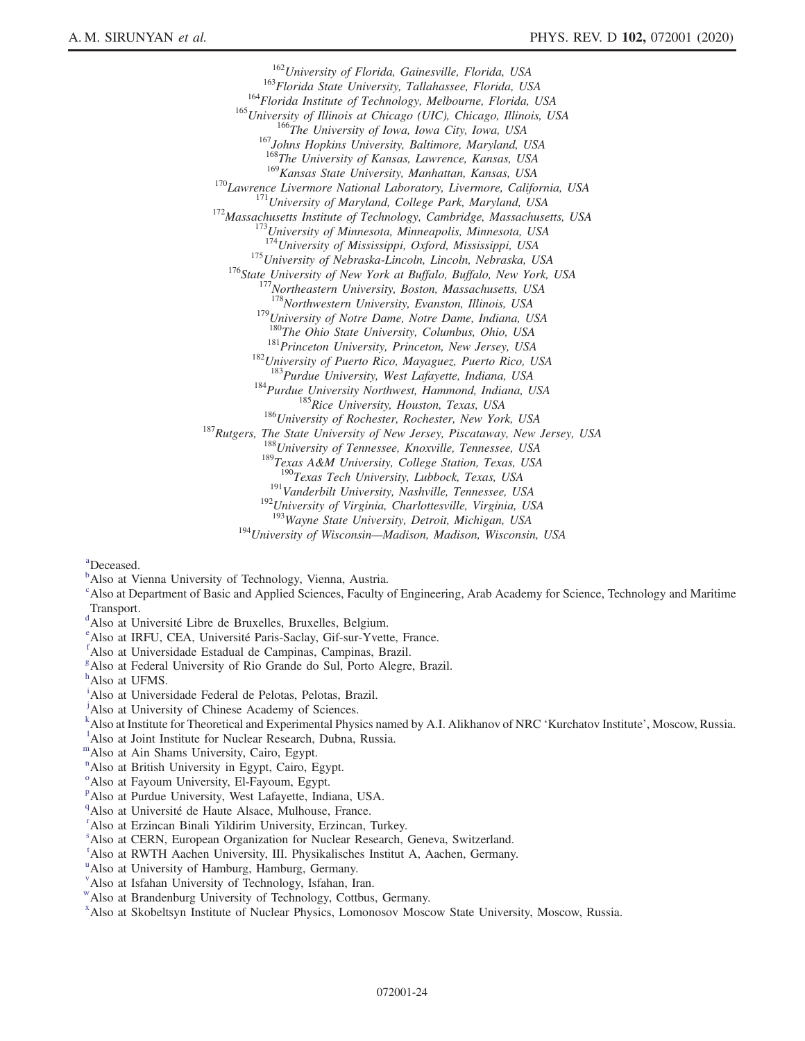<sup>162</sup>University of Florida, Gainesville, Florida, USA<br><sup>163</sup>Florida State University, Tallahassee, Florida, USA<br><sup>164</sup>Florida Institute of Technology, Melbourne, Florida, USA<br><sup>165</sup>University of Illinois at Chicago (UIC), Ch <sup>168</sup>The University of Kansas, Lawrence, Kansas, USA<br><sup>169</sup>Kansas State University, Manhattan, Kansas, USA <sup>170</sup>Lawrence Livermore National Laboratory, Livermore, California, USA<br><sup>171</sup>University of Maryland, College Park, Maryland, USA<br><sup>172</sup>Massachusetts Institute of Technology, Cambridge, Massachusetts, USA<br><sup>172</sup>University of  $^{175}$ University of Nebraska-Lincoln, Lincoln, Nebraska, USA<br> $^{176}$ State University of New York at Buffalo, Buffalo, New York, USA<br> $^{176}$ Northeastern University, Boston, Massachusetts, USA <sup>178</sup>Northwestern University, Evanston, Illinois, USA<br><sup>179</sup>University of Notre Dame, Notre Dame, Indiana, USA<br><sup>180</sup>The Ohio State University, Columbus, Ohio, USA <sup>181</sup>Princeton University, Princeton, New Jersey, USA  $^{182}$ University of Puerto Rico, Mayaguez, Puerto Rico, USA  $^{183}$ Purdue University, West Lafayette, Indiana, USA <sup>184</sup>Purdue University Northwest, Hammond, Indiana, USA<br><sup>185</sup>Rice University, Houston, Texas, USA<br><sup>186</sup>University of Rochester, Rochester, New York, USA<br><sup>187</sup>Rutgers, The State University of New Jersey, Piscataway, New Je <sup>191</sup>Vanderbilt University, Nashville, Tennessee, USA <sup>192</sup>University of Virginia, Charlottesville, Virginia, USA <sup>193</sup>Wayne State University, Detroit, Michigan, USA <sup>194</sup>University of Wisconsin-Madison, Madison, Wisconsin, USA

<span id="page-23-0"></span>[a](#page-13-11) Deceased.

- <span id="page-23-2"></span><sup>[c](#page-13-13)</sup>Also at Department of Basic and Applied Sciences, Faculty of Engineering, Arab Academy for Science, Technology and Maritime Transport.
- <span id="page-23-3"></span><sup>[d](#page-13-14)</sup>Also at Univ[e](#page-13-15)rsité Libre de Bruxelles, Bruxelles, Belgium.<br><sup>e</sup>Also et IBELL CEA, Université Peris Seeley, Gif sur Vuett
- <span id="page-23-4"></span><sup>e</sup> Also at IRFU, CEA, Université Paris-Saclay, Gi[f](#page-13-16)-sur-Yvette, France.
- <span id="page-23-5"></span>Also at Universidade Estadual de Campinas, Campinas, Brazil.
- <span id="page-23-6"></span>[g](#page-13-17) Also at Federal University of Rio Grande do Sul, Porto Alegre, Brazil.
- <span id="page-23-7"></span><sup>[h](#page-13-18)</sup>Also at UFMS.
- <span id="page-23-8"></span>[i](#page-13-18) Also at Universidade Federal de Pelotas, Pelotas, Brazil.
- <span id="page-23-9"></span><sup>[j](#page-13-19)</sup>Also at University of Chinese Academy of Sciences.
- <span id="page-23-10"></span><sup>[k](#page-13-20)</sup> A[l](#page-14-0)so at Institute for Theoretical and Experimental Physics named by A.I. Alikhanov of NRC 'Kurchatov Institute', Moscow, Russia.
- <span id="page-23-11"></span><sup>1</sup>Also at Joint Institute for Nuclear Research, Dubna, Russia.
- <span id="page-23-12"></span>[m](#page-14-1)Also at Ain Shams University, Cairo, Egypt.
- n Also at British University in Egypt, Cairo, Egypt.
- <span id="page-23-13"></span><sup>[o](#page-14-2)</sup>Also at Fayoum University, El-Fayoum, Egypt.
- <span id="page-23-14"></span><su[p](#page-14-3)>p</sup>Also at Purdue University, West Lafayette, Indiana, USA.
- <span id="page-23-15"></span>[q](#page-14-4)ue at Unive[r](#page-14-5)sité de Haute Alsace, Mulhouse, France.
- <span id="page-23-16"></span><sup>r</sup> Also at Erzincan Binali Yildirim University, Erzincan, Turkey.
- <span id="page-23-17"></span>[s](#page-14-6) Also at CERN, European Organization for Nuclear Research, Geneva, Switzerland.
- <span id="page-23-18"></span>[t](#page-14-7) Also at RWTH Aachen University, III. Physikalisches Institut A, Aachen, Germany.
- <span id="page-23-19"></span><s[u](#page-14-8)p>u</sup>Also at University of Hamburg, Hamburg, Germany.
- <span id="page-23-20"></span>[v](#page-14-7) Also at Isfahan University of Technology, Isfahan, Iran.
- <span id="page-23-21"></span>[w](#page-14-9)Also at Brandenburg University of Technology, Cottbus, Germany.
- <span id="page-23-22"></span>[x](#page-14-10) Also at Skobeltsyn Institute of Nuclear Physics, Lomonosov Moscow State University, Moscow, Russia.

<span id="page-23-1"></span><sup>&</sup>lt;sup>[b](#page-13-12)</sup>Also at Vienna University of Technology, Vienna, Austria.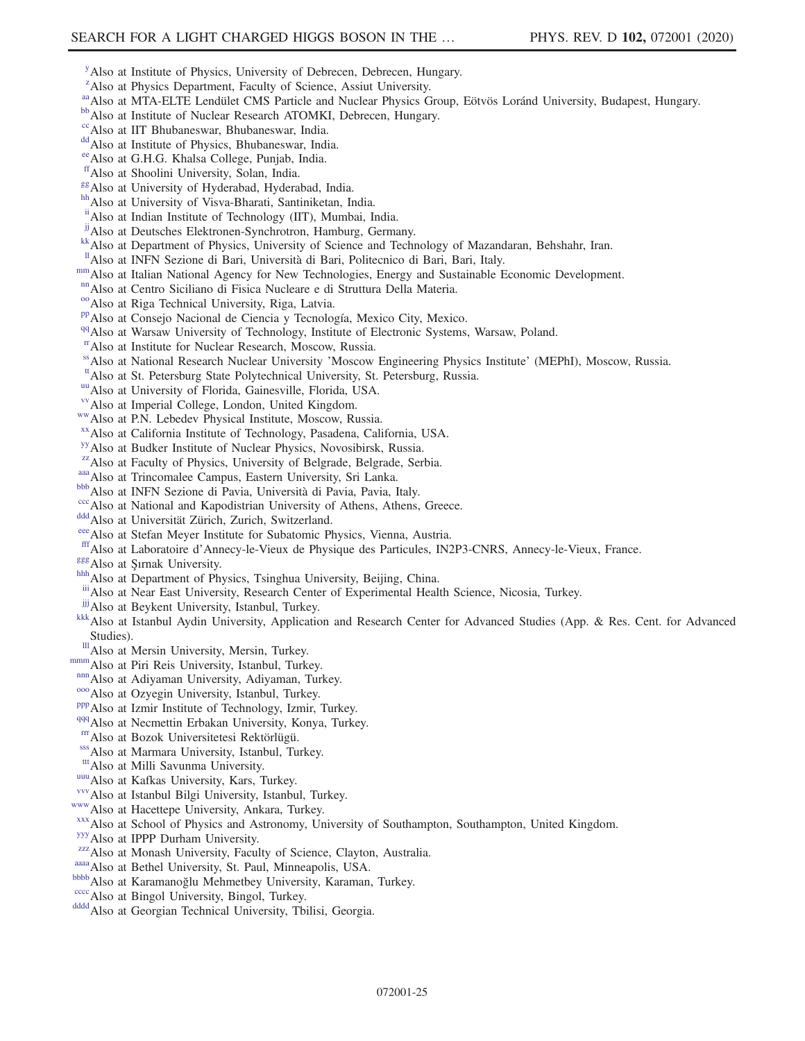- <span id="page-24-0"></span><sup>[y](#page-14-11)</sup> Also at Institute of Physics, University of Debrecen, Debrecen, Hungary.
- <span id="page-24-1"></span><sup>[z](#page-14-11)</sup>Also at Physics Department, Faculty of Science, Assiut University.
- <span id="page-24-2"></span><sup>[aa](#page-14-11)</sup>Also at MTA-ELTE Lendület CMS Particle and Nuclear Physics Group, Eötvös Loránd University, Budapest, Hungary.<br><sup>[bb](#page-14-12)</sup>Also at Institute of Nuclear Research ATOMKI, Debrecen, Hungary.<br><sup>cc</sup>Also at IIT Bhubaneswar, Bhubanesw
- <span id="page-24-3"></span>
- <span id="page-24-4"></span>
- <span id="page-24-5"></span><sup>[dd](#page-15-0)</sup>Also at Institute of Physics, Bhubaneswar, India.
- <span id="page-24-6"></span>[ee](#page-15-1) Also at G.H.G. Khalsa College, Punjab, India. f<sup>f</sup> Also at Shoolini University, Solan, India.
- <span id="page-24-7"></span>
- 
- <span id="page-24-9"></span><span id="page-24-8"></span><sup>[gg](#page-15-3)</sup>Also at University of Hyderabad, Hyderabad, India. [hh](#page-15-3)<br>hhAlso at University of Visva-Bharati, Santiniketan, India.
- <span id="page-24-10"></span>[ii](#page-15-4) Also at Indian Institute of Technology (IIT), Mumbai, India.<br>
<sup>jj</sup> Also at Deutsches Elektronen-Synchrotron, Hamburg, Germany.
- <span id="page-24-11"></span>
- <span id="page-24-12"></span><sup>[kk](#page-15-5)</sup>Also at Department of Physics, University of Science and Technology of Mazandaran, Behshahr, Iran.<br><sup>II</sup>Also at INFN Sezione di Bari, Università di Bari, Politecnico di Bari, Bari, Italy.
- <span id="page-24-13"></span>
- <span id="page-24-14"></span>mm Also at Italian National Agency for New Technologies, Energy and Sustainable Economic Development.<br>
<sup>nn</sup> Also at Centro Siciliano di Fisica Nucleare e di Struttura De[ll](#page-15-6)a Materia.<br>
<sup>[oo](#page-16-0)</sup> Also at Riga Technical University,
- <span id="page-24-15"></span>
- <span id="page-24-16"></span>
- <span id="page-24-17"></span>
- <span id="page-24-18"></span>
- <span id="page-24-19"></span>[rr](#page-16-3)Also at Institute for Nuclear Research, Moscow, Russia.
- <sup>ss</sup>Also at National Research Nuclear University 'Moscow Engineering Physics Institute' (MEPhI), Moscow, Russia.<br>
<sup>[tt](#page-16-4)</sup>Also at St. Petersburg State Polytechnical University, St. Petersburg, Russia.<br>
<sup>[uu](#page-16-4)</sup> Also at University
- <span id="page-24-20"></span>
- <span id="page-24-21"></span>
- <span id="page-24-22"></span>
- <span id="page-24-23"></span>
- <span id="page-24-24"></span>
- <span id="page-24-25"></span>
- <span id="page-24-26"></span>
- 
- <span id="page-24-29"></span><span id="page-24-28"></span>
- <span id="page-24-27"></span>[aaa](#page-16-10) Also at Trincomalee Campus, Eastern University, Sri Lanka.<br>[bbb](#page-17-0) Also at INFN Sezione di Pavia, Università di Pavia, Pavia, Italy.<br><sup>[ccc](#page-17-1)</sup> Also at National and Kapodistrian University of Athens, Athens, Greece.<br><sup>dd</sup> Also a
- <span id="page-24-30"></span>
- <span id="page-24-31"></span>
- <span id="page-24-32"></span>[fff](#page-17-4)Also at Laboratoire d'Annecy-le-Vieux de Physique des Particules, IN2P3-CNRS, Annecy-le-Vieux, France. ass Also at Şırnak University. Singhua University, Beijing, China.
- <span id="page-24-33"></span>
- <span id="page-24-34"></span>
- <span id="page-24-35"></span>[iii](#page-17-6) Also at Near East University, Research Center of Experimental Health Science, Nicosia, Turkey.<br>
<sup>jij</sup> Also at Beykent University, Istanbul, Turkey.
- <span id="page-24-36"></span>
- <span id="page-24-37"></span>[kkk](#page-17-7) Also at Istanbul Aydin University, Application and Research Center for Advanced Studies (App. & Res. Cent. for Advanced Studies).<br>
<sup>III</sup> Also at Mersin University, Mersin, Turkey.
- <span id="page-24-38"></span>
- 
- <span id="page-24-40"></span>
- <span id="page-24-41"></span>
- <span id="page-24-43"></span><span id="page-24-42"></span>
- <span id="page-24-39"></span>[mmm](#page-17-8) Also at Piri Reis University, Istanbul, Turkey.<br> [nnn](#page-17-9) Also at Adiyaman University, Adiyaman, Turkey.<br>
<sup>[ooo](#page-17-10)</sup> Also at Ozyegin University, Istanbul, Turkey.<br>
<sup>[ppp](#page-17-10)</sup> Also at Izmir Institute of Technology, Izmir, Turkey.<br>
<sup>q</sup>
- <span id="page-24-44"></span>
- <span id="page-24-45"></span>
- 
- <span id="page-24-47"></span>
- <span id="page-24-48"></span>
- <span id="page-24-50"></span><span id="page-24-49"></span>
- <span id="page-24-46"></span><sup>tit</sup> Also at Milli Savunma University.<br>
<sup>[uuu](#page-17-11)</sup> Also at Kafkas University, Kars, Turkey.<br>
<sup>vww</sup> Also at Istanbul Bilgi University, Istanbul, Turkey.<br>
<sup>xww</sup> Also at Hacettepe University, Ankara, Turkey.<br>
<sup>[xxx](#page-17-12)</sup> Also at School
- <span id="page-24-51"></span>
- <span id="page-24-52"></span>
- <span id="page-24-53"></span>
- <span id="page-24-54"></span>
- <span id="page-24-55"></span>
- <span id="page-24-56"></span>